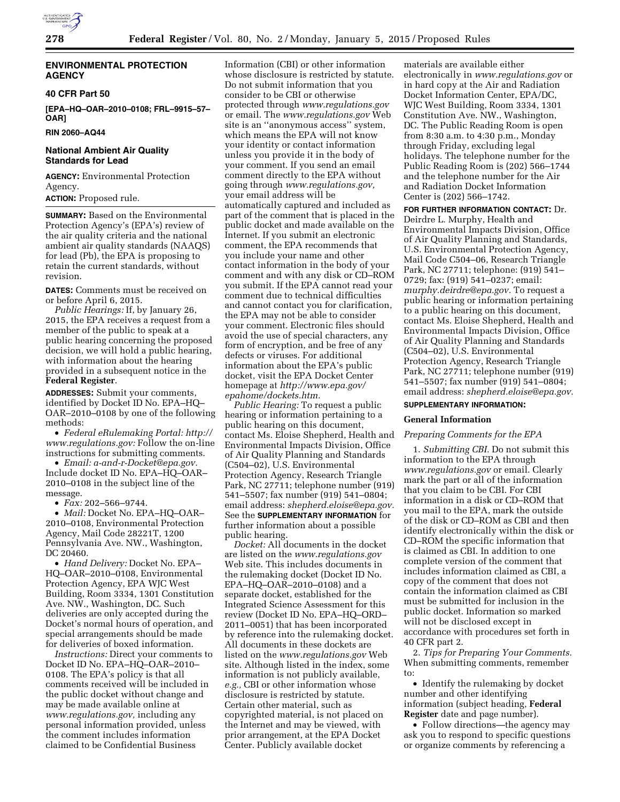

# **ENVIRONMENTAL PROTECTION AGENCY**

### **40 CFR Part 50**

**[EPA–HQ–OAR–2010–0108; FRL–9915–57– OAR]** 

**RIN 2060–AQ44** 

# **National Ambient Air Quality Standards for Lead**

**AGENCY:** Environmental Protection Agency.

# **ACTION:** Proposed rule.

**SUMMARY:** Based on the Environmental Protection Agency's (EPA's) review of the air quality criteria and the national ambient air quality standards (NAAQS) for lead (Pb), the EPA is proposing to retain the current standards, without revision.

**DATES:** Comments must be received on or before April 6, 2015.

*Public Hearings:* If, by January 26, 2015, the EPA receives a request from a member of the public to speak at a public hearing concerning the proposed decision, we will hold a public hearing, with information about the hearing provided in a subsequent notice in the **Federal Register**.

**ADDRESSES:** Submit your comments, identified by Docket ID No. EPA–HQ– OAR–2010–0108 by one of the following methods:

• *Federal eRulemaking Portal: [http://](http://www.regulations.gov)  [www.regulations.gov:](http://www.regulations.gov)* Follow the on-line instructions for submitting comments.

• *Email: [a-and-r-Docket@epa.gov.](mailto:a-and-r-Docket@epa.gov)*  Include docket ID No. EPA–HQ–OAR– 2010–0108 in the subject line of the message.

• *Fax:* 202–566–9744.

• *Mail:* Docket No. EPA–HQ–OAR– 2010–0108, Environmental Protection Agency, Mail Code 28221T, 1200 Pennsylvania Ave. NW., Washington, DC 20460.

• *Hand Delivery:* Docket No. EPA– HQ–OAR–2010–0108, Environmental Protection Agency, EPA WJC West Building, Room 3334, 1301 Constitution Ave. NW., Washington, DC. Such deliveries are only accepted during the Docket's normal hours of operation, and special arrangements should be made for deliveries of boxed information.

*Instructions:* Direct your comments to Docket ID No. EPA–HQ–OAR–2010– 0108. The EPA's policy is that all comments received will be included in the public docket without change and may be made available online at *[www.regulations.gov,](http://www.regulations.gov)* including any personal information provided, unless the comment includes information claimed to be Confidential Business

Information (CBI) or other information whose disclosure is restricted by statute. Do not submit information that you consider to be CBI or otherwise protected through *[www.regulations.gov](http://www.regulations.gov)*  or email. The *[www.regulations.gov](http://www.regulations.gov)* Web site is an ''anonymous access'' system, which means the EPA will not know your identity or contact information unless you provide it in the body of your comment. If you send an email comment directly to the EPA without going through *[www.regulations.gov,](http://www.regulations.gov)*  your email address will be automatically captured and included as part of the comment that is placed in the public docket and made available on the Internet. If you submit an electronic comment, the EPA recommends that you include your name and other contact information in the body of your comment and with any disk or CD–ROM you submit. If the EPA cannot read your comment due to technical difficulties and cannot contact you for clarification, the EPA may not be able to consider your comment. Electronic files should avoid the use of special characters, any form of encryption, and be free of any defects or viruses. For additional information about the EPA's public docket, visit the EPA Docket Center homepage at *[http://www.epa.gov/](http://www.epa.gov/epahome/dockets.htm) [epahome/dockets.htm.](http://www.epa.gov/epahome/dockets.htm)* 

*Public Hearing:* To request a public hearing or information pertaining to a public hearing on this document, contact Ms. Eloise Shepherd, Health and Environmental Impacts Division, Office of Air Quality Planning and Standards (C504–02), U.S. Environmental Protection Agency, Research Triangle Park, NC 27711; telephone number (919) 541–5507; fax number (919) 541–0804; email address: *[shepherd.eloise@epa.gov.](mailto:shepherd.eloise@epa.gov)*  See the **SUPPLEMENTARY INFORMATION** for further information about a possible public hearing.

*Docket:* All documents in the docket are listed on the *[www.regulations.gov](http://www.regulations.gov)*  Web site. This includes documents in the rulemaking docket (Docket ID No. EPA–HQ–OAR–2010–0108) and a separate docket, established for the Integrated Science Assessment for this review (Docket ID No. EPA–HQ–ORD– 2011–0051) that has been incorporated by reference into the rulemaking docket. All documents in these dockets are listed on the *[www.regulations.gov](http://www.regulations.gov)* Web site. Although listed in the index, some information is not publicly available, *e.g.,* CBI or other information whose disclosure is restricted by statute. Certain other material, such as copyrighted material, is not placed on the Internet and may be viewed, with prior arrangement, at the EPA Docket Center. Publicly available docket

materials are available either electronically in *[www.regulations.gov](http://www.regulations.gov)* or in hard copy at the Air and Radiation Docket Information Center, EPA/DC, WJC West Building, Room 3334, 1301 Constitution Ave. NW., Washington, DC. The Public Reading Room is open from 8:30 a.m. to 4:30 p.m., Monday through Friday, excluding legal holidays. The telephone number for the Public Reading Room is (202) 566–1744 and the telephone number for the Air and Radiation Docket Information Center is (202) 566–1742.

**FOR FURTHER INFORMATION CONTACT:** Dr. Deirdre L. Murphy, Health and Environmental Impacts Division, Office of Air Quality Planning and Standards, U.S. Environmental Protection Agency, Mail Code C504–06, Research Triangle Park, NC 27711; telephone: (919) 541– 0729; fax: (919) 541–0237; email: *[murphy.deirdre@epa.gov.](mailto:murphy.deirdre@epa.gov)* To request a public hearing or information pertaining to a public hearing on this document, contact Ms. Eloise Shepherd, Health and Environmental Impacts Division, Office of Air Quality Planning and Standards (C504–02), U.S. Environmental Protection Agency, Research Triangle Park, NC 27711; telephone number (919) 541–5507; fax number (919) 541–0804; email address: *[shepherd.eloise@epa.gov.](mailto:shepherd.eloise@epa.gov)* 

## **SUPPLEMENTARY INFORMATION:**

### **General Information**

### *Preparing Comments for the EPA*

1. *Submitting CBI.* Do not submit this information to the EPA through *[www.regulations.gov](http://www.regulations.gov)* or email. Clearly mark the part or all of the information that you claim to be CBI. For CBI information in a disk or CD–ROM that you mail to the EPA, mark the outside of the disk or CD–ROM as CBI and then identify electronically within the disk or CD–ROM the specific information that is claimed as CBI. In addition to one complete version of the comment that includes information claimed as CBI, a copy of the comment that does not contain the information claimed as CBI must be submitted for inclusion in the public docket. Information so marked will not be disclosed except in accordance with procedures set forth in 40 CFR part 2.

2. *Tips for Preparing Your Comments.*  When submitting comments, remember to:

• Identify the rulemaking by docket number and other identifying information (subject heading, **Federal Register** date and page number).

• Follow directions—the agency may ask you to respond to specific questions or organize comments by referencing a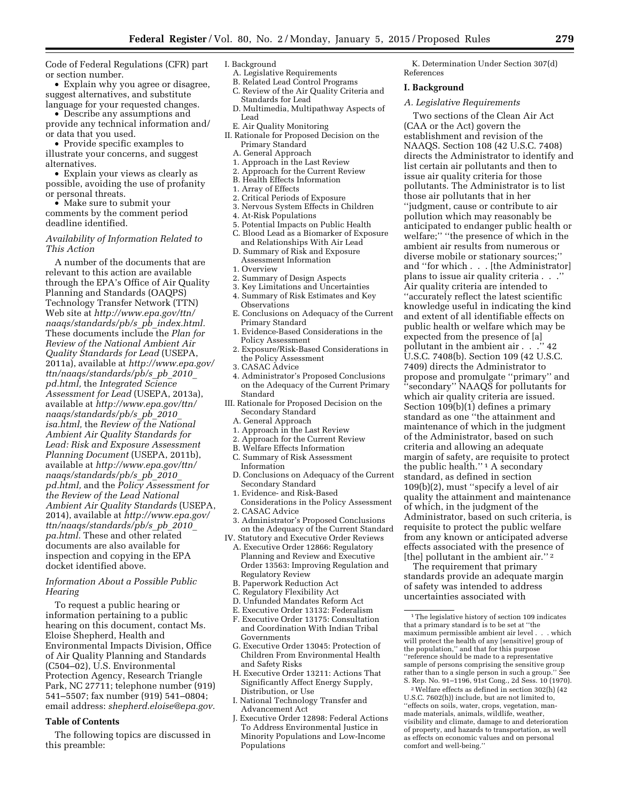Code of Federal Regulations (CFR) part or section number.

• Explain why you agree or disagree, suggest alternatives, and substitute language for your requested changes.

• Describe any assumptions and provide any technical information and/

or data that you used. • Provide specific examples to illustrate your concerns, and suggest alternatives.

• Explain your views as clearly as possible, avoiding the use of profanity or personal threats.

• Make sure to submit your comments by the comment period deadline identified.

## *Availability of Information Related to This Action*

A number of the documents that are relevant to this action are available through the EPA's Office of Air Quality Planning and Standards (OAQPS) Technology Transfer Network (TTN) Web site at *[http://www.epa.gov/ttn/](http://www.epa.gov/ttn/naaqs/standards/pb/s_pb_index.html) [naaqs/standards/pb/s](http://www.epa.gov/ttn/naaqs/standards/pb/s_pb_index.html)*\_*pb*\_*index.html.*  These documents include the *Plan for Review of the National Ambient Air Quality Standards for Lead* (USEPA, 2011a), available at *[http://www.epa.gov/](http://www.epa.gov/ttn/naaqs/standards/pb/s_pb_2010_pd.html)  [ttn/naaqs/standards/pb/s](http://www.epa.gov/ttn/naaqs/standards/pb/s_pb_2010_pd.html)*\_*pb*\_*2010*\_ *[pd.html,](http://www.epa.gov/ttn/naaqs/standards/pb/s_pb_2010_pd.html)* the *Integrated Science Assessment for Lead* (USEPA, 2013a), available at *[http://www.epa.gov/ttn/](http://www.epa.gov/ttn/naaqs/standards/pb/s_pb_2010_isa.html) [naaqs/standards/pb/s](http://www.epa.gov/ttn/naaqs/standards/pb/s_pb_2010_isa.html)*\_*pb*\_*2010*\_ *[isa.html,](http://www.epa.gov/ttn/naaqs/standards/pb/s_pb_2010_isa.html)* the *Review of the National Ambient Air Quality Standards for Lead: Risk and Exposure Assessment Planning Document* (USEPA, 2011b), available at *[http://www.epa.gov/ttn/](http://www.epa.gov/ttn/naaqs/standards/pb/s_pb_2010_pd.html) [naaqs/standards/pb/s](http://www.epa.gov/ttn/naaqs/standards/pb/s_pb_2010_pd.html)*\_*pb*\_*2010*\_ *[pd.html,](http://www.epa.gov/ttn/naaqs/standards/pb/s_pb_2010_pd.html)* and the *Policy Assessment for the Review of the Lead National Ambient Air Quality Standards* (USEPA, 2014), available at *[http://www.epa.gov/](http://www.epa.gov/ttn/naaqs/standards/pb/s_pb_2010_pa.html) [ttn/naaqs/standards/pb/s](http://www.epa.gov/ttn/naaqs/standards/pb/s_pb_2010_pa.html)*\_*pb*\_*2010*\_ *[pa.html.](http://www.epa.gov/ttn/naaqs/standards/pb/s_pb_2010_pa.html)* These and other related documents are also available for inspection and copying in the EPA docket identified above.

### *Information About a Possible Public Hearing*

To request a public hearing or information pertaining to a public hearing on this document, contact Ms. Eloise Shepherd, Health and Environmental Impacts Division, Office of Air Quality Planning and Standards (C504–02), U.S. Environmental Protection Agency, Research Triangle Park, NC 27711; telephone number (919) 541–5507; fax number (919) 541–0804; email address: *[shepherd.eloise@epa.gov.](mailto:shepherd.eloise@epa.gov)* 

## **Table of Contents**

The following topics are discussed in this preamble:

## I. Background

- A. Legislative Requirements
- B. Related Lead Control Programs
- C. Review of the Air Quality Criteria and Standards for Lead
- D. Multimedia, Multipathway Aspects of Lead
- E. Air Quality Monitoring
- II. Rationale for Proposed Decision on the Primary Standard
	- A. General Approach
	- 1. Approach in the Last Review
	- 2. Approach for the Current Review
	- B. Health Effects Information
	- 1. Array of Effects
	- 2. Critical Periods of Exposure
	- 3. Nervous System Effects in Children
	- 4. At-Risk Populations
	- 5. Potential Impacts on Public Health C. Blood Lead as a Biomarker of Exposure
	- and Relationships With Air Lead D. Summary of Risk and Exposure
	- Assessment Information
	- 1. Overview
	- 2. Summary of Design Aspects
	- 3. Key Limitations and Uncertainties 4. Summary of Risk Estimates and Key Observations
	- E. Conclusions on Adequacy of the Current Primary Standard
	- 1. Evidence-Based Considerations in the Policy Assessment
	- 2. Exposure/Risk-Based Considerations in the Policy Assessment
	- 3. CASAC Advice
- 4. Administrator's Proposed Conclusions on the Adequacy of the Current Primary Standard
- III. Rationale for Proposed Decision on the Secondary Standard
	- A. General Approach
	- 1. Approach in the Last Review
	- 2. Approach for the Current Review
	- B. Welfare Effects Information
	- C. Summary of Risk Assessment
	- Information D. Conclusions on Adequacy of the Current Secondary Standard
	- 1. Evidence- and Risk-Based
	- Considerations in the Policy Assessment 2. CASAC Advice
	- 3. Administrator's Proposed Conclusions on the Adequacy of the Current Standard
- IV. Statutory and Executive Order Reviews A. Executive Order 12866: Regulatory Planning and Review and Executive
	- Order 13563: Improving Regulation and Regulatory Review B. Paperwork Reduction Act
	-
	- C. Regulatory Flexibility Act D. Unfunded Mandates Reform Act
	- E. Executive Order 13132: Federalism
	- F. Executive Order 13175: Consultation and Coordination With Indian Tribal Governments
	- G. Executive Order 13045: Protection of Children From Environmental Health and Safety Risks
	- H. Executive Order 13211: Actions That Significantly Affect Energy Supply, Distribution, or Use
	- I. National Technology Transfer and Advancement Act
	- J. Executive Order 12898: Federal Actions To Address Environmental Justice in Minority Populations and Low-Income Populations

K. Determination Under Section 307(d) References

### **I. Background**

### *A. Legislative Requirements*

Two sections of the Clean Air Act (CAA or the Act) govern the establishment and revision of the NAAQS. Section 108 (42 U.S.C. 7408) directs the Administrator to identify and list certain air pollutants and then to issue air quality criteria for those pollutants. The Administrator is to list those air pollutants that in her ''judgment, cause or contribute to air pollution which may reasonably be anticipated to endanger public health or welfare;'' ''the presence of which in the ambient air results from numerous or diverse mobile or stationary sources;'' and ''for which . . . [the Administrator] plans to issue air quality criteria . . .'' Air quality criteria are intended to ''accurately reflect the latest scientific knowledge useful in indicating the kind and extent of all identifiable effects on public health or welfare which may be expected from the presence of [a] pollutant in the ambient air . . .'' 42 U.S.C. 7408(b). Section 109 (42 U.S.C. 7409) directs the Administrator to propose and promulgate ''primary'' and ''secondary'' NAAQS for pollutants for which air quality criteria are issued. Section 109(b)(1) defines a primary standard as one ''the attainment and maintenance of which in the judgment of the Administrator, based on such criteria and allowing an adequate margin of safety, are requisite to protect the public health.'' 1 A secondary standard, as defined in section 109(b)(2), must ''specify a level of air quality the attainment and maintenance of which, in the judgment of the Administrator, based on such criteria, is requisite to protect the public welfare from any known or anticipated adverse effects associated with the presence of [the] pollutant in the ambient air.'' 2

The requirement that primary standards provide an adequate margin of safety was intended to address uncertainties associated with

2Welfare effects as defined in section 302(h) (42 U.S.C. 7602(h)) include, but are not limited to, ''effects on soils, water, crops, vegetation, manmade materials, animals, wildlife, weather, visibility and climate, damage to and deterioration of property, and hazards to transportation, as well as effects on economic values and on personal comfort and well-being.''

<sup>&</sup>lt;sup>1</sup>The legislative history of section 109 indicates that a primary standard is to be set at ''the maximum permissible ambient air level . . . which will protect the health of any [sensitive] group of the population,'' and that for this purpose ''reference should be made to a representative sample of persons comprising the sensitive group rather than to a single person in such a group.'' See S. Rep. No. 91–1196, 91st Cong., 2d Sess. 10 (1970).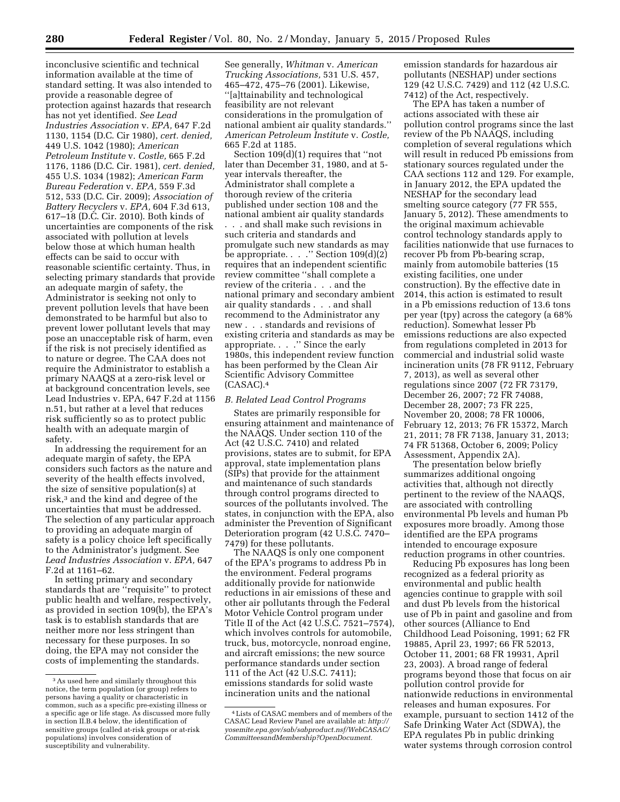inconclusive scientific and technical information available at the time of standard setting. It was also intended to provide a reasonable degree of protection against hazards that research has not yet identified. *See Lead Industries Association* v. *EPA,* 647 F.2d 1130, 1154 (D.C. Cir 1980), *cert. denied,*  449 U.S. 1042 (1980); *American Petroleum Institute* v. *Costle,* 665 F.2d 1176, 1186 (D.C. Cir. 1981), *cert. denied,*  455 U.S. 1034 (1982); *American Farm Bureau Federation* v. *EPA,* 559 F.3d 512, 533 (D.C. Cir. 2009); *Association of Battery Recyclers* v. *EPA,* 604 F.3d 613, 617–18 (D.C. Cir. 2010). Both kinds of uncertainties are components of the risk associated with pollution at levels below those at which human health effects can be said to occur with reasonable scientific certainty. Thus, in selecting primary standards that provide an adequate margin of safety, the Administrator is seeking not only to prevent pollution levels that have been demonstrated to be harmful but also to prevent lower pollutant levels that may pose an unacceptable risk of harm, even if the risk is not precisely identified as to nature or degree. The CAA does not require the Administrator to establish a primary NAAQS at a zero-risk level or at background concentration levels, see Lead Industries v. EPA, 647 F.2d at 1156 n.51, but rather at a level that reduces risk sufficiently so as to protect public health with an adequate margin of safety.

In addressing the requirement for an adequate margin of safety, the EPA considers such factors as the nature and severity of the health effects involved, the size of sensitive population(s) at risk,3 and the kind and degree of the uncertainties that must be addressed. The selection of any particular approach to providing an adequate margin of safety is a policy choice left specifically to the Administrator's judgment. See *Lead Industries Association* v. *EPA,* 647 F.2d at 1161–62.

In setting primary and secondary standards that are ''requisite'' to protect public health and welfare, respectively, as provided in section 109(b), the EPA's task is to establish standards that are neither more nor less stringent than necessary for these purposes. In so doing, the EPA may not consider the costs of implementing the standards.

See generally, *Whitman* v. *American Trucking Associations,* 531 U.S. 457, 465–472, 475–76 (2001). Likewise, ''[a]ttainability and technological feasibility are not relevant considerations in the promulgation of national ambient air quality standards.'' *American Petroleum Institute* v. *Costle,*  665 F.2d at 1185.

Section 109(d)(1) requires that ''not later than December 31, 1980, and at 5 year intervals thereafter, the Administrator shall complete a thorough review of the criteria published under section 108 and the national ambient air quality standards . . . and shall make such revisions in such criteria and standards and promulgate such new standards as may be appropriate. . . ." Section 109(d)(2) requires that an independent scientific review committee ''shall complete a review of the criteria . . . and the national primary and secondary ambient air quality standards . . . and shall recommend to the Administrator any new . . . standards and revisions of existing criteria and standards as may be appropriate. . . .'' Since the early 1980s, this independent review function has been performed by the Clean Air Scientific Advisory Committee (CASAC).4

### *B. Related Lead Control Programs*

States are primarily responsible for ensuring attainment and maintenance of the NAAQS. Under section 110 of the Act (42 U.S.C. 7410) and related provisions, states are to submit, for EPA approval, state implementation plans (SIPs) that provide for the attainment and maintenance of such standards through control programs directed to sources of the pollutants involved. The states, in conjunction with the EPA, also administer the Prevention of Significant Deterioration program (42 U.S.C. 7470– 7479) for these pollutants.

The NAAQS is only one component of the EPA's programs to address Pb in the environment. Federal programs additionally provide for nationwide reductions in air emissions of these and other air pollutants through the Federal Motor Vehicle Control program under Title II of the Act (42 U.S.C. 7521–7574), which involves controls for automobile, truck, bus, motorcycle, nonroad engine, and aircraft emissions; the new source performance standards under section 111 of the Act (42 U.S.C. 7411); emissions standards for solid waste incineration units and the national

emission standards for hazardous air pollutants (NESHAP) under sections 129 (42 U.S.C. 7429) and 112 (42 U.S.C. 7412) of the Act, respectively.

The EPA has taken a number of actions associated with these air pollution control programs since the last review of the Pb NAAQS, including completion of several regulations which will result in reduced Pb emissions from stationary sources regulated under the CAA sections 112 and 129. For example, in January 2012, the EPA updated the NESHAP for the secondary lead smelting source category (77 FR 555, January 5, 2012). These amendments to the original maximum achievable control technology standards apply to facilities nationwide that use furnaces to recover Pb from Pb-bearing scrap, mainly from automobile batteries (15 existing facilities, one under construction). By the effective date in 2014, this action is estimated to result in a Pb emissions reduction of 13.6 tons per year (tpy) across the category (a 68% reduction). Somewhat lesser Pb emissions reductions are also expected from regulations completed in 2013 for commercial and industrial solid waste incineration units (78 FR 9112, February 7, 2013), as well as several other regulations since 2007 (72 FR 73179, December 26, 2007; 72 FR 74088, December 28, 2007; 73 FR 225, November 20, 2008; 78 FR 10006, February 12, 2013; 76 FR 15372, March 21, 2011; 78 FR 7138, January 31, 2013; 74 FR 51368, October 6, 2009; Policy Assessment, Appendix 2A).

The presentation below briefly summarizes additional ongoing activities that, although not directly pertinent to the review of the NAAQS, are associated with controlling environmental Pb levels and human Pb exposures more broadly. Among those identified are the EPA programs intended to encourage exposure reduction programs in other countries.

Reducing Pb exposures has long been recognized as a federal priority as environmental and public health agencies continue to grapple with soil and dust Pb levels from the historical use of Pb in paint and gasoline and from other sources (Alliance to End Childhood Lead Poisoning, 1991; 62 FR 19885, April 23, 1997; 66 FR 52013, October 11, 2001; 68 FR 19931, April 23, 2003). A broad range of federal programs beyond those that focus on air pollution control provide for nationwide reductions in environmental releases and human exposures. For example, pursuant to section 1412 of the Safe Drinking Water Act (SDWA), the EPA regulates Pb in public drinking water systems through corrosion control

<sup>3</sup>As used here and similarly throughout this notice, the term population (or group) refers to persons having a quality or characteristic in common, such as a specific pre-existing illness or a specific age or life stage. As discussed more fully in section II.B.4 below, the identification of sensitive groups (called at-risk groups or at-risk populations) involves consideration of susceptibility and vulnerability.

<sup>4</sup>Lists of CASAC members and of members of the CASAC Lead Review Panel are available at: *[http://](http://yosemite.epa.gov/sab/sabproduct.nsf/WebCASAC/CommitteesandMembership?OpenDocument) [yosemite.epa.gov/sab/sabproduct.nsf/WebCASAC/](http://yosemite.epa.gov/sab/sabproduct.nsf/WebCASAC/CommitteesandMembership?OpenDocument) [CommitteesandMembership?OpenDocument.](http://yosemite.epa.gov/sab/sabproduct.nsf/WebCASAC/CommitteesandMembership?OpenDocument)*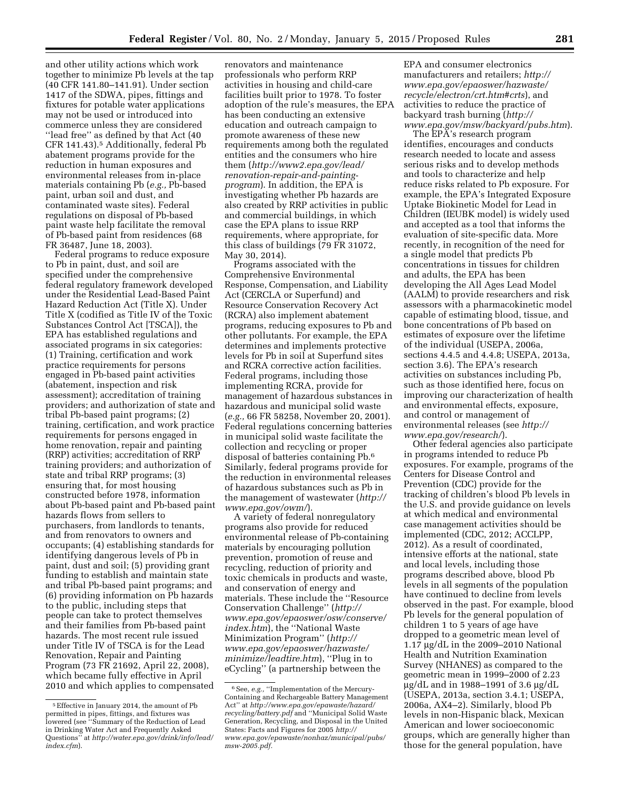and other utility actions which work together to minimize Pb levels at the tap (40 CFR 141.80–141.91). Under section 1417 of the SDWA, pipes, fittings and fixtures for potable water applications may not be used or introduced into commerce unless they are considered ''lead free'' as defined by that Act (40 CFR 141.43).5 Additionally, federal Pb abatement programs provide for the reduction in human exposures and environmental releases from in-place materials containing Pb (*e.g.,* Pb-based paint, urban soil and dust, and contaminated waste sites). Federal regulations on disposal of Pb-based paint waste help facilitate the removal of Pb-based paint from residences (68 FR 36487, June 18, 2003).

Federal programs to reduce exposure to Pb in paint, dust, and soil are specified under the comprehensive federal regulatory framework developed under the Residential Lead-Based Paint Hazard Reduction Act (Title X). Under Title X (codified as Title IV of the Toxic Substances Control Act [TSCA]), the EPA has established regulations and associated programs in six categories: (1) Training, certification and work practice requirements for persons engaged in Pb-based paint activities (abatement, inspection and risk assessment); accreditation of training providers; and authorization of state and tribal Pb-based paint programs; (2) training, certification, and work practice requirements for persons engaged in home renovation, repair and painting (RRP) activities; accreditation of RRP training providers; and authorization of state and tribal RRP programs; (3) ensuring that, for most housing constructed before 1978, information about Pb-based paint and Pb-based paint hazards flows from sellers to purchasers, from landlords to tenants, and from renovators to owners and occupants; (4) establishing standards for identifying dangerous levels of Pb in paint, dust and soil; (5) providing grant funding to establish and maintain state and tribal Pb-based paint programs; and (6) providing information on Pb hazards to the public, including steps that people can take to protect themselves and their families from Pb-based paint hazards. The most recent rule issued under Title IV of TSCA is for the Lead Renovation, Repair and Painting Program (73 FR 21692, April 22, 2008), which became fully effective in April 2010 and which applies to compensated

renovators and maintenance professionals who perform RRP activities in housing and child-care facilities built prior to 1978. To foster adoption of the rule's measures, the EPA has been conducting an extensive education and outreach campaign to promote awareness of these new requirements among both the regulated entities and the consumers who hire them (*http://www2.epa.gov/lead/ renovation-repair-and-paintingprogram*). In addition, the EPA is investigating whether Pb hazards are also created by RRP activities in public and commercial buildings, in which case the EPA plans to issue RRP requirements, where appropriate, for this class of buildings (79 FR 31072, May 30, 2014).

Programs associated with the Comprehensive Environmental Response, Compensation, and Liability Act (CERCLA or Superfund) and Resource Conservation Recovery Act (RCRA) also implement abatement programs, reducing exposures to Pb and other pollutants. For example, the EPA determines and implements protective levels for Pb in soil at Superfund sites and RCRA corrective action facilities. Federal programs, including those implementing RCRA, provide for management of hazardous substances in hazardous and municipal solid waste (*e.g.,* 66 FR 58258, November 20, 2001). Federal regulations concerning batteries in municipal solid waste facilitate the collection and recycling or proper disposal of batteries containing Pb.6 Similarly, federal programs provide for the reduction in environmental releases of hazardous substances such as Pb in the management of wastewater (*[http://](http://www.epa.gov/owm/) [www.epa.gov/owm/](http://www.epa.gov/owm/)*).

A variety of federal nonregulatory programs also provide for reduced environmental release of Pb-containing materials by encouraging pollution prevention, promotion of reuse and recycling, reduction of priority and toxic chemicals in products and waste, and conservation of energy and materials. These include the ''Resource Conservation Challenge'' (*[http://](http://www.epa.gov/epaoswer/osw/conserve/index.htm) [www.epa.gov/epaoswer/osw/conserve/](http://www.epa.gov/epaoswer/osw/conserve/index.htm) [index.htm](http://www.epa.gov/epaoswer/osw/conserve/index.htm)*), the ''National Waste Minimization Program'' (*[http://](http://www.epa.gov/epaoswer/hazwaste/minimize/leadtire.htm) [www.epa.gov/epaoswer/hazwaste/](http://www.epa.gov/epaoswer/hazwaste/minimize/leadtire.htm) [minimize/leadtire.htm](http://www.epa.gov/epaoswer/hazwaste/minimize/leadtire.htm)*), ''Plug in to eCycling'' (a partnership between the

EPA and consumer electronics manufacturers and retailers; *[http://](http://www.epa.gov/epaoswer/hazwaste/recycle/electron/crt.htm#crts) [www.epa.gov/epaoswer/hazwaste/](http://www.epa.gov/epaoswer/hazwaste/recycle/electron/crt.htm#crts) [recycle/electron/crt.htm#crts](http://www.epa.gov/epaoswer/hazwaste/recycle/electron/crt.htm#crts)*), and activities to reduce the practice of backyard trash burning (*[http://](http://www.epa.gov/msw/backyard/pubs.htm) [www.epa.gov/msw/backyard/pubs.htm](http://www.epa.gov/msw/backyard/pubs.htm)*).

The EPA's research program identifies, encourages and conducts research needed to locate and assess serious risks and to develop methods and tools to characterize and help reduce risks related to Pb exposure. For example, the EPA's Integrated Exposure Uptake Biokinetic Model for Lead in Children (IEUBK model) is widely used and accepted as a tool that informs the evaluation of site-specific data. More recently, in recognition of the need for a single model that predicts Pb concentrations in tissues for children and adults, the EPA has been developing the All Ages Lead Model (AALM) to provide researchers and risk assessors with a pharmacokinetic model capable of estimating blood, tissue, and bone concentrations of Pb based on estimates of exposure over the lifetime of the individual (USEPA, 2006a, sections 4.4.5 and 4.4.8; USEPA, 2013a, section 3.6). The EPA's research activities on substances including Pb, such as those identified here, focus on improving our characterization of health and environmental effects, exposure, and control or management of environmental releases (see *[http://](http://www.epa.gov/research/) [www.epa.gov/research/](http://www.epa.gov/research/)*).

Other federal agencies also participate in programs intended to reduce Pb exposures. For example, programs of the Centers for Disease Control and Prevention (CDC) provide for the tracking of children's blood Pb levels in the U.S. and provide guidance on levels at which medical and environmental case management activities should be implemented (CDC, 2012; ACCLPP, 2012). As a result of coordinated, intensive efforts at the national, state and local levels, including those programs described above, blood Pb levels in all segments of the population have continued to decline from levels observed in the past. For example, blood Pb levels for the general population of children 1 to 5 years of age have dropped to a geometric mean level of 1.17  $\mu$ g/dL in the 2009–2010 National Health and Nutrition Examination Survey (NHANES) as compared to the geometric mean in 1999–2000 of 2.23 mg/dL and in 1988–1991 of 3.6 mg/dL (USEPA, 2013a, section 3.4.1; USEPA, 2006a, AX4–2). Similarly, blood Pb levels in non-Hispanic black, Mexican American and lower socioeconomic groups, which are generally higher than those for the general population, have

<sup>5</sup>Effective in January 2014, the amount of Pb permitted in pipes, fittings, and fixtures was lowered (see ''Summary of the Reduction of Lead in Drinking Water Act and Frequently Asked Questions'' at *[http://water.epa.gov/drink/info/lead/](http://water.epa.gov/drink/info/lead/index.cfm)  [index.cfm](http://water.epa.gov/drink/info/lead/index.cfm)*).

<sup>&</sup>lt;sup>6</sup> See, *e.g.,* "Implementation of the Mercury-Containing and Rechargeable Battery Management Act'' at *[http://www.epa.gov/epawaste/hazard/](http://www.epa.gov/epawaste/hazard/recycling/battery.pdf) [recycling/battery.pdf](http://www.epa.gov/epawaste/hazard/recycling/battery.pdf)* and ''Municipal Solid Waste Generation, Recycling, and Disposal in the United States: Facts and Figures for 2005 *[http://](http://www.epa.gov/epawaste/nonhaz/municipal/pubs/msw-2005.pdf) [www.epa.gov/epawaste/nonhaz/municipal/pubs/](http://www.epa.gov/epawaste/nonhaz/municipal/pubs/msw-2005.pdf) [msw-2005.pdf.](http://www.epa.gov/epawaste/nonhaz/municipal/pubs/msw-2005.pdf)*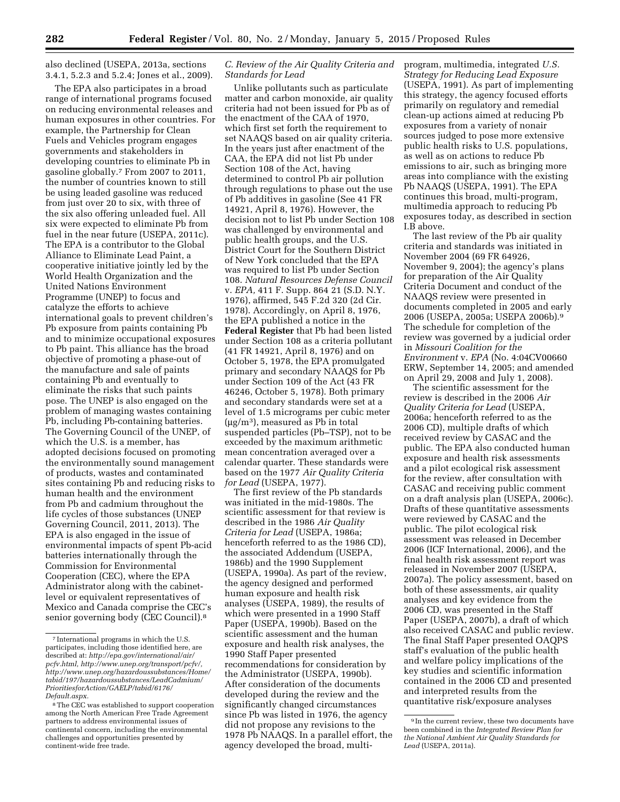also declined (USEPA, 2013a, sections 3.4.1, 5.2.3 and 5.2.4; Jones et al., 2009).

The EPA also participates in a broad range of international programs focused on reducing environmental releases and human exposures in other countries. For example, the Partnership for Clean Fuels and Vehicles program engages governments and stakeholders in developing countries to eliminate Pb in gasoline globally.7 From 2007 to 2011, the number of countries known to still be using leaded gasoline was reduced from just over 20 to six, with three of the six also offering unleaded fuel. All six were expected to eliminate Pb from fuel in the near future (USEPA, 2011c). The EPA is a contributor to the Global Alliance to Eliminate Lead Paint, a cooperative initiative jointly led by the World Health Organization and the United Nations Environment Programme (UNEP) to focus and catalyze the efforts to achieve international goals to prevent children's Pb exposure from paints containing Pb and to minimize occupational exposures to Pb paint. This alliance has the broad objective of promoting a phase-out of the manufacture and sale of paints containing Pb and eventually to eliminate the risks that such paints pose. The UNEP is also engaged on the problem of managing wastes containing Pb, including Pb-containing batteries. The Governing Council of the UNEP, of which the U.S. is a member, has adopted decisions focused on promoting the environmentally sound management of products, wastes and contaminated sites containing Pb and reducing risks to human health and the environment from Pb and cadmium throughout the life cycles of those substances (UNEP Governing Council, 2011, 2013). The EPA is also engaged in the issue of environmental impacts of spent Pb-acid batteries internationally through the Commission for Environmental Cooperation (CEC), where the EPA Administrator along with the cabinetlevel or equivalent representatives of Mexico and Canada comprise the CEC's senior governing body (CEC Council).8

# *C. Review of the Air Quality Criteria and Standards for Lead*

Unlike pollutants such as particulate matter and carbon monoxide, air quality criteria had not been issued for Pb as of the enactment of the CAA of 1970, which first set forth the requirement to set NAAQS based on air quality criteria. In the years just after enactment of the CAA, the EPA did not list Pb under Section 108 of the Act, having determined to control Pb air pollution through regulations to phase out the use of Pb additives in gasoline (See 41 FR 14921, April 8, 1976). However, the decision not to list Pb under Section 108 was challenged by environmental and public health groups, and the U.S. District Court for the Southern District of New York concluded that the EPA was required to list Pb under Section 108. *Natural Resources Defense Council*  v. *EPA,* 411 F. Supp. 864 21 (S.D. N.Y. 1976), affirmed, 545 F.2d 320 (2d Cir. 1978). Accordingly, on April 8, 1976, the EPA published a notice in the **Federal Register** that Pb had been listed under Section 108 as a criteria pollutant (41 FR 14921, April 8, 1976) and on October 5, 1978, the EPA promulgated primary and secondary NAAQS for Pb under Section 109 of the Act (43 FR 46246, October 5, 1978). Both primary and secondary standards were set at a level of 1.5 micrograms per cubic meter  $(\mu g/m^3)$ , measured as Pb in total suspended particles (Pb–TSP), not to be exceeded by the maximum arithmetic mean concentration averaged over a calendar quarter. These standards were based on the 1977 *Air Quality Criteria for Lead* (USEPA, 1977).

The first review of the Pb standards was initiated in the mid-1980s. The scientific assessment for that review is described in the 1986 *Air Quality Criteria for Lead* (USEPA, 1986a; henceforth referred to as the 1986 CD), the associated Addendum (USEPA, 1986b) and the 1990 Supplement (USEPA, 1990a). As part of the review, the agency designed and performed human exposure and health risk analyses (USEPA, 1989), the results of which were presented in a 1990 Staff Paper (USEPA, 1990b). Based on the scientific assessment and the human exposure and health risk analyses, the 1990 Staff Paper presented recommendations for consideration by the Administrator (USEPA, 1990b). After consideration of the documents developed during the review and the significantly changed circumstances since Pb was listed in 1976, the agency did not propose any revisions to the 1978 Pb NAAQS. In a parallel effort, the agency developed the broad, multiprogram, multimedia, integrated *U.S. Strategy for Reducing Lead Exposure*  (USEPA, 1991). As part of implementing this strategy, the agency focused efforts primarily on regulatory and remedial clean-up actions aimed at reducing Pb exposures from a variety of nonair sources judged to pose more extensive public health risks to U.S. populations, as well as on actions to reduce Pb emissions to air, such as bringing more areas into compliance with the existing Pb NAAQS (USEPA, 1991). The EPA continues this broad, multi-program, multimedia approach to reducing Pb exposures today, as described in section I.B above.

The last review of the Pb air quality criteria and standards was initiated in November 2004 (69 FR 64926, November 9, 2004); the agency's plans for preparation of the Air Quality Criteria Document and conduct of the NAAQS review were presented in documents completed in 2005 and early 2006 (USEPA, 2005a; USEPA 2006b).9 The schedule for completion of the review was governed by a judicial order in *Missouri Coalition for the Environment* v. *EPA* (No. 4:04CV00660 ERW, September 14, 2005; and amended on April 29, 2008 and July 1, 2008).

The scientific assessment for the review is described in the 2006 *Air Quality Criteria for Lead* (USEPA, 2006a; henceforth referred to as the 2006 CD), multiple drafts of which received review by CASAC and the public. The EPA also conducted human exposure and health risk assessments and a pilot ecological risk assessment for the review, after consultation with CASAC and receiving public comment on a draft analysis plan (USEPA, 2006c). Drafts of these quantitative assessments were reviewed by CASAC and the public. The pilot ecological risk assessment was released in December 2006 (ICF International, 2006), and the final health risk assessment report was released in November 2007 (USEPA, 2007a). The policy assessment, based on both of these assessments, air quality analyses and key evidence from the 2006 CD, was presented in the Staff Paper (USEPA, 2007b), a draft of which also received CASAC and public review. The final Staff Paper presented OAQPS staff's evaluation of the public health and welfare policy implications of the key studies and scientific information contained in the 2006 CD and presented and interpreted results from the quantitative risk/exposure analyses

<sup>7</sup> International programs in which the U.S. participates, including those identified here, are described at: *[http://epa.gov/international/air/](http://epa.gov/international/air/pcfv.html) [pcfv.html,](http://epa.gov/international/air/pcfv.html) http://www.unep.org/transport/pcfv/, http://www.unep.org/hazardoussubstances/Home/ tabid/197/hazardoussubstances/LeadCadmium/ PrioritiesforAction/GAELP/tabid/6176/ Default.aspx.* 

<sup>&</sup>lt;sup>8</sup>The CEC was established to support cooperation among the North American Free Trade Agreement partners to address environmental issues of continental concern, including the environmental challenges and opportunities presented by continent-wide free trade.

<sup>9</sup> In the current review, these two documents have been combined in the *Integrated Review Plan for the National Ambient Air Quality Standards for Lead* (USEPA, 2011a).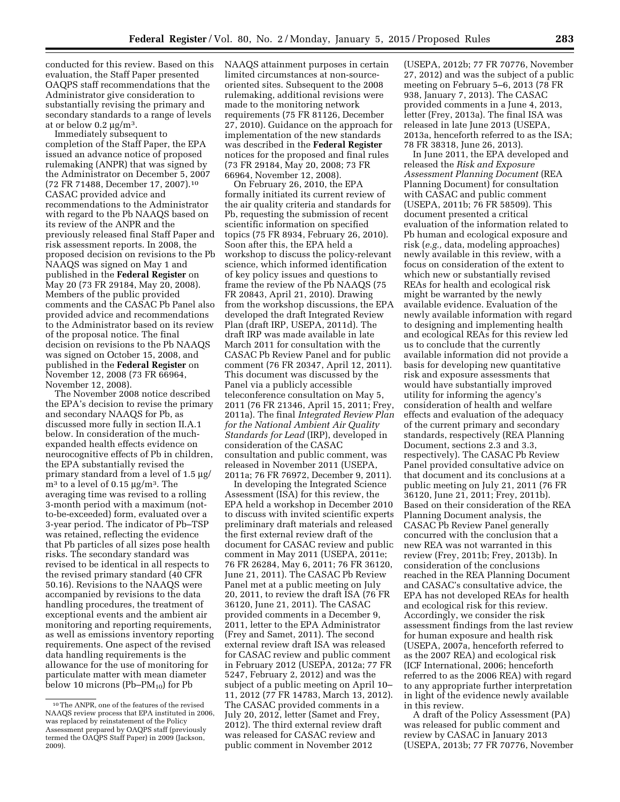conducted for this review. Based on this evaluation, the Staff Paper presented OAQPS staff recommendations that the Administrator give consideration to substantially revising the primary and secondary standards to a range of levels at or below  $0.2 \mu g/m^3$ .

Immediately subsequent to completion of the Staff Paper, the EPA issued an advance notice of proposed rulemaking (ANPR) that was signed by the Administrator on December 5, 2007 (72 FR 71488, December 17, 2007).10 CASAC provided advice and recommendations to the Administrator with regard to the Pb NAAQS based on its review of the ANPR and the previously released final Staff Paper and risk assessment reports. In 2008, the proposed decision on revisions to the Pb NAAQS was signed on May 1 and published in the **Federal Register** on May 20 (73 FR 29184, May 20, 2008). Members of the public provided comments and the CASAC Pb Panel also provided advice and recommendations to the Administrator based on its review of the proposal notice. The final decision on revisions to the Pb NAAQS was signed on October 15, 2008, and published in the **Federal Register** on November 12, 2008 (73 FR 66964, November 12, 2008).

The November 2008 notice described the EPA's decision to revise the primary and secondary NAAQS for Pb, as discussed more fully in section II.A.1 below. In consideration of the muchexpanded health effects evidence on neurocognitive effects of Pb in children, the EPA substantially revised the primary standard from a level of 1.5  $\mu$ g/  $m<sup>3</sup>$  to a level of 0.15  $\mu$ g/m<sup>3</sup>. The averaging time was revised to a rolling 3-month period with a maximum (notto-be-exceeded) form, evaluated over a 3-year period. The indicator of Pb–TSP was retained, reflecting the evidence that Pb particles of all sizes pose health risks. The secondary standard was revised to be identical in all respects to the revised primary standard (40 CFR 50.16). Revisions to the NAAQS were accompanied by revisions to the data handling procedures, the treatment of exceptional events and the ambient air monitoring and reporting requirements, as well as emissions inventory reporting requirements. One aspect of the revised data handling requirements is the allowance for the use of monitoring for particulate matter with mean diameter below 10 microns (Pb– $PM_{10}$ ) for Pb

NAAQS attainment purposes in certain limited circumstances at non-sourceoriented sites. Subsequent to the 2008 rulemaking, additional revisions were made to the monitoring network requirements (75 FR 81126, December 27, 2010). Guidance on the approach for implementation of the new standards was described in the **Federal Register**  notices for the proposed and final rules (73 FR 29184, May 20, 2008; 73 FR 66964, November 12, 2008).

On February 26, 2010, the EPA formally initiated its current review of the air quality criteria and standards for Pb, requesting the submission of recent scientific information on specified topics (75 FR 8934, February 26, 2010). Soon after this, the EPA held a workshop to discuss the policy-relevant science, which informed identification of key policy issues and questions to frame the review of the Pb NAAQS (75 FR 20843, April 21, 2010). Drawing from the workshop discussions, the EPA developed the draft Integrated Review Plan (draft IRP, USEPA, 2011d). The draft IRP was made available in late March 2011 for consultation with the CASAC Pb Review Panel and for public comment (76 FR 20347, April 12, 2011). This document was discussed by the Panel via a publicly accessible teleconference consultation on May 5, 2011 (76 FR 21346, April 15, 2011; Frey, 2011a). The final *Integrated Review Plan for the National Ambient Air Quality Standards for Lead* (IRP), developed in consideration of the CASAC consultation and public comment, was released in November 2011 (USEPA, 2011a; 76 FR 76972, December 9, 2011).

In developing the Integrated Science Assessment (ISA) for this review, the EPA held a workshop in December 2010 to discuss with invited scientific experts preliminary draft materials and released the first external review draft of the document for CASAC review and public comment in May 2011 (USEPA, 2011e; 76 FR 26284, May 6, 2011; 76 FR 36120, June 21, 2011). The CASAC Pb Review Panel met at a public meeting on July 20, 2011, to review the draft ISA (76 FR 36120, June 21, 2011). The CASAC provided comments in a December 9, 2011, letter to the EPA Administrator (Frey and Samet, 2011). The second external review draft ISA was released for CASAC review and public comment in February 2012 (USEPA, 2012a; 77 FR 5247, February 2, 2012) and was the subject of a public meeting on April 10– 11, 2012 (77 FR 14783, March 13, 2012). The CASAC provided comments in a July 20, 2012, letter (Samet and Frey, 2012). The third external review draft was released for CASAC review and public comment in November 2012

(USEPA, 2012b; 77 FR 70776, November 27, 2012) and was the subject of a public meeting on February 5–6, 2013 (78 FR 938, January 7, 2013). The CASAC provided comments in a June 4, 2013, letter (Frey, 2013a). The final ISA was released in late June 2013 (USEPA, 2013a, henceforth referred to as the ISA; 78 FR 38318, June 26, 2013).

In June 2011, the EPA developed and released the *Risk and Exposure Assessment Planning Document* (REA Planning Document) for consultation with CASAC and public comment (USEPA, 2011b; 76 FR 58509). This document presented a critical evaluation of the information related to Pb human and ecological exposure and risk (*e.g.,* data, modeling approaches) newly available in this review, with a focus on consideration of the extent to which new or substantially revised REAs for health and ecological risk might be warranted by the newly available evidence. Evaluation of the newly available information with regard to designing and implementing health and ecological REAs for this review led us to conclude that the currently available information did not provide a basis for developing new quantitative risk and exposure assessments that would have substantially improved utility for informing the agency's consideration of health and welfare effects and evaluation of the adequacy of the current primary and secondary standards, respectively (REA Planning Document, sections 2.3 and 3.3, respectively). The CASAC Pb Review Panel provided consultative advice on that document and its conclusions at a public meeting on July 21, 2011 (76 FR 36120, June 21, 2011; Frey, 2011b). Based on their consideration of the REA Planning Document analysis, the CASAC Pb Review Panel generally concurred with the conclusion that a new REA was not warranted in this review (Frey, 2011b; Frey, 2013b). In consideration of the conclusions reached in the REA Planning Document and CASAC's consultative advice, the EPA has not developed REAs for health and ecological risk for this review. Accordingly, we consider the risk assessment findings from the last review for human exposure and health risk (USEPA, 2007a, henceforth referred to as the 2007 REA) and ecological risk (ICF International, 2006; henceforth referred to as the 2006 REA) with regard to any appropriate further interpretation in light of the evidence newly available in this review.

A draft of the Policy Assessment (PA) was released for public comment and review by CASAC in January 2013 (USEPA, 2013b; 77 FR 70776, November

<sup>10</sup>The ANPR, one of the features of the revised NAAQS review process that EPA instituted in 2006, was replaced by reinstatement of the Policy Assessment prepared by OAQPS staff (previously termed the OAQPS Staff Paper) in 2009 (Jackson, 2009).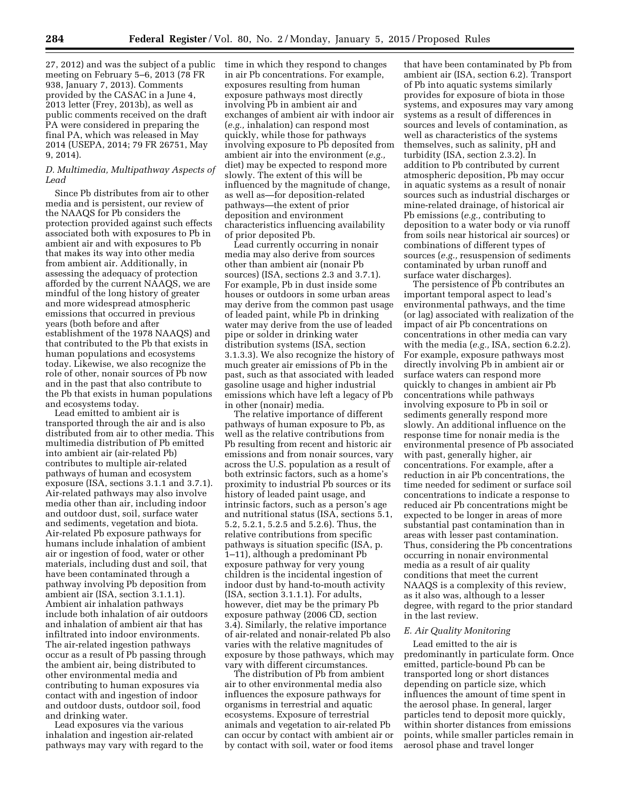27, 2012) and was the subject of a public meeting on February 5–6, 2013 (78 FR 938, January 7, 2013). Comments provided by the CASAC in a June 4, 2013 letter (Frey, 2013b), as well as public comments received on the draft PA were considered in preparing the final PA, which was released in May 2014 (USEPA, 2014; 79 FR 26751, May 9, 2014).

### *D. Multimedia, Multipathway Aspects of Lead*

Since Pb distributes from air to other media and is persistent, our review of the NAAQS for Pb considers the protection provided against such effects associated both with exposures to Pb in ambient air and with exposures to Pb that makes its way into other media from ambient air. Additionally, in assessing the adequacy of protection afforded by the current NAAQS, we are mindful of the long history of greater and more widespread atmospheric emissions that occurred in previous years (both before and after establishment of the 1978 NAAQS) and that contributed to the Pb that exists in human populations and ecosystems today. Likewise, we also recognize the role of other, nonair sources of Pb now and in the past that also contribute to the Pb that exists in human populations and ecosystems today.

Lead emitted to ambient air is transported through the air and is also distributed from air to other media. This multimedia distribution of Pb emitted into ambient air (air-related Pb) contributes to multiple air-related pathways of human and ecosystem exposure (ISA, sections 3.1.1 and 3.7.1). Air-related pathways may also involve media other than air, including indoor and outdoor dust, soil, surface water and sediments, vegetation and biota. Air-related Pb exposure pathways for humans include inhalation of ambient air or ingestion of food, water or other materials, including dust and soil, that have been contaminated through a pathway involving Pb deposition from ambient air (ISA, section 3.1.1.1). Ambient air inhalation pathways include both inhalation of air outdoors and inhalation of ambient air that has infiltrated into indoor environments. The air-related ingestion pathways occur as a result of Pb passing through the ambient air, being distributed to other environmental media and contributing to human exposures via contact with and ingestion of indoor and outdoor dusts, outdoor soil, food and drinking water.

Lead exposures via the various inhalation and ingestion air-related pathways may vary with regard to the time in which they respond to changes in air Pb concentrations. For example, exposures resulting from human exposure pathways most directly involving Pb in ambient air and exchanges of ambient air with indoor air (*e.g.,* inhalation) can respond most quickly, while those for pathways involving exposure to Pb deposited from ambient air into the environment (*e.g.,*  diet) may be expected to respond more slowly. The extent of this will be influenced by the magnitude of change, as well as—for deposition-related pathways—the extent of prior deposition and environment characteristics influencing availability of prior deposited Pb.

Lead currently occurring in nonair media may also derive from sources other than ambient air (nonair Pb sources) (ISA, sections 2.3 and 3.7.1). For example, Pb in dust inside some houses or outdoors in some urban areas may derive from the common past usage of leaded paint, while Pb in drinking water may derive from the use of leaded pipe or solder in drinking water distribution systems (ISA, section 3.1.3.3). We also recognize the history of much greater air emissions of Pb in the past, such as that associated with leaded gasoline usage and higher industrial emissions which have left a legacy of Pb in other (nonair) media.

The relative importance of different pathways of human exposure to Pb, as well as the relative contributions from Pb resulting from recent and historic air emissions and from nonair sources, vary across the U.S. population as a result of both extrinsic factors, such as a home's proximity to industrial Pb sources or its history of leaded paint usage, and intrinsic factors, such as a person's age and nutritional status (ISA, sections 5.1, 5.2, 5.2.1, 5.2.5 and 5.2.6). Thus, the relative contributions from specific pathways is situation specific (ISA, p. 1–11), although a predominant Pb exposure pathway for very young children is the incidental ingestion of indoor dust by hand-to-mouth activity (ISA, section 3.1.1.1). For adults, however, diet may be the primary Pb exposure pathway (2006 CD, section 3.4). Similarly, the relative importance of air-related and nonair-related Pb also varies with the relative magnitudes of exposure by those pathways, which may vary with different circumstances.

The distribution of Pb from ambient air to other environmental media also influences the exposure pathways for organisms in terrestrial and aquatic ecosystems. Exposure of terrestrial animals and vegetation to air-related Pb can occur by contact with ambient air or by contact with soil, water or food items

that have been contaminated by Pb from ambient air (ISA, section 6.2). Transport of Pb into aquatic systems similarly provides for exposure of biota in those systems, and exposures may vary among systems as a result of differences in sources and levels of contamination, as well as characteristics of the systems themselves, such as salinity, pH and turbidity (ISA, section 2.3.2). In addition to Pb contributed by current atmospheric deposition, Pb may occur in aquatic systems as a result of nonair sources such as industrial discharges or mine-related drainage, of historical air Pb emissions (*e.g.,* contributing to deposition to a water body or via runoff from soils near historical air sources) or combinations of different types of sources (*e.g.,* resuspension of sediments contaminated by urban runoff and surface water discharges).

The persistence of Pb contributes an important temporal aspect to lead's environmental pathways, and the time (or lag) associated with realization of the impact of air Pb concentrations on concentrations in other media can vary with the media (*e.g.,* ISA, section 6.2.2). For example, exposure pathways most directly involving Pb in ambient air or surface waters can respond more quickly to changes in ambient air Pb concentrations while pathways involving exposure to Pb in soil or sediments generally respond more slowly. An additional influence on the response time for nonair media is the environmental presence of Pb associated with past, generally higher, air concentrations. For example, after a reduction in air Pb concentrations, the time needed for sediment or surface soil concentrations to indicate a response to reduced air Pb concentrations might be expected to be longer in areas of more substantial past contamination than in areas with lesser past contamination. Thus, considering the Pb concentrations occurring in nonair environmental media as a result of air quality conditions that meet the current NAAQS is a complexity of this review, as it also was, although to a lesser degree, with regard to the prior standard in the last review.

## *E. Air Quality Monitoring*

Lead emitted to the air is predominantly in particulate form. Once emitted, particle-bound Pb can be transported long or short distances depending on particle size, which influences the amount of time spent in the aerosol phase. In general, larger particles tend to deposit more quickly, within shorter distances from emissions points, while smaller particles remain in aerosol phase and travel longer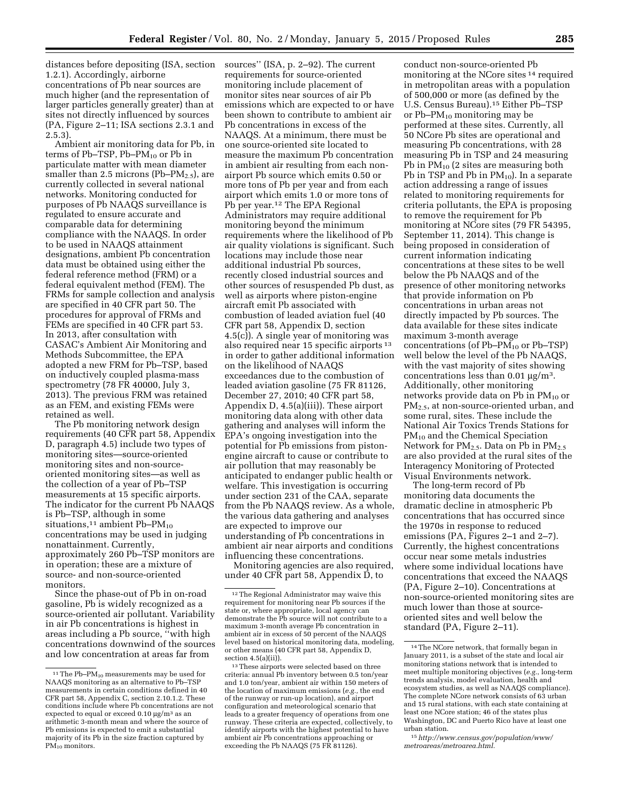distances before depositing (ISA, section 1.2.1). Accordingly, airborne concentrations of Pb near sources are much higher (and the representation of larger particles generally greater) than at sites not directly influenced by sources (PA, Figure 2–11; ISA sections 2.3.1 and 2.5.3).

Ambient air monitoring data for Pb, in terms of Pb–TSP, Pb– $PM_{10}$  or Pb in particulate matter with mean diameter smaller than 2.5 microns (Pb– $PM_{2.5}$ ), are currently collected in several national networks. Monitoring conducted for purposes of Pb NAAQS surveillance is regulated to ensure accurate and comparable data for determining compliance with the NAAQS. In order to be used in NAAQS attainment designations, ambient Pb concentration data must be obtained using either the federal reference method (FRM) or a federal equivalent method (FEM). The FRMs for sample collection and analysis are specified in 40 CFR part 50. The procedures for approval of FRMs and FEMs are specified in 40 CFR part 53. In 2013, after consultation with CASAC's Ambient Air Monitoring and Methods Subcommittee, the EPA adopted a new FRM for Pb–TSP, based on inductively coupled plasma-mass spectrometry (78 FR 40000, July 3, 2013). The previous FRM was retained as an FEM, and existing FEMs were retained as well.

The Pb monitoring network design requirements (40 CFR part 58, Appendix D, paragraph 4.5) include two types of monitoring sites—source-oriented monitoring sites and non-sourceoriented monitoring sites—as well as the collection of a year of Pb–TSP measurements at 15 specific airports. The indicator for the current Pb NAAQS is Pb–TSP, although in some situations,<sup>11</sup> ambient Pb–P $M_{10}$ concentrations may be used in judging nonattainment. Currently, approximately 260 Pb–TSP monitors are in operation; these are a mixture of source- and non-source-oriented monitors.

Since the phase-out of Pb in on-road gasoline, Pb is widely recognized as a source-oriented air pollutant. Variability in air Pb concentrations is highest in areas including a Pb source, ''with high concentrations downwind of the sources and low concentration at areas far from

sources'' (ISA, p. 2–92). The current requirements for source-oriented monitoring include placement of monitor sites near sources of air Pb emissions which are expected to or have been shown to contribute to ambient air Pb concentrations in excess of the NAAQS. At a minimum, there must be one source-oriented site located to measure the maximum Pb concentration in ambient air resulting from each nonairport Pb source which emits 0.50 or more tons of Pb per year and from each airport which emits 1.0 or more tons of Pb per year.12 The EPA Regional Administrators may require additional monitoring beyond the minimum requirements where the likelihood of Pb air quality violations is significant. Such locations may include those near additional industrial Pb sources, recently closed industrial sources and other sources of resuspended Pb dust, as well as airports where piston-engine aircraft emit Pb associated with combustion of leaded aviation fuel (40 CFR part 58, Appendix D, section 4.5(c)). A single year of monitoring was also required near 15 specific airports 13 in order to gather additional information on the likelihood of NAAQS exceedances due to the combustion of leaded aviation gasoline (75 FR 81126, December 27, 2010; 40 CFR part 58, Appendix D, 4.5(a)(iii)). These airport monitoring data along with other data gathering and analyses will inform the EPA's ongoing investigation into the potential for Pb emissions from pistonengine aircraft to cause or contribute to air pollution that may reasonably be anticipated to endanger public health or welfare. This investigation is occurring under section 231 of the CAA, separate from the Pb NAAQS review. As a whole, the various data gathering and analyses are expected to improve our understanding of Pb concentrations in ambient air near airports and conditions influencing these concentrations.

Monitoring agencies are also required, under 40 CFR part 58, Appendix D, to

13These airports were selected based on three criteria: annual Pb inventory between 0.5 ton/year and 1.0 ton/year, ambient air within 150 meters of the location of maximum emissions (*e.g.,* the end of the runway or run-up location), and airport configuration and meteorological scenario that leads to a greater frequency of operations from one runway. These criteria are expected, collectively, to identify airports with the highest potential to have ambient air Pb concentrations approaching or exceeding the Pb NAAQS (75 FR 81126).

conduct non-source-oriented Pb monitoring at the NCore sites 14 required in metropolitan areas with a population of 500,000 or more (as defined by the U.S. Census Bureau).15 Either Pb–TSP or Pb–PM10 monitoring may be performed at these sites. Currently, all 50 NCore Pb sites are operational and measuring Pb concentrations, with 28 measuring Pb in TSP and 24 measuring Pb in PM10 (2 sites are measuring both Pb in TSP and Pb in  $PM_{10}$ ). In a separate action addressing a range of issues related to monitoring requirements for criteria pollutants, the EPA is proposing to remove the requirement for Pb monitoring at NCore sites (79 FR 54395, September 11, 2014). This change is being proposed in consideration of current information indicating concentrations at these sites to be well below the Pb NAAQS and of the presence of other monitoring networks that provide information on Pb concentrations in urban areas not directly impacted by Pb sources. The data available for these sites indicate maximum 3-month average concentrations (of  $Pb-PM_{10}$  or  $Pb-TSP$ ) well below the level of the Pb NAAQS, with the vast majority of sites showing concentrations less than  $0.01 \mu g/m^3$ . Additionally, other monitoring networks provide data on Pb in  $PM_{10}$  or PM2.5, at non-source-oriented urban, and some rural, sites. These include the National Air Toxics Trends Stations for PM<sub>10</sub> and the Chemical Speciation Network for  $PM_{2.5}$ . Data on Pb in  $PM_{2.5}$ are also provided at the rural sites of the Interagency Monitoring of Protected Visual Environments network.

The long-term record of Pb monitoring data documents the dramatic decline in atmospheric Pb concentrations that has occurred since the 1970s in response to reduced emissions (PA, Figures 2–1 and 2–7). Currently, the highest concentrations occur near some metals industries where some individual locations have concentrations that exceed the NAAQS (PA, Figure 2–10). Concentrations at non-source-oriented monitoring sites are much lower than those at sourceoriented sites and well below the standard (PA, Figure 2–11).

<sup>&</sup>lt;sup>11</sup> The Pb–P $M_{10}$  measurements may be used for NAAQS monitoring as an alternative to Pb–TSP measurements in certain conditions defined in 40 CFR part 58, Appendix C, section 2.10.1.2. These conditions include where Pb concentrations are not expected to equal or exceed  $0.10 \mu\text{g/m}^3$  as an arithmetic 3-month mean and where the source of Pb emissions is expected to emit a substantial majority of its Pb in the size fraction captured by  $PM_{10}$  monitors.

<sup>12</sup>The Regional Administrator may waive this requirement for monitoring near Pb sources if the state or, where appropriate, local agency can demonstrate the Pb source will not contribute to a maximum 3-month average Pb concentration in ambient air in excess of 50 percent of the NAAQS level based on historical monitoring data, modeling, or other means (40 CFR part 58, Appendix D, section  $4.5(a)(ii)$ .

<sup>14</sup>The NCore network, that formally began in January 2011, is a subset of the state and local air monitoring stations network that is intended to meet multiple monitoring objectives (*e.g.*, long-term trends analysis, model evaluation, health and ecosystem studies, as well as NAAQS compliance). The complete NCore network consists of 63 urban and 15 rural stations, with each state containing at least one NCore station; 46 of the states plus Washington, DC and Puerto Rico have at least one urban station.

<sup>15</sup>*[http://www.census.gov/population/www/](http://www.census.gov/population/www/metroareas/metroarea.html) [metroareas/metroarea.html.](http://www.census.gov/population/www/metroareas/metroarea.html)*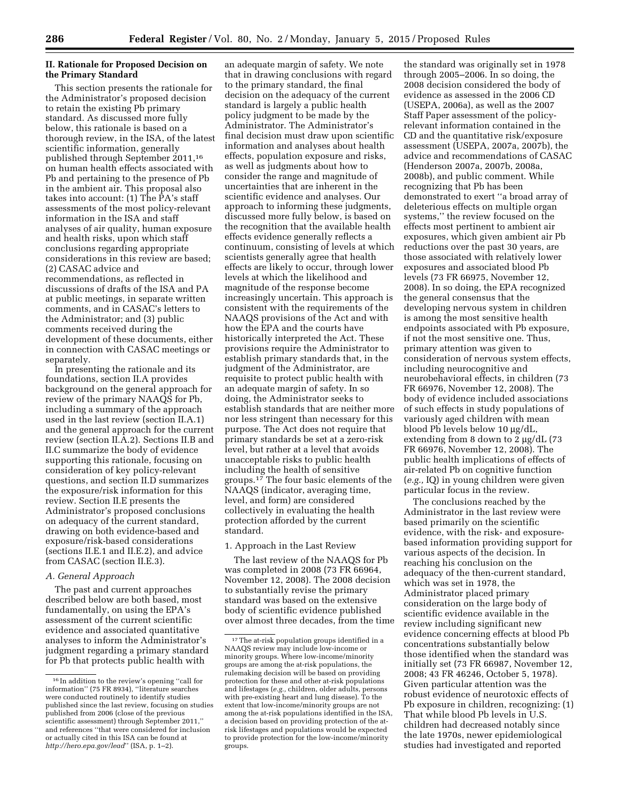## **II. Rationale for Proposed Decision on the Primary Standard**

This section presents the rationale for the Administrator's proposed decision to retain the existing Pb primary standard. As discussed more fully below, this rationale is based on a thorough review, in the ISA, of the latest scientific information, generally published through September 2011,16 on human health effects associated with Pb and pertaining to the presence of Pb in the ambient air. This proposal also takes into account: (1) The PA's staff assessments of the most policy-relevant information in the ISA and staff analyses of air quality, human exposure and health risks, upon which staff conclusions regarding appropriate considerations in this review are based; (2) CASAC advice and recommendations, as reflected in discussions of drafts of the ISA and PA at public meetings, in separate written comments, and in CASAC's letters to the Administrator; and (3) public comments received during the development of these documents, either in connection with CASAC meetings or separately.

In presenting the rationale and its foundations, section II.A provides background on the general approach for review of the primary NAAQS for Pb, including a summary of the approach used in the last review (section II.A.1) and the general approach for the current review (section II.A.2). Sections II.B and II.C summarize the body of evidence supporting this rationale, focusing on consideration of key policy-relevant questions, and section II.D summarizes the exposure/risk information for this review. Section II.E presents the Administrator's proposed conclusions on adequacy of the current standard, drawing on both evidence-based and exposure/risk-based considerations (sections II.E.1 and II.E.2), and advice from CASAC (section II.E.3).

### *A. General Approach*

The past and current approaches described below are both based, most fundamentally, on using the EPA's assessment of the current scientific evidence and associated quantitative analyses to inform the Administrator's judgment regarding a primary standard for Pb that protects public health with

an adequate margin of safety. We note that in drawing conclusions with regard to the primary standard, the final decision on the adequacy of the current standard is largely a public health policy judgment to be made by the Administrator. The Administrator's final decision must draw upon scientific information and analyses about health effects, population exposure and risks, as well as judgments about how to consider the range and magnitude of uncertainties that are inherent in the scientific evidence and analyses. Our approach to informing these judgments, discussed more fully below, is based on the recognition that the available health effects evidence generally reflects a continuum, consisting of levels at which scientists generally agree that health effects are likely to occur, through lower levels at which the likelihood and magnitude of the response become increasingly uncertain. This approach is consistent with the requirements of the NAAQS provisions of the Act and with how the EPA and the courts have historically interpreted the Act. These provisions require the Administrator to establish primary standards that, in the judgment of the Administrator, are requisite to protect public health with an adequate margin of safety. In so doing, the Administrator seeks to establish standards that are neither more nor less stringent than necessary for this purpose. The Act does not require that primary standards be set at a zero-risk level, but rather at a level that avoids unacceptable risks to public health including the health of sensitive groups.17 The four basic elements of the NAAQS (indicator, averaging time, level, and form) are considered collectively in evaluating the health protection afforded by the current standard.

### 1. Approach in the Last Review

The last review of the NAAQS for Pb was completed in 2008 (73 FR 66964, November 12, 2008). The 2008 decision to substantially revise the primary standard was based on the extensive body of scientific evidence published over almost three decades, from the time

the standard was originally set in 1978 through 2005–2006. In so doing, the 2008 decision considered the body of evidence as assessed in the 2006 CD (USEPA, 2006a), as well as the 2007 Staff Paper assessment of the policyrelevant information contained in the CD and the quantitative risk/exposure assessment (USEPA, 2007a, 2007b), the advice and recommendations of CASAC (Henderson 2007a, 2007b, 2008a, 2008b), and public comment. While recognizing that Pb has been demonstrated to exert ''a broad array of deleterious effects on multiple organ systems,'' the review focused on the effects most pertinent to ambient air exposures, which given ambient air Pb reductions over the past 30 years, are those associated with relatively lower exposures and associated blood Pb levels (73 FR 66975, November 12, 2008). In so doing, the EPA recognized the general consensus that the developing nervous system in children is among the most sensitive health endpoints associated with Pb exposure, if not the most sensitive one. Thus, primary attention was given to consideration of nervous system effects, including neurocognitive and neurobehavioral effects, in children (73 FR 66976, November 12, 2008). The body of evidence included associations of such effects in study populations of variously aged children with mean blood Pb levels below 10 μg/dL, extending from 8 down to 2  $\mu$ g/dL (73 FR 66976, November 12, 2008). The public health implications of effects of air-related Pb on cognitive function (*e.g.,* IQ) in young children were given particular focus in the review.

The conclusions reached by the Administrator in the last review were based primarily on the scientific evidence, with the risk- and exposurebased information providing support for various aspects of the decision. In reaching his conclusion on the adequacy of the then-current standard, which was set in 1978, the Administrator placed primary consideration on the large body of scientific evidence available in the review including significant new evidence concerning effects at blood Pb concentrations substantially below those identified when the standard was initially set (73 FR 66987, November 12, 2008; 43 FR 46246, October 5, 1978). Given particular attention was the robust evidence of neurotoxic effects of Pb exposure in children, recognizing: (1) That while blood Pb levels in U.S. children had decreased notably since the late 1970s, newer epidemiological studies had investigated and reported

<sup>16</sup> In addition to the review's opening ''call for information'' (75 FR 8934), ''literature searches were conducted routinely to identify studies published since the last review, focusing on studies published from 2006 (close of the previous scientific assessment) through September 2011,'' and references ''that were considered for inclusion or actually cited in this ISA can be found at *<http://hero.epa.gov/lead>*'' (ISA, p. 1–2).

<sup>17</sup>The at-risk population groups identified in a NAAQS review may include low-income or minority groups. Where low-income/minority groups are among the at-risk populations, the rulemaking decision will be based on providing protection for these and other at-risk populations and lifestages (*e.g.,* children, older adults, persons with pre-existing heart and lung disease). To the extent that low-income/minority groups are not among the at-risk populations identified in the ISA, a decision based on providing protection of the atrisk lifestages and populations would be expected to provide protection for the low-income/minority groups.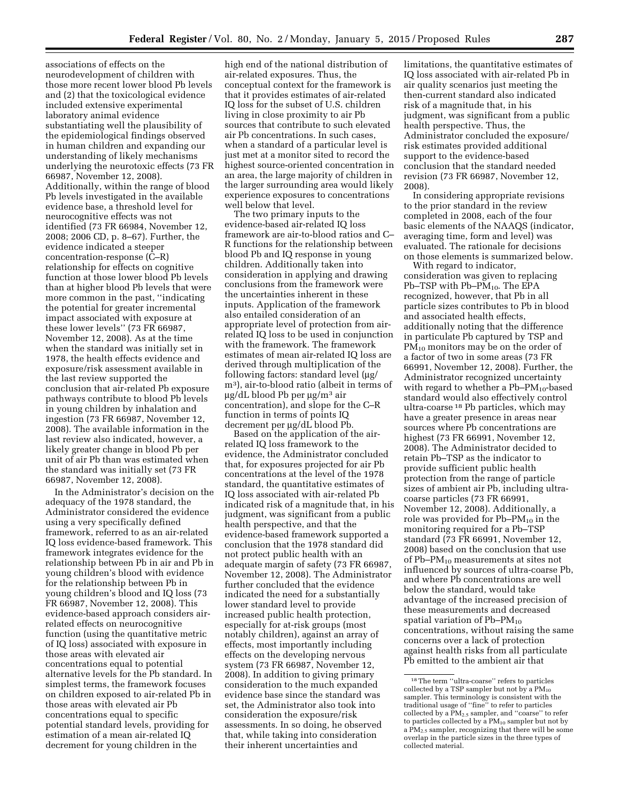associations of effects on the neurodevelopment of children with those more recent lower blood Pb levels and (2) that the toxicological evidence included extensive experimental laboratory animal evidence substantiating well the plausibility of the epidemiological findings observed in human children and expanding our understanding of likely mechanisms underlying the neurotoxic effects (73 FR 66987, November 12, 2008). Additionally, within the range of blood Pb levels investigated in the available evidence base, a threshold level for neurocognitive effects was not identified (73 FR 66984, November 12, 2008; 2006 CD, p. 8–67). Further, the evidence indicated a steeper concentration-response (C–R) relationship for effects on cognitive function at those lower blood Pb levels than at higher blood Pb levels that were more common in the past, ''indicating the potential for greater incremental impact associated with exposure at these lower levels'' (73 FR 66987, November 12, 2008). As at the time when the standard was initially set in 1978, the health effects evidence and exposure/risk assessment available in the last review supported the conclusion that air-related Pb exposure pathways contribute to blood Pb levels in young children by inhalation and ingestion (73 FR 66987, November 12, 2008). The available information in the last review also indicated, however, a likely greater change in blood Pb per unit of air Pb than was estimated when the standard was initially set (73 FR 66987, November 12, 2008).

In the Administrator's decision on the adequacy of the 1978 standard, the Administrator considered the evidence using a very specifically defined framework, referred to as an air-related IQ loss evidence-based framework. This framework integrates evidence for the relationship between Pb in air and Pb in young children's blood with evidence for the relationship between Pb in young children's blood and IQ loss (73 FR 66987, November 12, 2008). This evidence-based approach considers airrelated effects on neurocognitive function (using the quantitative metric of IQ loss) associated with exposure in those areas with elevated air concentrations equal to potential alternative levels for the Pb standard. In simplest terms, the framework focuses on children exposed to air-related Pb in those areas with elevated air Pb concentrations equal to specific potential standard levels, providing for estimation of a mean air-related IQ decrement for young children in the

high end of the national distribution of air-related exposures. Thus, the conceptual context for the framework is that it provides estimates of air-related IQ loss for the subset of U.S. children living in close proximity to air Pb sources that contribute to such elevated air Pb concentrations. In such cases, when a standard of a particular level is just met at a monitor sited to record the highest source-oriented concentration in an area, the large majority of children in the larger surrounding area would likely experience exposures to concentrations well below that level.

The two primary inputs to the evidence-based air-related IQ loss framework are air-to-blood ratios and C– R functions for the relationship between blood Pb and IQ response in young children. Additionally taken into consideration in applying and drawing conclusions from the framework were the uncertainties inherent in these inputs. Application of the framework also entailed consideration of an appropriate level of protection from airrelated IQ loss to be used in conjunction with the framework. The framework estimates of mean air-related IQ loss are derived through multiplication of the following factors: standard level (µg/ m3), air-to-blood ratio (albeit in terms of  $\mu$ g/dL blood Pb per  $\mu$ g/m<sup>3</sup> air concentration), and slope for the C–R function in terms of points IQ decrement per µg/dL blood Pb.

Based on the application of the airrelated IQ loss framework to the evidence, the Administrator concluded that, for exposures projected for air Pb concentrations at the level of the 1978 standard, the quantitative estimates of IQ loss associated with air-related Pb indicated risk of a magnitude that, in his judgment, was significant from a public health perspective, and that the evidence-based framework supported a conclusion that the 1978 standard did not protect public health with an adequate margin of safety (73 FR 66987, November 12, 2008). The Administrator further concluded that the evidence indicated the need for a substantially lower standard level to provide increased public health protection, especially for at-risk groups (most notably children), against an array of effects, most importantly including effects on the developing nervous system (73 FR 66987, November 12, 2008). In addition to giving primary consideration to the much expanded evidence base since the standard was set, the Administrator also took into consideration the exposure/risk assessments. In so doing, he observed that, while taking into consideration their inherent uncertainties and

limitations, the quantitative estimates of IQ loss associated with air-related Pb in air quality scenarios just meeting the then-current standard also indicated risk of a magnitude that, in his judgment, was significant from a public health perspective. Thus, the Administrator concluded the exposure/ risk estimates provided additional support to the evidence-based conclusion that the standard needed revision (73 FR 66987, November 12, 2008).

In considering appropriate revisions to the prior standard in the review completed in 2008, each of the four basic elements of the NAAQS (indicator, averaging time, form and level) was evaluated. The rationale for decisions on those elements is summarized below.

With regard to indicator, consideration was given to replacing Pb–TSP with  $Pb-PM_{10}$ . The EPA recognized, however, that Pb in all particle sizes contributes to Pb in blood and associated health effects, additionally noting that the difference in particulate Pb captured by TSP and  $PM_{10}$  monitors may be on the order of a factor of two in some areas (73 FR 66991, November 12, 2008). Further, the Administrator recognized uncertainty with regard to whether a  $Pb-PM_{10}$ -based standard would also effectively control ultra-coarse 18 Pb particles, which may have a greater presence in areas near sources where Pb concentrations are highest (73 FR 66991, November 12, 2008). The Administrator decided to retain Pb–TSP as the indicator to provide sufficient public health protection from the range of particle sizes of ambient air Pb, including ultracoarse particles (73 FR 66991, November 12, 2008). Additionally, a role was provided for Pb–PM10 in the monitoring required for a Pb–TSP standard (73 FR 66991, November 12, 2008) based on the conclusion that use of Pb–PM10 measurements at sites not influenced by sources of ultra-coarse Pb, and where Pb concentrations are well below the standard, would take advantage of the increased precision of these measurements and decreased spatial variation of  $Pb-PM_{10}$ concentrations, without raising the same concerns over a lack of protection against health risks from all particulate Pb emitted to the ambient air that

<sup>18</sup>The term ''ultra-coarse'' refers to particles collected by a TSP sampler but not by a PM10 sampler. This terminology is consistent with the traditional usage of ''fine'' to refer to particles collected by a PM2.5 sampler, and ''coarse'' to refer to particles collected by a  $PM_{10}$  sampler but not by a PM2.5 sampler, recognizing that there will be some overlap in the particle sizes in the three types of collected material.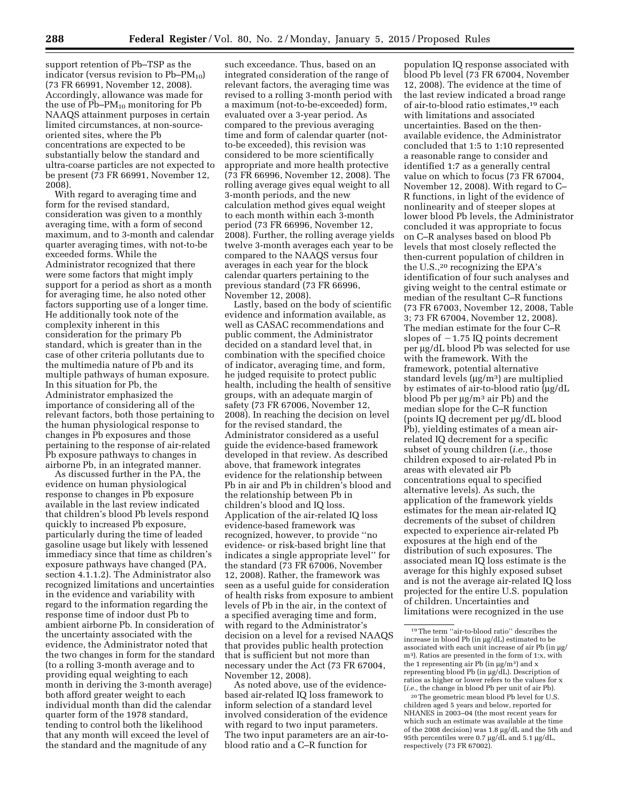support retention of Pb–TSP as the indicator (versus revision to  $Pb-PM_{10}$ ) (73 FR 66991, November 12, 2008). Accordingly, allowance was made for the use of  $Pb-PM_{10}$  monitoring for  $Pb$ NAAQS attainment purposes in certain limited circumstances, at non-sourceoriented sites, where the Pb concentrations are expected to be substantially below the standard and ultra-coarse particles are not expected to be present (73 FR 66991, November 12, 2008).

With regard to averaging time and form for the revised standard, consideration was given to a monthly averaging time, with a form of second maximum, and to 3-month and calendar quarter averaging times, with not-to-be exceeded forms. While the Administrator recognized that there were some factors that might imply support for a period as short as a month for averaging time, he also noted other factors supporting use of a longer time. He additionally took note of the complexity inherent in this consideration for the primary Pb standard, which is greater than in the case of other criteria pollutants due to the multimedia nature of Pb and its multiple pathways of human exposure. In this situation for Pb, the Administrator emphasized the importance of considering all of the relevant factors, both those pertaining to the human physiological response to changes in Pb exposures and those pertaining to the response of air-related Pb exposure pathways to changes in airborne Pb, in an integrated manner.

As discussed further in the PA, the evidence on human physiological response to changes in Pb exposure available in the last review indicated that children's blood Pb levels respond quickly to increased Pb exposure, particularly during the time of leaded gasoline usage but likely with lessened immediacy since that time as children's exposure pathways have changed (PA, section 4.1.1.2). The Administrator also recognized limitations and uncertainties in the evidence and variability with regard to the information regarding the response time of indoor dust Pb to ambient airborne Pb. In consideration of the uncertainty associated with the evidence, the Administrator noted that the two changes in form for the standard (to a rolling 3-month average and to providing equal weighting to each month in deriving the 3-month average) both afford greater weight to each individual month than did the calendar quarter form of the 1978 standard, tending to control both the likelihood that any month will exceed the level of the standard and the magnitude of any

such exceedance. Thus, based on an integrated consideration of the range of relevant factors, the averaging time was revised to a rolling 3-month period with a maximum (not-to-be-exceeded) form, evaluated over a 3-year period. As compared to the previous averaging time and form of calendar quarter (notto-be exceeded), this revision was considered to be more scientifically appropriate and more health protective (73 FR 66996, November 12, 2008). The rolling average gives equal weight to all 3-month periods, and the new calculation method gives equal weight to each month within each 3-month period (73 FR 66996, November 12, 2008). Further, the rolling average yields twelve 3-month averages each year to be compared to the NAAQS versus four averages in each year for the block calendar quarters pertaining to the previous standard (73 FR 66996, November 12, 2008).

Lastly, based on the body of scientific evidence and information available, as well as CASAC recommendations and public comment, the Administrator decided on a standard level that, in combination with the specified choice of indicator, averaging time, and form, he judged requisite to protect public health, including the health of sensitive groups, with an adequate margin of safety (73 FR 67006, November 12, 2008). In reaching the decision on level for the revised standard, the Administrator considered as a useful guide the evidence-based framework developed in that review. As described above, that framework integrates evidence for the relationship between Pb in air and Pb in children's blood and the relationship between Pb in children's blood and IQ loss. Application of the air-related IQ loss evidence-based framework was recognized, however, to provide ''no evidence- or risk-based bright line that indicates a single appropriate level'' for the standard (73 FR 67006, November 12, 2008). Rather, the framework was seen as a useful guide for consideration of health risks from exposure to ambient levels of Pb in the air, in the context of a specified averaging time and form, with regard to the Administrator's decision on a level for a revised NAAQS that provides public health protection that is sufficient but not more than necessary under the Act (73 FR 67004, November 12, 2008).

As noted above, use of the evidencebased air-related IQ loss framework to inform selection of a standard level involved consideration of the evidence with regard to two input parameters. The two input parameters are an air-toblood ratio and a C–R function for

population IQ response associated with blood Pb level (73 FR 67004, November 12, 2008). The evidence at the time of the last review indicated a broad range of air-to-blood ratio estimates,19 each with limitations and associated uncertainties. Based on the thenavailable evidence, the Administrator concluded that 1:5 to 1:10 represented a reasonable range to consider and identified 1:7 as a generally central value on which to focus (73 FR 67004, November 12, 2008). With regard to C– R functions, in light of the evidence of nonlinearity and of steeper slopes at lower blood Pb levels, the Administrator concluded it was appropriate to focus on C–R analyses based on blood Pb levels that most closely reflected the then-current population of children in the U.S.,20 recognizing the EPA's identification of four such analyses and giving weight to the central estimate or median of the resultant C–R functions (73 FR 67003, November 12, 2008, Table 3; 73 FR 67004, November 12, 2008). The median estimate for the four C–R slopes of  $-1.75$  IQ points decrement per µg/dL blood Pb was selected for use with the framework. With the framework, potential alternative standard levels  $(\mu g/m^3)$  are multiplied by estimates of air-to-blood ratio  $\mu$ g/dL blood Pb per  $\mu$ g/m<sup>3</sup> air Pb) and the median slope for the C–R function (points IQ decrement per mg/dL blood Pb), yielding estimates of a mean airrelated IQ decrement for a specific subset of young children (*i.e.,* those children exposed to air-related Pb in areas with elevated air Pb concentrations equal to specified alternative levels). As such, the application of the framework yields estimates for the mean air-related IQ decrements of the subset of children expected to experience air-related Pb exposures at the high end of the distribution of such exposures. The associated mean IQ loss estimate is the average for this highly exposed subset and is not the average air-related IQ loss projected for the entire U.S. population of children. Uncertainties and limitations were recognized in the use

<sup>19</sup>The term ''air-to-blood ratio'' describes the increase in blood Pb (in  $\mu$ g/dL) estimated to be associated with each unit increase of air Pb (in ug/ m3). Ratios are presented in the form of 1:x, with the 1 representing air Pb (in  $\mu$ g/m<sup>3</sup>) and x representing blood Pb (in µg/dL). Description of ratios as higher or lower refers to the values for x (*i.e.,* the change in blood Pb per unit of air Pb).

<sup>20</sup>The geometric mean blood Pb level for U.S. children aged 5 years and below, reported for NHANES in 2003–04 (the most recent years for which such an estimate was available at the time of the 2008 decision) was 1.8 µg/dL and the 5th and 95th percentiles were 0.7  $\mu$ g/dL and 5.1  $\mu$ g/dL, respectively (73 FR 67002).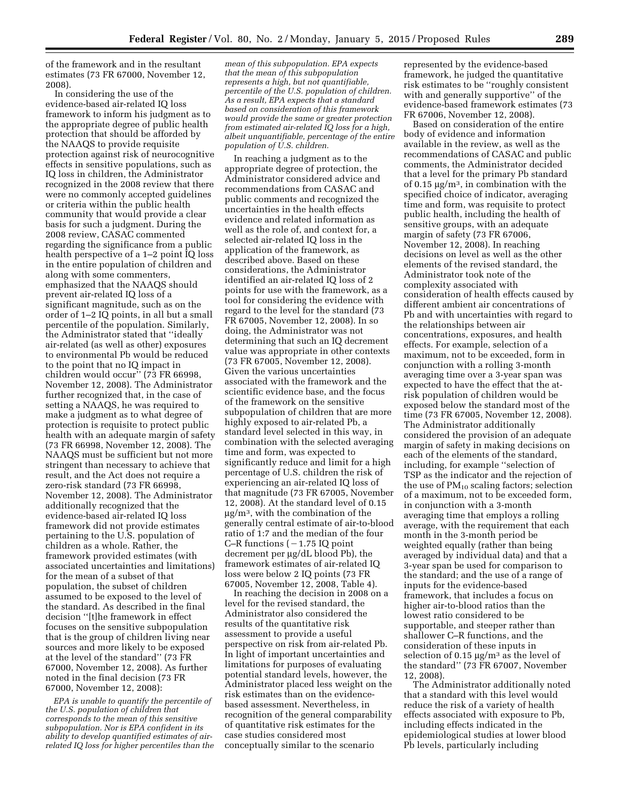of the framework and in the resultant estimates (73 FR 67000, November 12, 2008).

In considering the use of the evidence-based air-related IQ loss framework to inform his judgment as to the appropriate degree of public health protection that should be afforded by the NAAQS to provide requisite protection against risk of neurocognitive effects in sensitive populations, such as IQ loss in children, the Administrator recognized in the 2008 review that there were no commonly accepted guidelines or criteria within the public health community that would provide a clear basis for such a judgment. During the 2008 review, CASAC commented regarding the significance from a public health perspective of a 1–2 point IQ loss in the entire population of children and along with some commenters, emphasized that the NAAQS should prevent air-related IQ loss of a significant magnitude, such as on the order of 1–2 IQ points, in all but a small percentile of the population. Similarly, the Administrator stated that ''ideally air-related (as well as other) exposures to environmental Pb would be reduced to the point that no IQ impact in children would occur'' (73 FR 66998, November 12, 2008). The Administrator further recognized that, in the case of setting a NAAQS, he was required to make a judgment as to what degree of protection is requisite to protect public health with an adequate margin of safety (73 FR 66998, November 12, 2008). The NAAQS must be sufficient but not more stringent than necessary to achieve that result, and the Act does not require a zero-risk standard (73 FR 66998, November 12, 2008). The Administrator additionally recognized that the evidence-based air-related IQ loss framework did not provide estimates pertaining to the U.S. population of children as a whole. Rather, the framework provided estimates (with associated uncertainties and limitations) for the mean of a subset of that population, the subset of children assumed to be exposed to the level of the standard. As described in the final decision ''[t]he framework in effect focuses on the sensitive subpopulation that is the group of children living near sources and more likely to be exposed at the level of the standard'' (73 FR 67000, November 12, 2008). As further noted in the final decision (73 FR 67000, November 12, 2008):

*EPA is unable to quantify the percentile of the U.S. population of children that corresponds to the mean of this sensitive subpopulation. Nor is EPA confident in its ability to develop quantified estimates of airrelated IQ loss for higher percentiles than the* 

*mean of this subpopulation. EPA expects that the mean of this subpopulation represents a high, but not quantifiable, percentile of the U.S. population of children. As a result, EPA expects that a standard based on consideration of this framework would provide the same or greater protection from estimated air-related IQ loss for a high, albeit unquantifiable, percentage of the entire population of U.S. children.* 

In reaching a judgment as to the appropriate degree of protection, the Administrator considered advice and recommendations from CASAC and public comments and recognized the uncertainties in the health effects evidence and related information as well as the role of, and context for, a selected air-related IQ loss in the application of the framework, as described above. Based on these considerations, the Administrator identified an air-related IQ loss of 2 points for use with the framework, as a tool for considering the evidence with regard to the level for the standard (73 FR 67005, November 12, 2008). In so doing, the Administrator was not determining that such an IQ decrement value was appropriate in other contexts (73 FR 67005, November 12, 2008). Given the various uncertainties associated with the framework and the scientific evidence base, and the focus of the framework on the sensitive subpopulation of children that are more highly exposed to air-related Pb, a standard level selected in this way, in combination with the selected averaging time and form, was expected to significantly reduce and limit for a high percentage of U.S. children the risk of experiencing an air-related IQ loss of that magnitude (73 FR 67005, November 12, 2008). At the standard level of 0.15  $\mu$ g/m<sup>3</sup>, with the combination of the generally central estimate of air-to-blood ratio of 1:7 and the median of the four C–R functions  $(-1.75$  IQ point decrement per  $\mu$ g/dL blood Pb), the framework estimates of air-related IQ loss were below 2 IQ points (73 FR 67005, November 12, 2008, Table 4).

In reaching the decision in 2008 on a level for the revised standard, the Administrator also considered the results of the quantitative risk assessment to provide a useful perspective on risk from air-related Pb. In light of important uncertainties and limitations for purposes of evaluating potential standard levels, however, the Administrator placed less weight on the risk estimates than on the evidencebased assessment. Nevertheless, in recognition of the general comparability of quantitative risk estimates for the case studies considered most conceptually similar to the scenario

represented by the evidence-based framework, he judged the quantitative risk estimates to be ''roughly consistent with and generally supportive'' of the evidence-based framework estimates (73 FR 67006, November 12, 2008).

Based on consideration of the entire body of evidence and information available in the review, as well as the recommendations of CASAC and public comments, the Administrator decided that a level for the primary Pb standard of 0.15  $\mu$ g/m<sup>3</sup>, in combination with the specified choice of indicator, averaging time and form, was requisite to protect public health, including the health of sensitive groups, with an adequate margin of safety (73 FR 67006, November 12, 2008). In reaching decisions on level as well as the other elements of the revised standard, the Administrator took note of the complexity associated with consideration of health effects caused by different ambient air concentrations of Pb and with uncertainties with regard to the relationships between air concentrations, exposures, and health effects. For example, selection of a maximum, not to be exceeded, form in conjunction with a rolling 3-month averaging time over a 3-year span was expected to have the effect that the atrisk population of children would be exposed below the standard most of the time (73 FR 67005, November 12, 2008). The Administrator additionally considered the provision of an adequate margin of safety in making decisions on each of the elements of the standard, including, for example ''selection of TSP as the indicator and the rejection of the use of  $PM_{10}$  scaling factors; selection of a maximum, not to be exceeded form, in conjunction with a 3-month averaging time that employs a rolling average, with the requirement that each month in the 3-month period be weighted equally (rather than being averaged by individual data) and that a 3-year span be used for comparison to the standard; and the use of a range of inputs for the evidence-based framework, that includes a focus on higher air-to-blood ratios than the lowest ratio considered to be supportable, and steeper rather than shallower C–R functions, and the consideration of these inputs in selection of 0.15  $\mu$ g/m<sup>3</sup> as the level of the standard'' (73 FR 67007, November 12, 2008).

The Administrator additionally noted that a standard with this level would reduce the risk of a variety of health effects associated with exposure to Pb, including effects indicated in the epidemiological studies at lower blood Pb levels, particularly including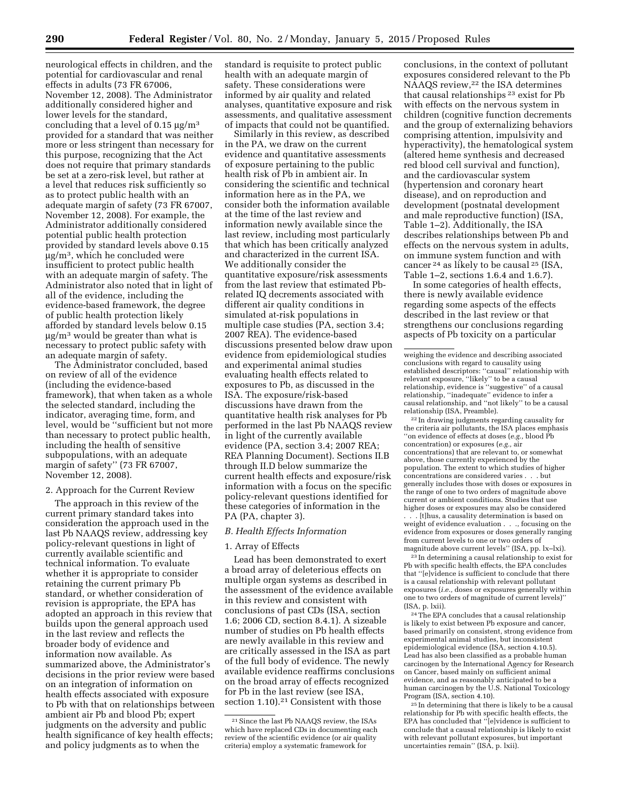neurological effects in children, and the potential for cardiovascular and renal effects in adults (73 FR 67006, November 12, 2008). The Administrator additionally considered higher and lower levels for the standard, concluding that a level of  $0.15 \mu g/m^3$ provided for a standard that was neither more or less stringent than necessary for this purpose, recognizing that the Act does not require that primary standards be set at a zero-risk level, but rather at a level that reduces risk sufficiently so as to protect public health with an adequate margin of safety (73 FR 67007, November 12, 2008). For example, the Administrator additionally considered potential public health protection provided by standard levels above 0.15  $\mu$ g/m<sup>3</sup>, which he concluded were insufficient to protect public health with an adequate margin of safety. The Administrator also noted that in light of all of the evidence, including the evidence-based framework, the degree of public health protection likely afforded by standard levels below 0.15  $\mu$ g/m<sup>3</sup> would be greater than what is necessary to protect public safety with an adequate margin of safety.

The Administrator concluded, based on review of all of the evidence (including the evidence-based framework), that when taken as a whole the selected standard, including the indicator, averaging time, form, and level, would be ''sufficient but not more than necessary to protect public health, including the health of sensitive subpopulations, with an adequate margin of safety'' (73 FR 67007, November 12, 2008).

## 2. Approach for the Current Review

The approach in this review of the current primary standard takes into consideration the approach used in the last Pb NAAQS review, addressing key policy-relevant questions in light of currently available scientific and technical information. To evaluate whether it is appropriate to consider retaining the current primary Pb standard, or whether consideration of revision is appropriate, the EPA has adopted an approach in this review that builds upon the general approach used in the last review and reflects the broader body of evidence and information now available. As summarized above, the Administrator's decisions in the prior review were based on an integration of information on health effects associated with exposure to Pb with that on relationships between ambient air Pb and blood Pb; expert judgments on the adversity and public health significance of key health effects; and policy judgments as to when the

standard is requisite to protect public health with an adequate margin of safety. These considerations were informed by air quality and related analyses, quantitative exposure and risk assessments, and qualitative assessment of impacts that could not be quantified.

Similarly in this review, as described in the PA, we draw on the current evidence and quantitative assessments of exposure pertaining to the public health risk of Pb in ambient air. In considering the scientific and technical information here as in the PA, we consider both the information available at the time of the last review and information newly available since the last review, including most particularly that which has been critically analyzed and characterized in the current ISA. We additionally consider the quantitative exposure/risk assessments from the last review that estimated Pbrelated IQ decrements associated with different air quality conditions in simulated at-risk populations in multiple case studies (PA, section 3.4; 2007 REA). The evidence-based discussions presented below draw upon evidence from epidemiological studies and experimental animal studies evaluating health effects related to exposures to Pb, as discussed in the ISA. The exposure/risk-based discussions have drawn from the quantitative health risk analyses for Pb performed in the last Pb NAAQS review in light of the currently available evidence (PA, section 3.4; 2007 REA; REA Planning Document). Sections II.B through II.D below summarize the current health effects and exposure/risk information with a focus on the specific policy-relevant questions identified for these categories of information in the PA (PA, chapter 3).

### *B. Health Effects Information*

### 1. Array of Effects

Lead has been demonstrated to exert a broad array of deleterious effects on multiple organ systems as described in the assessment of the evidence available in this review and consistent with conclusions of past CDs (ISA, section 1.6; 2006 CD, section 8.4.1). A sizeable number of studies on Pb health effects are newly available in this review and are critically assessed in the ISA as part of the full body of evidence. The newly available evidence reaffirms conclusions on the broad array of effects recognized for Pb in the last review (see ISA, section 1.10).<sup>21</sup> Consistent with those

conclusions, in the context of pollutant exposures considered relevant to the Pb NAAQS review,<sup>22</sup> the ISA determines that causal relationships 23 exist for Pb with effects on the nervous system in children (cognitive function decrements and the group of externalizing behaviors comprising attention, impulsivity and hyperactivity), the hematological system (altered heme synthesis and decreased red blood cell survival and function), and the cardiovascular system (hypertension and coronary heart disease), and on reproduction and development (postnatal development and male reproductive function) (ISA, Table 1–2). Additionally, the ISA describes relationships between Pb and effects on the nervous system in adults, on immune system function and with cancer 24 as likely to be causal 25 (ISA, Table 1–2, sections 1.6.4 and 1.6.7).

In some categories of health effects, there is newly available evidence regarding some aspects of the effects described in the last review or that strengthens our conclusions regarding aspects of Pb toxicity on a particular

22 In drawing judgments regarding causality for the criteria air pollutants, the ISA places emphasis ''on evidence of effects at doses (*e.g.,* blood Pb concentration) or exposures (*e.g.,* air concentrations) that are relevant to, or somewhat above, those currently experienced by the population. The extent to which studies of higher concentrations are considered varies . . . but generally includes those with doses or exposures in the range of one to two orders of magnitude above current or ambient conditions. Studies that use higher doses or exposures may also be considered

 $\dot{ }$ . [t]hus, a causality determination is based on weight of evidence evaluation . . ., focusing on the evidence from exposures or doses generally ranging from current levels to one or two orders of magnitude above current levels'' (ISA, pp. lx–lxi).

23 In determining a causal relationship to exist for Pb with specific health effects, the EPA concludes that ''[e]vidence is sufficient to conclude that there is a causal relationship with relevant pollutant exposures (*i.e.,* doses or exposures generally within one to two orders of magnitude of current levels)'' (ISA, p. lxii).

24The EPA concludes that a causal relationship is likely to exist between Pb exposure and cancer, based primarily on consistent, strong evidence from experimental animal studies, but inconsistent epidemiological evidence (ISA, section 4.10.5). Lead has also been classified as a probable human carcinogen by the International Agency for Research on Cancer, based mainly on sufficient animal evidence, and as reasonably anticipated to be a human carcinogen by the U.S. National Toxicology Program (ISA, section 4.10).

25 In determining that there is likely to be a causal relationship for Pb with specific health effects, the EPA has concluded that ''[e]vidence is sufficient to conclude that a causal relationship is likely to exist with relevant pollutant exposures, but important uncertainties remain'' (ISA, p. lxii).

<sup>21</sup>Since the last Pb NAAQS review, the ISAs which have replaced CDs in documenting each review of the scientific evidence (or air quality criteria) employ a systematic framework for

weighing the evidence and describing associated conclusions with regard to causality using established descriptors: ''causal'' relationship with relevant exposure, ''likely'' to be a causal relationship, evidence is ''suggestive'' of a causal relationship, ''inadequate'' evidence to infer a causal relationship, and ''not likely'' to be a causal relationship (ISA, Preamble).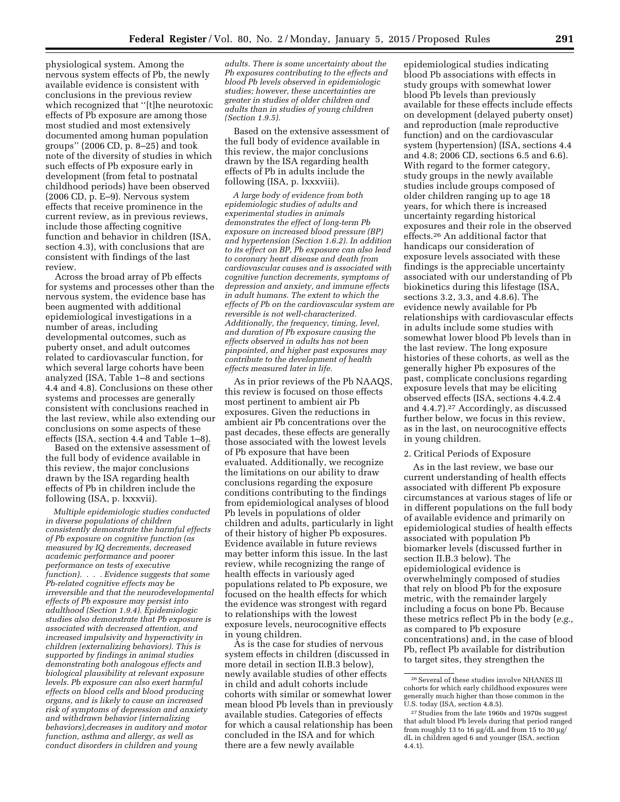physiological system. Among the nervous system effects of Pb, the newly available evidence is consistent with conclusions in the previous review which recognized that ''[t]he neurotoxic effects of Pb exposure are among those most studied and most extensively documented among human population groups'' (2006 CD, p. 8–25) and took note of the diversity of studies in which such effects of Pb exposure early in development (from fetal to postnatal childhood periods) have been observed (2006 CD, p. E–9). Nervous system effects that receive prominence in the current review, as in previous reviews, include those affecting cognitive function and behavior in children (ISA, section 4.3), with conclusions that are consistent with findings of the last review.

Across the broad array of Pb effects for systems and processes other than the nervous system, the evidence base has been augmented with additional epidemiological investigations in a number of areas, including developmental outcomes, such as puberty onset, and adult outcomes related to cardiovascular function, for which several large cohorts have been analyzed (ISA, Table 1–8 and sections 4.4 and 4.8). Conclusions on these other systems and processes are generally consistent with conclusions reached in the last review, while also extending our conclusions on some aspects of these effects (ISA, section 4.4 and Table 1–8).

Based on the extensive assessment of the full body of evidence available in this review, the major conclusions drawn by the ISA regarding health effects of Pb in children include the following (ISA, p. lxxxvii).

*Multiple epidemiologic studies conducted in diverse populations of children consistently demonstrate the harmful effects of Pb exposure on cognitive function (as measured by IQ decrements, decreased academic performance and poorer performance on tests of executive function). . . . Evidence suggests that some Pb-related cognitive effects may be irreversible and that the neurodevelopmental effects of Pb exposure may persist into adulthood (Section 1.9.4). Epidemiologic studies also demonstrate that Pb exposure is associated with decreased attention, and increased impulsivity and hyperactivity in children (externalizing behaviors). This is supported by findings in animal studies demonstrating both analogous effects and biological plausibility at relevant exposure levels. Pb exposure can also exert harmful effects on blood cells and blood producing organs, and is likely to cause an increased risk of symptoms of depression and anxiety and withdrawn behavior (internalizing behaviors),decreases in auditory and motor function, asthma and allergy, as well as conduct disorders in children and young* 

*adults. There is some uncertainty about the Pb exposures contributing to the effects and blood Pb levels observed in epidemiologic studies; however, these uncertainties are greater in studies of older children and adults than in studies of young children (Section 1.9.5).* 

Based on the extensive assessment of the full body of evidence available in this review, the major conclusions drawn by the ISA regarding health effects of Pb in adults include the following (ISA, p. lxxxviii).

*A large body of evidence from both epidemiologic studies of adults and experimental studies in animals demonstrates the effect of long-term Pb exposure on increased blood pressure (BP) and hypertension (Section 1.6.2). In addition to its effect on BP, Pb exposure can also lead to coronary heart disease and death from cardiovascular causes and is associated with cognitive function decrements, symptoms of depression and anxiety, and immune effects in adult humans. The extent to which the effects of Pb on the cardiovascular system are reversible is not well-characterized. Additionally, the frequency, timing, level, and duration of Pb exposure causing the effects observed in adults has not been pinpointed, and higher past exposures may contribute to the development of health effects measured later in life.* 

As in prior reviews of the Pb NAAQS, this review is focused on those effects most pertinent to ambient air Pb exposures. Given the reductions in ambient air Pb concentrations over the past decades, these effects are generally those associated with the lowest levels of Pb exposure that have been evaluated. Additionally, we recognize the limitations on our ability to draw conclusions regarding the exposure conditions contributing to the findings from epidemiological analyses of blood Pb levels in populations of older children and adults, particularly in light of their history of higher Pb exposures. Evidence available in future reviews may better inform this issue. In the last review, while recognizing the range of health effects in variously aged populations related to Pb exposure, we focused on the health effects for which the evidence was strongest with regard to relationships with the lowest exposure levels, neurocognitive effects in young children.

As is the case for studies of nervous system effects in children (discussed in more detail in section II.B.3 below), newly available studies of other effects in child and adult cohorts include cohorts with similar or somewhat lower mean blood Pb levels than in previously available studies. Categories of effects for which a causal relationship has been concluded in the ISA and for which there are a few newly available

epidemiological studies indicating blood Pb associations with effects in study groups with somewhat lower blood Pb levels than previously available for these effects include effects on development (delayed puberty onset) and reproduction (male reproductive function) and on the cardiovascular system (hypertension) (ISA, sections 4.4 and 4.8; 2006 CD, sections 6.5 and 6.6). With regard to the former category, study groups in the newly available studies include groups composed of older children ranging up to age 18 years, for which there is increased uncertainty regarding historical exposures and their role in the observed effects.26 An additional factor that handicaps our consideration of exposure levels associated with these findings is the appreciable uncertainty associated with our understanding of Pb biokinetics during this lifestage (ISA, sections 3.2, 3.3, and 4.8.6). The evidence newly available for Pb relationships with cardiovascular effects in adults include some studies with somewhat lower blood Pb levels than in the last review. The long exposure histories of these cohorts, as well as the generally higher Pb exposures of the past, complicate conclusions regarding exposure levels that may be eliciting observed effects (ISA, sections 4.4.2.4 and 4.4.7).27 Accordingly, as discussed further below, we focus in this review, as in the last, on neurocognitive effects in young children.

### 2. Critical Periods of Exposure

As in the last review, we base our current understanding of health effects associated with different Pb exposure circumstances at various stages of life or in different populations on the full body of available evidence and primarily on epidemiological studies of health effects associated with population Pb biomarker levels (discussed further in section II.B.3 below). The epidemiological evidence is overwhelmingly composed of studies that rely on blood Pb for the exposure metric, with the remainder largely including a focus on bone Pb. Because these metrics reflect Pb in the body (*e.g.,*  as compared to Pb exposure concentrations) and, in the case of blood Pb, reflect Pb available for distribution to target sites, they strengthen the

 $^{26}\rm{Several}$  of these studies involve NHANES III cohorts for which early childhood exposures were generally much higher than those common in the U.S. today (ISA, section 4.8.5).

<sup>27</sup>Studies from the late 1960s and 1970s suggest that adult blood Pb levels during that period ranged from roughly 13 to 16  $\mu$ g/dL and from 15 to 30  $\mu$ g/ dL in children aged 6 and younger (ISA, section 4.4.1).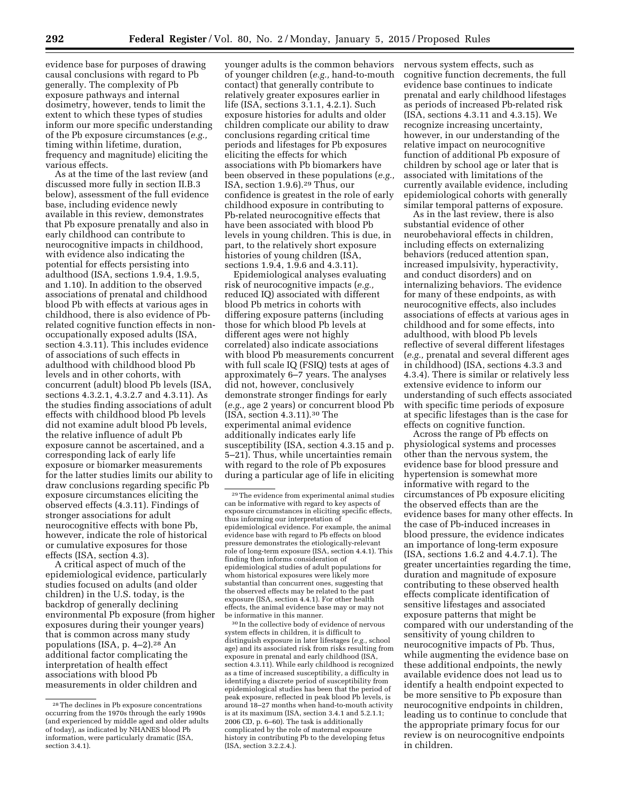evidence base for purposes of drawing causal conclusions with regard to Pb generally. The complexity of Pb exposure pathways and internal dosimetry, however, tends to limit the extent to which these types of studies inform our more specific understanding of the Pb exposure circumstances (*e.g.,*  timing within lifetime, duration, frequency and magnitude) eliciting the various effects.

As at the time of the last review (and discussed more fully in section II.B.3 below), assessment of the full evidence base, including evidence newly available in this review, demonstrates that Pb exposure prenatally and also in early childhood can contribute to neurocognitive impacts in childhood, with evidence also indicating the potential for effects persisting into adulthood (ISA, sections 1.9.4, 1.9.5, and 1.10). In addition to the observed associations of prenatal and childhood blood Pb with effects at various ages in childhood, there is also evidence of Pbrelated cognitive function effects in nonoccupationally exposed adults (ISA, section 4.3.11). This includes evidence of associations of such effects in adulthood with childhood blood Pb levels and in other cohorts, with concurrent (adult) blood Pb levels (ISA, sections 4.3.2.1, 4.3.2.7 and 4.3.11). As the studies finding associations of adult effects with childhood blood Pb levels did not examine adult blood Pb levels, the relative influence of adult Pb exposure cannot be ascertained, and a corresponding lack of early life exposure or biomarker measurements for the latter studies limits our ability to draw conclusions regarding specific Pb exposure circumstances eliciting the observed effects (4.3.11). Findings of stronger associations for adult neurocognitive effects with bone Pb, however, indicate the role of historical or cumulative exposures for those effects (ISA, section 4.3).

A critical aspect of much of the epidemiological evidence, particularly studies focused on adults (and older children) in the U.S. today, is the backdrop of generally declining environmental Pb exposure (from higher exposures during their younger years) that is common across many study populations (ISA, p. 4–2).28 An additional factor complicating the interpretation of health effect associations with blood Pb measurements in older children and

younger adults is the common behaviors of younger children (*e.g.,* hand-to-mouth contact) that generally contribute to relatively greater exposures earlier in life (ISA, sections 3.1.1, 4.2.1). Such exposure histories for adults and older children complicate our ability to draw conclusions regarding critical time periods and lifestages for Pb exposures eliciting the effects for which associations with Pb biomarkers have been observed in these populations (*e.g.,*  ISA, section 1.9.6).29 Thus, our confidence is greatest in the role of early childhood exposure in contributing to Pb-related neurocognitive effects that have been associated with blood Pb levels in young children. This is due, in part, to the relatively short exposure histories of young children (ISA, sections 1.9.4, 1.9.6 and 4.3.11).

Epidemiological analyses evaluating risk of neurocognitive impacts (*e.g.,*  reduced IQ) associated with different blood Pb metrics in cohorts with differing exposure patterns (including those for which blood Pb levels at different ages were not highly correlated) also indicate associations with blood Pb measurements concurrent with full scale IQ (FSIQ) tests at ages of approximately 6–7 years. The analyses did not, however, conclusively demonstrate stronger findings for early (*e.g.,* age 2 years) or concurrent blood Pb (ISA, section 4.3.11).30 The experimental animal evidence additionally indicates early life susceptibility (ISA, section 4.3.15 and p. 5–21). Thus, while uncertainties remain with regard to the role of Pb exposures during a particular age of life in eliciting

30 In the collective body of evidence of nervous system effects in children, it is difficult to distinguish exposure in later lifestages (*e.g.,* school age) and its associated risk from risks resulting from exposure in prenatal and early childhood (ISA, section 4.3.11). While early childhood is recognized as a time of increased susceptibility, a difficulty in identifying a discrete period of susceptibility from epidemiological studies has been that the period of peak exposure, reflected in peak blood Pb levels, is around 18–27 months when hand-to-mouth activity is at its maximum (ISA, section 3.4.1 and 5.2.1.1; 2006 CD, p. 6–60). The task is additionally complicated by the role of maternal exposure history in contributing Pb to the developing fetus (ISA, section 3.2.2.4.).

nervous system effects, such as cognitive function decrements, the full evidence base continues to indicate prenatal and early childhood lifestages as periods of increased Pb-related risk (ISA, sections 4.3.11 and 4.3.15). We recognize increasing uncertainty, however, in our understanding of the relative impact on neurocognitive function of additional Pb exposure of children by school age or later that is associated with limitations of the currently available evidence, including epidemiological cohorts with generally similar temporal patterns of exposure.

As in the last review, there is also substantial evidence of other neurobehavioral effects in children, including effects on externalizing behaviors (reduced attention span, increased impulsivity, hyperactivity, and conduct disorders) and on internalizing behaviors. The evidence for many of these endpoints, as with neurocognitive effects, also includes associations of effects at various ages in childhood and for some effects, into adulthood, with blood Pb levels reflective of several different lifestages (*e.g.,* prenatal and several different ages in childhood) (ISA, sections 4.3.3 and 4.3.4). There is similar or relatively less extensive evidence to inform our understanding of such effects associated with specific time periods of exposure at specific lifestages than is the case for effects on cognitive function.

Across the range of Pb effects on physiological systems and processes other than the nervous system, the evidence base for blood pressure and hypertension is somewhat more informative with regard to the circumstances of Pb exposure eliciting the observed effects than are the evidence bases for many other effects. In the case of Pb-induced increases in blood pressure, the evidence indicates an importance of long-term exposure (ISA, sections 1.6.2 and 4.4.7.1). The greater uncertainties regarding the time, duration and magnitude of exposure contributing to these observed health effects complicate identification of sensitive lifestages and associated exposure patterns that might be compared with our understanding of the sensitivity of young children to neurocognitive impacts of Pb. Thus, while augmenting the evidence base on these additional endpoints, the newly available evidence does not lead us to identify a health endpoint expected to be more sensitive to Pb exposure than neurocognitive endpoints in children, leading us to continue to conclude that the appropriate primary focus for our review is on neurocognitive endpoints in children.

<sup>28</sup>The declines in Pb exposure concentrations occurring from the 1970s through the early 1990s (and experienced by middle aged and older adults of today), as indicated by NHANES blood Pb information, were particularly dramatic (ISA, section 3.4.1).

<sup>29</sup>The evidence from experimental animal studies can be informative with regard to key aspects of exposure circumstances in eliciting specific effects, thus informing our interpretation of epidemiological evidence. For example, the animal evidence base with regard to Pb effects on blood pressure demonstrates the etiologically-relevant role of long-term exposure (ISA, section 4.4.1). This finding then informs consideration of epidemiological studies of adult populations for whom historical exposures were likely more substantial than concurrent ones, suggesting that the observed effects may be related to the past exposure (ISA, section 4.4.1). For other health effects, the animal evidence base may or may not be informative in this manner.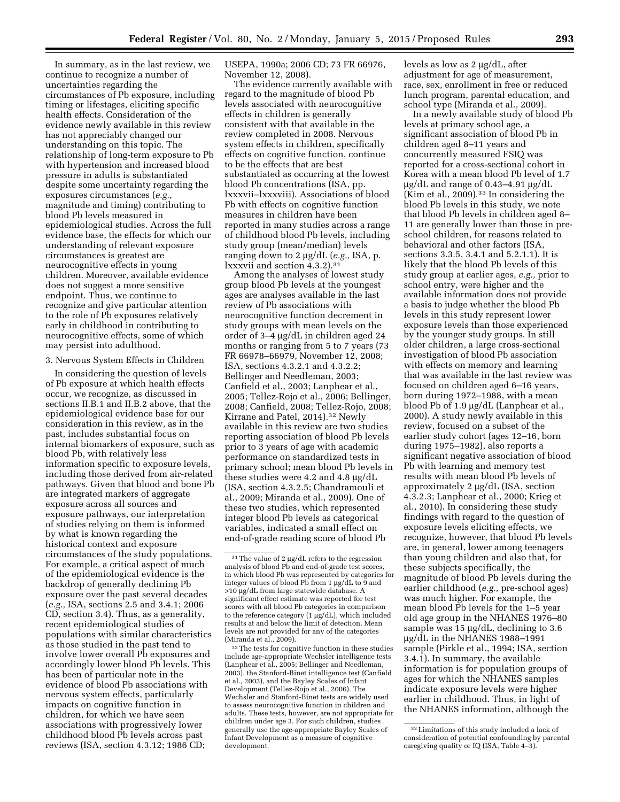In summary, as in the last review, we continue to recognize a number of uncertainties regarding the circumstances of Pb exposure, including timing or lifestages, eliciting specific health effects. Consideration of the evidence newly available in this review has not appreciably changed our understanding on this topic. The relationship of long-term exposure to Pb with hypertension and increased blood pressure in adults is substantiated despite some uncertainty regarding the exposures circumstances (*e.g.,*  magnitude and timing) contributing to blood Pb levels measured in epidemiological studies. Across the full evidence base, the effects for which our understanding of relevant exposure circumstances is greatest are neurocognitive effects in young children. Moreover, available evidence does not suggest a more sensitive endpoint. Thus, we continue to recognize and give particular attention to the role of Pb exposures relatively early in childhood in contributing to neurocognitive effects, some of which may persist into adulthood.

3. Nervous System Effects in Children

In considering the question of levels of Pb exposure at which health effects occur, we recognize, as discussed in sections II.B.1 and II.B.2 above, that the epidemiological evidence base for our consideration in this review, as in the past, includes substantial focus on internal biomarkers of exposure, such as blood Pb, with relatively less information specific to exposure levels, including those derived from air-related pathways. Given that blood and bone Pb are integrated markers of aggregate exposure across all sources and exposure pathways, our interpretation of studies relying on them is informed by what is known regarding the historical context and exposure circumstances of the study populations. For example, a critical aspect of much of the epidemiological evidence is the backdrop of generally declining Pb exposure over the past several decades (*e.g.,* ISA, sections 2.5 and 3.4.1; 2006 CD, section 3.4). Thus, as a generality, recent epidemiological studies of populations with similar characteristics as those studied in the past tend to involve lower overall Pb exposures and accordingly lower blood Pb levels. This has been of particular note in the evidence of blood Pb associations with nervous system effects, particularly impacts on cognitive function in children, for which we have seen associations with progressively lower childhood blood Pb levels across past reviews (ISA, section 4.3.12; 1986 CD;

USEPA, 1990a; 2006 CD; 73 FR 66976, November 12, 2008).

The evidence currently available with regard to the magnitude of blood Pb levels associated with neurocognitive effects in children is generally consistent with that available in the review completed in 2008. Nervous system effects in children, specifically effects on cognitive function, continue to be the effects that are best substantiated as occurring at the lowest blood Pb concentrations (ISA, pp. lxxxvii–lxxxviii). Associations of blood Pb with effects on cognitive function measures in children have been reported in many studies across a range of childhood blood Pb levels, including study group (mean/median) levels ranging down to 2 mg/dL (*e.g.,* ISA, p. lxxxvii and section 4.3.2).31

Among the analyses of lowest study group blood Pb levels at the youngest ages are analyses available in the last review of Pb associations with neurocognitive function decrement in study groups with mean levels on the order of 3–4 mg/dL in children aged 24 months or ranging from 5 to 7 years (73 FR 66978–66979, November 12, 2008; ISA, sections 4.3.2.1 and 4.3.2.2; Bellinger and Needleman, 2003; Canfield et al., 2003; Lanphear et al., 2005; Tellez-Rojo et al., 2006; Bellinger, 2008; Canfield, 2008; Tellez-Rojo, 2008; Kirrane and Patel, 2014).32 Newly available in this review are two studies reporting association of blood Pb levels prior to 3 years of age with academic performance on standardized tests in primary school; mean blood Pb levels in these studies were 4.2 and 4.8  $\mu$ g/dL (ISA, section 4.3.2.5; Chandramouli et al., 2009; Miranda et al., 2009). One of these two studies, which represented integer blood Pb levels as categorical variables, indicated a small effect on end-of-grade reading score of blood Pb

32The tests for cognitive function in these studies include age-appropriate Wechsler intelligence tests (Lanphear et al., 2005; Bellinger and Needleman, 2003), the Stanford-Binet intelligence test (Canfield et al., 2003), and the Bayley Scales of Infant Development (Tellez-Rojo et al., 2006). The Wechsler and Stanford-Binet tests are widely used to assess neurocognitive function in children and adults. These tests, however, are not appropriate for children under age 3. For such children, studies generally use the age-appropriate Bayley Scales of Infant Development as a measure of cognitive development.

levels as low as  $2 \mu g/dL$ , after adjustment for age of measurement, race, sex, enrollment in free or reduced lunch program, parental education, and school type (Miranda et al., 2009).

In a newly available study of blood Pb levels at primary school age, a significant association of blood Pb in children aged 8–11 years and concurrently measured FSIQ was reported for a cross-sectional cohort in Korea with a mean blood Pb level of 1.7  $\mu$ g/dL and range of 0.43–4.91  $\mu$ g/dL (Kim et al., 2009).33 In considering the blood Pb levels in this study, we note that blood Pb levels in children aged 8– 11 are generally lower than those in preschool children, for reasons related to behavioral and other factors (ISA, sections 3.3.5, 3.4.1 and 5.2.1.1). It is likely that the blood Pb levels of this study group at earlier ages, *e.g.,* prior to school entry, were higher and the available information does not provide a basis to judge whether the blood Pb levels in this study represent lower exposure levels than those experienced by the younger study groups. In still older children, a large cross-sectional investigation of blood Pb association with effects on memory and learning that was available in the last review was focused on children aged 6–16 years, born during 1972–1988, with a mean blood Pb of 1.9 µg/dL (Lanphear et al., 2000). A study newly available in this review, focused on a subset of the earlier study cohort (ages 12–16, born during 1975–1982), also reports a significant negative association of blood Pb with learning and memory test results with mean blood Pb levels of approximately  $2 \mu g/dL$  (ISA, section 4.3.2.3; Lanphear et al., 2000; Krieg et al., 2010). In considering these study findings with regard to the question of exposure levels eliciting effects, we recognize, however, that blood Pb levels are, in general, lower among teenagers than young children and also that, for these subjects specifically, the magnitude of blood Pb levels during the earlier childhood (*e.g.,* pre-school ages) was much higher. For example, the mean blood Pb levels for the 1–5 year old age group in the NHANES 1976–80 sample was  $15 \mu g/dL$ , declining to 3.6 mg/dL in the NHANES 1988–1991 sample (Pirkle et al., 1994; ISA, section 3.4.1). In summary, the available information is for population groups of ages for which the NHANES samples indicate exposure levels were higher earlier in childhood. Thus, in light of the NHANES information, although the

 $31$  The value of 2  $\mu$ g/dL refers to the regression analysis of blood Pb and end-of-grade test scores, in which blood Pb was represented by categories for integer values of blood Pb from 1  $\mu$ g/dL to 9 and >10 µg/dL from large statewide database. A significant effect estimate was reported for test scores with all blood Pb categories in comparison to the reference category  $(1 \mu\bar{g}/dL)$ , which included results at and below the limit of detection. Mean levels are not provided for any of the categories (Miranda et al., 2009).

<sup>33</sup>Limitations of this study included a lack of consideration of potential confounding by parental caregiving quality or IQ (ISA, Table 4-3).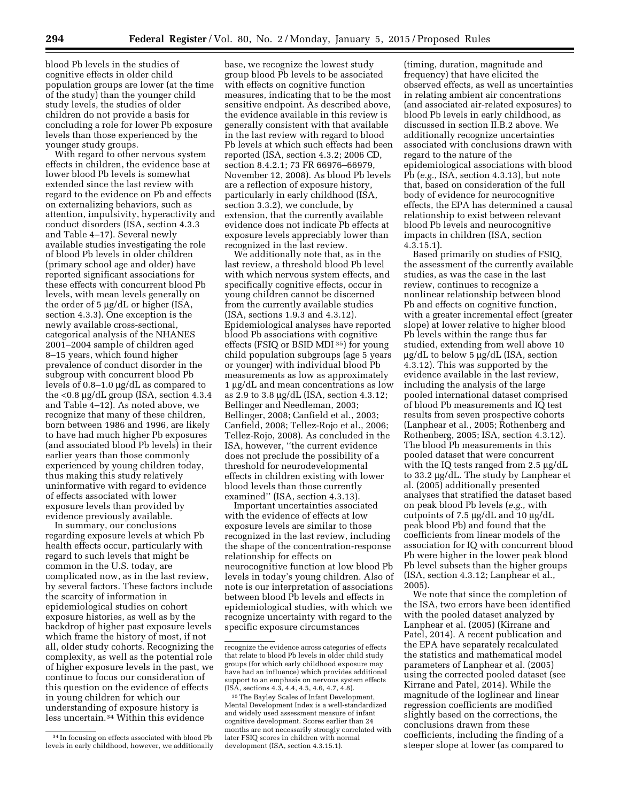blood Pb levels in the studies of cognitive effects in older child population groups are lower (at the time of the study) than the younger child study levels, the studies of older children do not provide a basis for concluding a role for lower Pb exposure levels than those experienced by the younger study groups.

With regard to other nervous system effects in children, the evidence base at lower blood Pb levels is somewhat extended since the last review with regard to the evidence on Pb and effects on externalizing behaviors, such as attention, impulsivity, hyperactivity and conduct disorders (ISA, section 4.3.3 and Table 4–17). Several newly available studies investigating the role of blood Pb levels in older children (primary school age and older) have reported significant associations for these effects with concurrent blood Pb levels, with mean levels generally on the order of  $5 \mu g/dL$  or higher (ISA, section 4.3.3). One exception is the newly available cross-sectional, categorical analysis of the NHANES 2001–2004 sample of children aged 8–15 years, which found higher prevalence of conduct disorder in the subgroup with concurrent blood Pb levels of  $0.8-1.0 \mu g/dL$  as compared to the  $<$ 0.8 µg/dL group (ISA, section 4.3.4 and Table 4–12). As noted above, we recognize that many of these children, born between 1986 and 1996, are likely to have had much higher Pb exposures (and associated blood Pb levels) in their earlier years than those commonly experienced by young children today, thus making this study relatively uninformative with regard to evidence of effects associated with lower exposure levels than provided by evidence previously available.

In summary, our conclusions regarding exposure levels at which Pb health effects occur, particularly with regard to such levels that might be common in the U.S. today, are complicated now, as in the last review, by several factors. These factors include the scarcity of information in epidemiological studies on cohort exposure histories, as well as by the backdrop of higher past exposure levels which frame the history of most, if not all, older study cohorts. Recognizing the complexity, as well as the potential role of higher exposure levels in the past, we continue to focus our consideration of this question on the evidence of effects in young children for which our understanding of exposure history is less uncertain.34 Within this evidence

base, we recognize the lowest study group blood Pb levels to be associated with effects on cognitive function measures, indicating that to be the most sensitive endpoint. As described above, the evidence available in this review is generally consistent with that available in the last review with regard to blood Pb levels at which such effects had been reported (ISA, section 4.3.2; 2006 CD, section 8.4.2.1; 73 FR 66976–66979, November 12, 2008). As blood Pb levels are a reflection of exposure history, particularly in early childhood (ISA, section 3.3.2), we conclude, by extension, that the currently available evidence does not indicate Pb effects at exposure levels appreciably lower than recognized in the last review.

We additionally note that, as in the last review, a threshold blood Pb level with which nervous system effects, and specifically cognitive effects, occur in young children cannot be discerned from the currently available studies (ISA, sections 1.9.3 and 4.3.12). Epidemiological analyses have reported blood Pb associations with cognitive effects (FSIQ or BSID MDI 35) for young child population subgroups (age 5 years or younger) with individual blood Pb measurements as low as approximately 1 µg/dL and mean concentrations as low as 2.9 to 3.8 mg/dL (ISA, section 4.3.12; Bellinger and Needleman, 2003; Bellinger, 2008; Canfield et al., 2003; Canfield, 2008; Tellez-Rojo et al., 2006; Tellez-Rojo, 2008). As concluded in the ISA, however, ''the current evidence does not preclude the possibility of a threshold for neurodevelopmental effects in children existing with lower blood levels than those currently examined'' (ISA, section 4.3.13).

Important uncertainties associated with the evidence of effects at low exposure levels are similar to those recognized in the last review, including the shape of the concentration-response relationship for effects on neurocognitive function at low blood Pb levels in today's young children. Also of note is our interpretation of associations between blood Pb levels and effects in epidemiological studies, with which we recognize uncertainty with regard to the specific exposure circumstances

(timing, duration, magnitude and frequency) that have elicited the observed effects, as well as uncertainties in relating ambient air concentrations (and associated air-related exposures) to blood Pb levels in early childhood, as discussed in section II.B.2 above. We additionally recognize uncertainties associated with conclusions drawn with regard to the nature of the epidemiological associations with blood Pb (*e.g.,* ISA, section 4.3.13), but note that, based on consideration of the full body of evidence for neurocognitive effects, the EPA has determined a causal relationship to exist between relevant blood Pb levels and neurocognitive impacts in children (ISA, section 4.3.15.1).

Based primarily on studies of FSIQ, the assessment of the currently available studies, as was the case in the last review, continues to recognize a nonlinear relationship between blood Pb and effects on cognitive function, with a greater incremental effect (greater slope) at lower relative to higher blood Pb levels within the range thus far studied, extending from well above 10  $\mu$ g/dL to below 5  $\mu$ g/dL (ISA, section 4.3.12). This was supported by the evidence available in the last review, including the analysis of the large pooled international dataset comprised of blood Pb measurements and IQ test results from seven prospective cohorts (Lanphear et al., 2005; Rothenberg and Rothenberg, 2005; ISA, section 4.3.12). The blood Pb measurements in this pooled dataset that were concurrent with the IQ tests ranged from 2.5  $\mu$ g/dL to 33.2 μg/dL. The study by Lanphear et al. (2005) additionally presented analyses that stratified the dataset based on peak blood Pb levels (*e.g.,* with cutpoints of 7.5  $\mu$ g/dL and 10  $\mu$ g/dL peak blood Pb) and found that the coefficients from linear models of the association for IQ with concurrent blood Pb were higher in the lower peak blood Pb level subsets than the higher groups (ISA, section 4.3.12; Lanphear et al., 2005).

We note that since the completion of the ISA, two errors have been identified with the pooled dataset analyzed by Lanphear et al. (2005) (Kirrane and Patel, 2014). A recent publication and the EPA have separately recalculated the statistics and mathematical model parameters of Lanphear et al. (2005) using the corrected pooled dataset (see Kirrane and Patel, 2014). While the magnitude of the loglinear and linear regression coefficients are modified slightly based on the corrections, the conclusions drawn from these coefficients, including the finding of a steeper slope at lower (as compared to

<sup>34</sup> In focusing on effects associated with blood Pb levels in early childhood, however, we additionally

recognize the evidence across categories of effects that relate to blood Pb levels in older child study groups (for which early childhood exposure may have had an influence) which provides additional support to an emphasis on nervous system effects (ISA, sections 4.3, 4.4, 4.5, 4.6, 4.7, 4.8).

<sup>35</sup>The Bayley Scales of Infant Development, Mental Development Index is a well-standardized and widely used assessment measure of infant cognitive development. Scores earlier than 24 months are not necessarily strongly correlated with later FSIQ scores in children with normal development (ISA, section 4.3.15.1).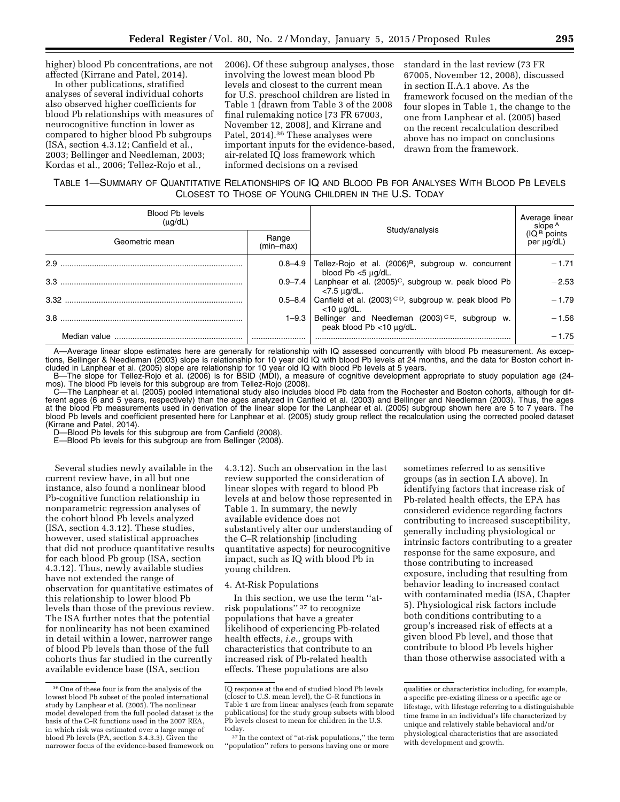higher) blood Pb concentrations, are not affected (Kirrane and Patel, 2014).

In other publications, stratified analyses of several individual cohorts also observed higher coefficients for blood Pb relationships with measures of neurocognitive function in lower as compared to higher blood Pb subgroups (ISA, section 4.3.12; Canfield et al., 2003; Bellinger and Needleman, 2003; Kordas et al., 2006; Tellez-Rojo et al.,

2006). Of these subgroup analyses, those involving the lowest mean blood Pb levels and closest to the current mean for U.S. preschool children are listed in Table 1 (drawn from Table 3 of the 2008 final rulemaking notice [73 FR 67003, November 12, 2008], and Kirrane and Patel, 2014).36 These analyses were important inputs for the evidence-based, air-related IQ loss framework which informed decisions on a revised

standard in the last review (73 FR 67005, November 12, 2008), discussed in section II.A.1 above. As the framework focused on the median of the four slopes in Table 1, the change to the one from Lanphear et al. (2005) based on the recent recalculation described above has no impact on conclusions drawn from the framework.

# TABLE 1—SUMMARY OF QUANTITATIVE RELATIONSHIPS OF IQ AND BLOOD PB FOR ANALYSES WITH BLOOD PB LEVELS CLOSEST TO THOSE OF YOUNG CHILDREN IN THE U.S. TODAY

| <b>Blood Pb levels</b><br>$(\mu q/dL)$ |                    | Study/analysis                                                                               | Average linear<br>slope <sup>A</sup>   |
|----------------------------------------|--------------------|----------------------------------------------------------------------------------------------|----------------------------------------|
| Geometric mean                         | Range<br>(min-max) |                                                                                              | (IQ <sup>B</sup> points)<br>per µg/dL) |
| $2.9$ .                                | $0.8 - 4.9$        | Tellez-Rojo et al. (2006) <sup>B</sup> , subgroup w. concurrent<br>blood $Pb < 5 \mu g/dL$ . | $-1.71$                                |
| $3.3$ .                                |                    | 0.9-7.4   Lanphear et al. $(2005)^{C}$ , subgroup w. peak blood Pb<br><7.5 μg/dL.            | $-2.53$                                |
|                                        | $0.5 - 8.4$        | Canfield et al. (2003) <sup>CD</sup> , subgroup w. peak blood Pb<br>$<$ 10 ug/dL.            | $-1.79$                                |
|                                        | $1 - 9.3$          | Bellinger and Needleman (2003) <sup>CE</sup> , subgroup w.<br>peak blood Pb <10 µg/dL.       | $-1.56$                                |
| Median value                           |                    |                                                                                              | $-1.75$                                |

A—Average linear slope estimates here are generally for relationship with IQ assessed concurrently with blood Pb measurement. As exceptions, Bellinger & Needleman (2003) slope is relationship for 10 year old IQ with blood Pb levels at 24 months, and the data for Boston cohort included in Lanphear et al. (2005) slope are relationship for 10 year old IQ with blood Pb levels at 5 years.

B—The slope for Tellez-Rojo et al. (2006) is for BSID (MDI), a measure of cognitive development appropriate to study population age (24 mos). The blood Pb levels for this subgroup are from Tellez-Rojo (2008).

C—The Lanphear et al. (2005) pooled international study also includes blood Pb data from the Rochester and Boston cohorts, although for different ages (6 and 5 years, respectively) than the ages analyzed in Canfield et al. (2003) and Bellinger and Needleman (2003). Thus, the ages at the blood Pb measurements used in derivation of the linear slope for the Lanphear et al. (2005) subgroup shown here are 5 to 7 years. The blood Pb levels and coefficient presented here for Lanphear et al. (2005) study group reflect the recalculation using the corrected pooled dataset (Kirrane and Patel, 2014).

D—Blood Pb levels for this subgroup are from Canfield (2008).

E—Blood Pb levels for this subgroup are from Bellinger (2008).

Several studies newly available in the current review have, in all but one instance, also found a nonlinear blood Pb-cognitive function relationship in nonparametric regression analyses of the cohort blood Pb levels analyzed (ISA, section 4.3.12). These studies, however, used statistical approaches that did not produce quantitative results for each blood Pb group (ISA, section 4.3.12). Thus, newly available studies have not extended the range of observation for quantitative estimates of this relationship to lower blood Pb levels than those of the previous review. The ISA further notes that the potential for nonlinearity has not been examined in detail within a lower, narrower range of blood Pb levels than those of the full cohorts thus far studied in the currently available evidence base (ISA, section

4.3.12). Such an observation in the last review supported the consideration of linear slopes with regard to blood Pb levels at and below those represented in Table 1. In summary, the newly available evidence does not substantively alter our understanding of the C–R relationship (including quantitative aspects) for neurocognitive impact, such as IQ with blood Pb in young children.

### 4. At-Risk Populations

In this section, we use the term ''atrisk populations'' 37 to recognize populations that have a greater likelihood of experiencing Pb-related health effects, *i.e.,* groups with characteristics that contribute to an increased risk of Pb-related health effects. These populations are also

sometimes referred to as sensitive groups (as in section I.A above). In identifying factors that increase risk of Pb-related health effects, the EPA has considered evidence regarding factors contributing to increased susceptibility, generally including physiological or intrinsic factors contributing to a greater response for the same exposure, and those contributing to increased exposure, including that resulting from behavior leading to increased contact with contaminated media (ISA, Chapter 5). Physiological risk factors include both conditions contributing to a group's increased risk of effects at a given blood Pb level, and those that contribute to blood Pb levels higher than those otherwise associated with a

<sup>36</sup>One of these four is from the analysis of the lowest blood Pb subset of the pooled international study by Lanphear et al. (2005). The nonlinear model developed from the full pooled dataset is the basis of the C–R functions used in the 2007 REA, in which risk was estimated over a large range of blood Pb levels (PA, section 3.4.3.3). Given the narrower focus of the evidence-based framework on

IQ response at the end of studied blood Pb levels (closer to U.S. mean level), the C–R functions in Table 1 are from linear analyses (each from separate publications) for the study group subsets with blood Pb levels closest to mean for children in the U.S. today.

<sup>&</sup>lt;sup>37</sup> In the context of "at-risk populations," the term ''population'' refers to persons having one or more

qualities or characteristics including, for example, a specific pre-existing illness or a specific age or lifestage, with lifestage referring to a distinguishable time frame in an individual's life characterized by unique and relatively stable behavioral and/or physiological characteristics that are associated with development and growth.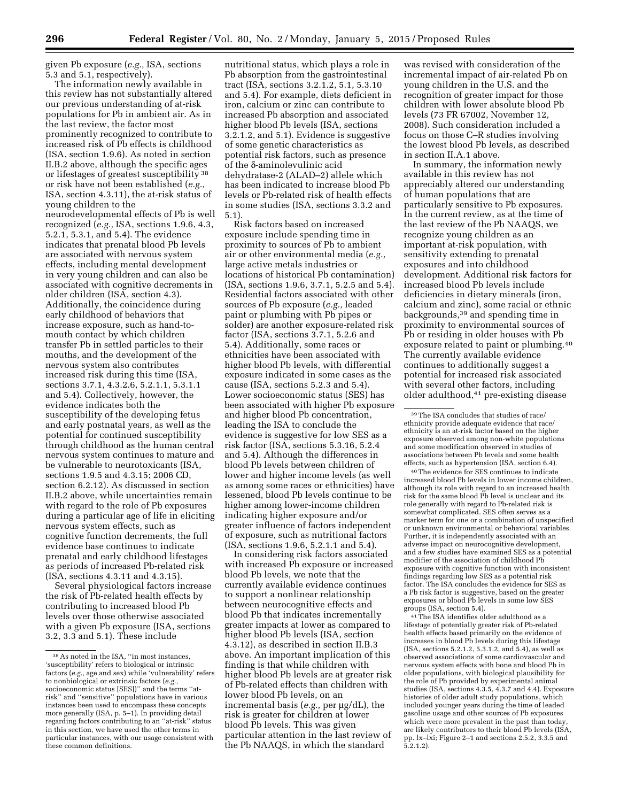given Pb exposure (*e.g.,* ISA, sections 5.3 and 5.1, respectively).

The information newly available in this review has not substantially altered our previous understanding of at-risk populations for Pb in ambient air. As in the last review, the factor most prominently recognized to contribute to increased risk of Pb effects is childhood (ISA, section 1.9.6). As noted in section II.B.2 above, although the specific ages or lifestages of greatest susceptibility 38 or risk have not been established (*e.g.,*  ISA, section 4.3.11), the at-risk status of young children to the neurodevelopmental effects of Pb is well recognized (*e.g.,* ISA, sections 1.9.6, 4.3, 5.2.1, 5.3.1, and 5.4). The evidence indicates that prenatal blood Pb levels are associated with nervous system effects, including mental development in very young children and can also be associated with cognitive decrements in

older children (ISA, section 4.3). Additionally, the coincidence during early childhood of behaviors that increase exposure, such as hand-tomouth contact by which children transfer Pb in settled particles to their mouths, and the development of the nervous system also contributes increased risk during this time (ISA, sections 3.7.1, 4.3.2.6, 5.2.1.1, 5.3.1.1 and 5.4). Collectively, however, the evidence indicates both the susceptibility of the developing fetus and early postnatal years, as well as the potential for continued susceptibility through childhood as the human central nervous system continues to mature and be vulnerable to neurotoxicants (ISA, sections 1.9.5 and 4.3.15; 2006 CD, section 6.2.12). As discussed in section II.B.2 above, while uncertainties remain with regard to the role of Pb exposures during a particular age of life in eliciting nervous system effects, such as cognitive function decrements, the full evidence base continues to indicate prenatal and early childhood lifestages as periods of increased Pb-related risk (ISA, sections 4.3.11 and 4.3.15).

Several physiological factors increase the risk of Pb-related health effects by contributing to increased blood Pb levels over those otherwise associated with a given Pb exposure (ISA, sections 3.2, 3.3 and 5.1). These include

nutritional status, which plays a role in Pb absorption from the gastrointestinal tract (ISA, sections 3.2.1.2, 5.1, 5.3.10 and 5.4). For example, diets deficient in iron, calcium or zinc can contribute to increased Pb absorption and associated higher blood Pb levels (ISA, sections 3.2.1.2, and 5.1). Evidence is suggestive of some genetic characteristics as potential risk factors, such as presence of the δ-aminolevulinic acid dehydratase-2 (ALAD–2) allele which has been indicated to increase blood Pb levels or Pb-related risk of health effects in some studies (ISA, sections 3.3.2 and 5.1).

Risk factors based on increased exposure include spending time in proximity to sources of Pb to ambient air or other environmental media (*e.g.,*  large active metals industries or locations of historical Pb contamination) (ISA, sections 1.9.6, 3.7.1, 5.2.5 and 5.4). Residential factors associated with other sources of Pb exposure (*e.g.,* leaded paint or plumbing with Pb pipes or solder) are another exposure-related risk factor (ISA, sections 3.7.1, 5.2.6 and 5.4). Additionally, some races or ethnicities have been associated with higher blood Pb levels, with differential exposure indicated in some cases as the cause (ISA, sections 5.2.3 and 5.4). Lower socioeconomic status (SES) has been associated with higher Pb exposure and higher blood Pb concentration, leading the ISA to conclude the evidence is suggestive for low SES as a risk factor (ISA, sections 5.3.16, 5.2.4 and 5.4). Although the differences in blood Pb levels between children of lower and higher income levels (as well as among some races or ethnicities) have lessened, blood Pb levels continue to be higher among lower-income children indicating higher exposure and/or greater influence of factors independent of exposure, such as nutritional factors (ISA, sections 1.9.6, 5.2.1.1 and 5.4).

In considering risk factors associated with increased Pb exposure or increased blood Pb levels, we note that the currently available evidence continues to support a nonlinear relationship between neurocognitive effects and blood Pb that indicates incrementally greater impacts at lower as compared to higher blood Pb levels (ISA, section 4.3.12), as described in section II.B.3 above. An important implication of this finding is that while children with higher blood Pb levels are at greater risk of Pb-related effects than children with lower blood Pb levels, on an incremental basis (*e.g.*, per µg/dL), the risk is greater for children at lower blood Pb levels. This was given particular attention in the last review of the Pb NAAQS, in which the standard

was revised with consideration of the incremental impact of air-related Pb on young children in the U.S. and the recognition of greater impact for those children with lower absolute blood Pb levels (73 FR 67002, November 12, 2008). Such consideration included a focus on those C–R studies involving the lowest blood Pb levels, as described in section II.A.1 above.

In summary, the information newly available in this review has not appreciably altered our understanding of human populations that are particularly sensitive to Pb exposures. In the current review, as at the time of the last review of the Pb NAAQS, we recognize young children as an important at-risk population, with sensitivity extending to prenatal exposures and into childhood development. Additional risk factors for increased blood Pb levels include deficiencies in dietary minerals (iron, calcium and zinc), some racial or ethnic backgrounds,39 and spending time in proximity to environmental sources of Pb or residing in older houses with Pb exposure related to paint or plumbing.40 The currently available evidence continues to additionally suggest a potential for increased risk associated with several other factors, including older adulthood,41 pre-existing disease

40The evidence for SES continues to indicate increased blood Pb levels in lower income children, although its role with regard to an increased health risk for the same blood Pb level is unclear and its role generally with regard to Pb-related risk is somewhat complicated. SES often serves as a marker term for one or a combination of unspecified or unknown environmental or behavioral variables. Further, it is independently associated with an adverse impact on neurocognitive development, and a few studies have examined SES as a potential modifier of the association of childhood Pb exposure with cognitive function with inconsistent findings regarding low SES as a potential risk factor. The ISA concludes the evidence for SES as a Pb risk factor is suggestive, based on the greater exposures or blood Pb levels in some low SES groups (ISA, section 5.4).

41The ISA identifies older adulthood as a lifestage of potentially greater risk of Pb-related health effects based primarily on the evidence of increases in blood Pb levels during this lifestage (ISA, sections 5.2.1.2, 5.3.1.2, and 5.4), as well as observed associations of some cardiovascular and nervous system effects with bone and blood Pb in older populations, with biological plausibility for the role of Pb provided by experimental animal studies (ISA, sections 4.3.5, 4.3.7 and 4.4). Exposure histories of older adult study populations, which included younger years during the time of leaded gasoline usage and other sources of Pb exposures which were more prevalent in the past than today, are likely contributors to their blood Pb levels (ISA, pp. lx–lxi; Figure 2–1 and sections 2.5.2, 3.3.5 and 5.2.1.2).

 $^{\rm 38}\, \rm As$  noted in the ISA, ''in most instances, 'susceptibility' refers to biological or intrinsic factors (*e.g.,* age and sex) while 'vulnerability' refers to nonbiological or extrinsic factors (*e.g.,*  socioeconomic status [SES])'' and the terms ''atrisk'' and ''sensitive'' populations have in various instances been used to encompass these concepts more generally (ISA, p. 5–1). In providing detail regarding factors contributing to an ''at-risk'' status in this section, we have used the other terms in particular instances, with our usage consistent with these common definitions.

<sup>39</sup>The ISA concludes that studies of race/ ethnicity provide adequate evidence that race/ ethnicity is an at-risk factor based on the higher exposure observed among non-white populations and some modification observed in studies of associations between Pb levels and some health effects, such as hypertension (ISA, section 6.4).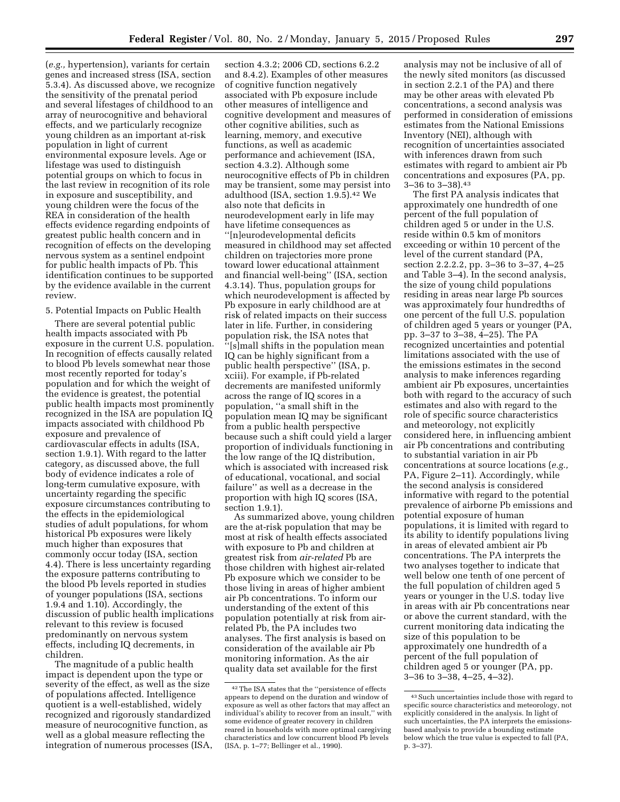(*e.g.,* hypertension), variants for certain genes and increased stress (ISA, section 5.3.4). As discussed above, we recognize the sensitivity of the prenatal period and several lifestages of childhood to an array of neurocognitive and behavioral effects, and we particularly recognize young children as an important at-risk population in light of current environmental exposure levels. Age or lifestage was used to distinguish potential groups on which to focus in the last review in recognition of its role in exposure and susceptibility, and young children were the focus of the REA in consideration of the health effects evidence regarding endpoints of greatest public health concern and in recognition of effects on the developing nervous system as a sentinel endpoint for public health impacts of Pb. This identification continues to be supported by the evidence available in the current review.

### 5. Potential Impacts on Public Health

There are several potential public health impacts associated with Pb exposure in the current U.S. population. In recognition of effects causally related to blood Pb levels somewhat near those most recently reported for today's population and for which the weight of the evidence is greatest, the potential public health impacts most prominently recognized in the ISA are population IQ impacts associated with childhood Pb exposure and prevalence of cardiovascular effects in adults (ISA, section 1.9.1). With regard to the latter category, as discussed above, the full body of evidence indicates a role of long-term cumulative exposure, with uncertainty regarding the specific exposure circumstances contributing to the effects in the epidemiological studies of adult populations, for whom historical Pb exposures were likely much higher than exposures that commonly occur today (ISA, section 4.4). There is less uncertainty regarding the exposure patterns contributing to the blood Pb levels reported in studies of younger populations (ISA, sections 1.9.4 and 1.10). Accordingly, the discussion of public health implications relevant to this review is focused predominantly on nervous system effects, including IQ decrements, in children.

The magnitude of a public health impact is dependent upon the type or severity of the effect, as well as the size of populations affected. Intelligence quotient is a well-established, widely recognized and rigorously standardized measure of neurocognitive function, as well as a global measure reflecting the integration of numerous processes (ISA,

section 4.3.2; 2006 CD, sections 6.2.2 and 8.4.2). Examples of other measures of cognitive function negatively associated with Pb exposure include other measures of intelligence and cognitive development and measures of other cognitive abilities, such as learning, memory, and executive functions, as well as academic performance and achievement (ISA, section 4.3.2). Although some neurocognitive effects of Pb in children may be transient, some may persist into adulthood (ISA, section 1.9.5).42 We also note that deficits in neurodevelopment early in life may have lifetime consequences as ''[n]eurodevelopmental deficits measured in childhood may set affected children on trajectories more prone toward lower educational attainment and financial well-being'' (ISA, section 4.3.14). Thus, population groups for which neurodevelopment is affected by Pb exposure in early childhood are at risk of related impacts on their success later in life. Further, in considering population risk, the ISA notes that ''[s]mall shifts in the population mean IQ can be highly significant from a public health perspective'' (ISA, p. xciii). For example, if Pb-related decrements are manifested uniformly across the range of IQ scores in a population, ''a small shift in the population mean IQ may be significant from a public health perspective because such a shift could yield a larger proportion of individuals functioning in the low range of the IQ distribution, which is associated with increased risk of educational, vocational, and social failure'' as well as a decrease in the proportion with high IQ scores (ISA, section 1.9.1).

As summarized above, young children are the at-risk population that may be most at risk of health effects associated with exposure to Pb and children at greatest risk from *air-related* Pb are those children with highest air-related Pb exposure which we consider to be those living in areas of higher ambient air Pb concentrations. To inform our understanding of the extent of this population potentially at risk from airrelated Pb, the PA includes two analyses. The first analysis is based on consideration of the available air Pb monitoring information. As the air quality data set available for the first

analysis may not be inclusive of all of the newly sited monitors (as discussed in section 2.2.1 of the PA) and there may be other areas with elevated Pb concentrations, a second analysis was performed in consideration of emissions estimates from the National Emissions Inventory (NEI), although with recognition of uncertainties associated with inferences drawn from such estimates with regard to ambient air Pb concentrations and exposures (PA, pp. 3–36 to 3–38).43

The first PA analysis indicates that approximately one hundredth of one percent of the full population of children aged 5 or under in the U.S. reside within 0.5 km of monitors exceeding or within 10 percent of the level of the current standard (PA, section 2.2.2.2, pp. 3–36 to 3–37, 4–25 and Table 3–4). In the second analysis, the size of young child populations residing in areas near large Pb sources was approximately four hundredths of one percent of the full U.S. population of children aged 5 years or younger (PA, pp. 3–37 to 3–38, 4–25). The PA recognized uncertainties and potential limitations associated with the use of the emissions estimates in the second analysis to make inferences regarding ambient air Pb exposures, uncertainties both with regard to the accuracy of such estimates and also with regard to the role of specific source characteristics and meteorology, not explicitly considered here, in influencing ambient air Pb concentrations and contributing to substantial variation in air Pb concentrations at source locations (*e.g.,*  PA, Figure 2–11). Accordingly, while the second analysis is considered informative with regard to the potential prevalence of airborne Pb emissions and potential exposure of human populations, it is limited with regard to its ability to identify populations living in areas of elevated ambient air Pb concentrations. The PA interprets the two analyses together to indicate that well below one tenth of one percent of the full population of children aged 5 years or younger in the U.S. today live in areas with air Pb concentrations near or above the current standard, with the current monitoring data indicating the size of this population to be approximately one hundredth of a percent of the full population of children aged 5 or younger (PA, pp. 3–36 to 3–38, 4–25, 4–32).

<sup>42</sup>The ISA states that the ''persistence of effects appears to depend on the duration and window of exposure as well as other factors that may affect an individual's ability to recover from an insult,'' with some evidence of greater recovery in children reared in households with more optimal caregiving characteristics and low concurrent blood Pb levels (ISA, p. 1–77; Bellinger et al., 1990).

<sup>43</sup>Such uncertainties include those with regard to specific source characteristics and meteorology, not explicitly considered in the analysis. In light of such uncertainties, the PA interprets the emissionsbased analysis to provide a bounding estimate below which the true value is expected to fall (PA, p. 3–37).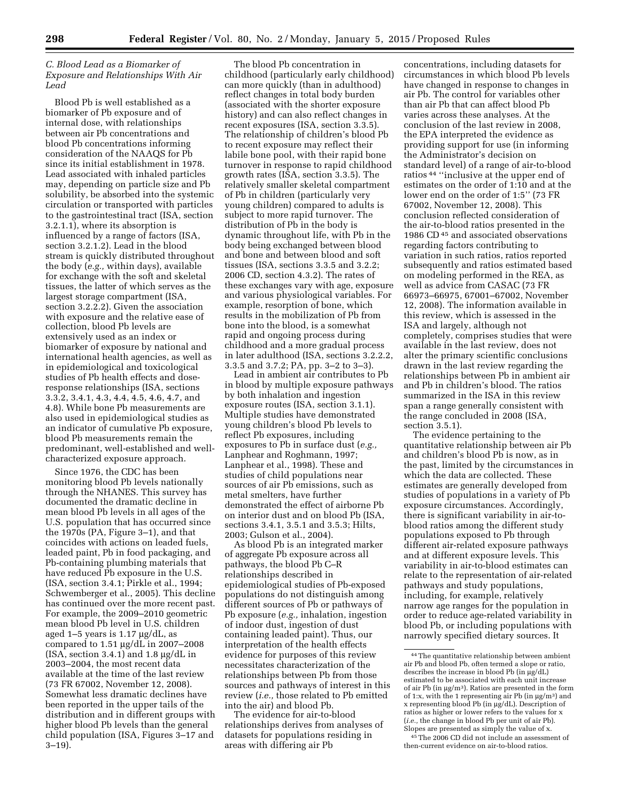## *C. Blood Lead as a Biomarker of Exposure and Relationships With Air Lead*

Blood Pb is well established as a biomarker of Pb exposure and of internal dose, with relationships between air Pb concentrations and blood Pb concentrations informing consideration of the NAAQS for Pb since its initial establishment in 1978. Lead associated with inhaled particles may, depending on particle size and Pb solubility, be absorbed into the systemic circulation or transported with particles to the gastrointestinal tract (ISA, section 3.2.1.1), where its absorption is influenced by a range of factors (ISA, section 3.2.1.2). Lead in the blood stream is quickly distributed throughout the body (*e.g.,* within days), available for exchange with the soft and skeletal tissues, the latter of which serves as the largest storage compartment (ISA, section 3.2.2.2). Given the association with exposure and the relative ease of collection, blood Pb levels are extensively used as an index or biomarker of exposure by national and international health agencies, as well as in epidemiological and toxicological studies of Pb health effects and doseresponse relationships (ISA, sections 3.3.2, 3.4.1, 4.3, 4.4, 4.5, 4.6, 4.7, and 4.8). While bone Pb measurements are also used in epidemiological studies as an indicator of cumulative Pb exposure, blood Pb measurements remain the predominant, well-established and wellcharacterized exposure approach.

Since 1976, the CDC has been monitoring blood Pb levels nationally through the NHANES. This survey has documented the dramatic decline in mean blood Pb levels in all ages of the U.S. population that has occurred since the 1970s (PA, Figure 3–1), and that coincides with actions on leaded fuels, leaded paint, Pb in food packaging, and Pb-containing plumbing materials that have reduced Pb exposure in the U.S. (ISA, section 3.4.1; Pirkle et al., 1994; Schwemberger et al., 2005). This decline has continued over the more recent past. For example, the 2009–2010 geometric mean blood Pb level in U.S. children aged  $1-5$  years is  $1.17 \mu g/dL$ , as compared to  $1.51 \mu g/dL$  in  $2007-2008$  $(ISA, section 3.4.1)$  and 1.8  $\mu$ g/dL in 2003–2004, the most recent data available at the time of the last review (73 FR 67002, November 12, 2008). Somewhat less dramatic declines have been reported in the upper tails of the distribution and in different groups with higher blood Pb levels than the general child population (ISA, Figures 3–17 and 3–19).

The blood Pb concentration in childhood (particularly early childhood) can more quickly (than in adulthood) reflect changes in total body burden (associated with the shorter exposure history) and can also reflect changes in recent exposures (ISA, section 3.3.5). The relationship of children's blood Pb to recent exposure may reflect their labile bone pool, with their rapid bone turnover in response to rapid childhood growth rates (ISA, section 3.3.5). The relatively smaller skeletal compartment of Pb in children (particularly very young children) compared to adults is subject to more rapid turnover. The distribution of Pb in the body is dynamic throughout life, with Pb in the body being exchanged between blood and bone and between blood and soft tissues (ISA, sections 3.3.5 and 3.2.2; 2006 CD, section 4.3.2). The rates of these exchanges vary with age, exposure and various physiological variables. For example, resorption of bone, which results in the mobilization of Pb from bone into the blood, is a somewhat rapid and ongoing process during childhood and a more gradual process in later adulthood (ISA, sections 3.2.2.2, 3.3.5 and 3.7.2; PA, pp. 3–2 to 3–3).

Lead in ambient air contributes to Pb in blood by multiple exposure pathways by both inhalation and ingestion exposure routes (ISA, section 3.1.1). Multiple studies have demonstrated young children's blood Pb levels to reflect Pb exposures, including exposures to Pb in surface dust (*e.g.,*  Lanphear and Roghmann, 1997; Lanphear et al., 1998). These and studies of child populations near sources of air Pb emissions, such as metal smelters, have further demonstrated the effect of airborne Pb on interior dust and on blood Pb (ISA, sections 3.4.1, 3.5.1 and 3.5.3; Hilts, 2003; Gulson et al., 2004).

As blood Pb is an integrated marker of aggregate Pb exposure across all pathways, the blood Pb C–R relationships described in epidemiological studies of Pb-exposed populations do not distinguish among different sources of Pb or pathways of Pb exposure (*e.g.,* inhalation, ingestion of indoor dust, ingestion of dust containing leaded paint). Thus, our interpretation of the health effects evidence for purposes of this review necessitates characterization of the relationships between Pb from those sources and pathways of interest in this review (*i.e.,* those related to Pb emitted into the air) and blood Pb.

The evidence for air-to-blood relationships derives from analyses of datasets for populations residing in areas with differing air Pb

concentrations, including datasets for circumstances in which blood Pb levels have changed in response to changes in air Pb. The control for variables other than air Pb that can affect blood Pb varies across these analyses. At the conclusion of the last review in 2008, the EPA interpreted the evidence as providing support for use (in informing the Administrator's decision on standard level) of a range of air-to-blood ratios 44 ''inclusive at the upper end of estimates on the order of 1:10 and at the lower end on the order of 1:5'' (73 FR 67002, November 12, 2008). This conclusion reflected consideration of the air-to-blood ratios presented in the 1986 CD 45 and associated observations regarding factors contributing to variation in such ratios, ratios reported subsequently and ratios estimated based on modeling performed in the REA, as well as advice from CASAC (73 FR 66973–66975, 67001–67002, November 12, 2008). The information available in this review, which is assessed in the ISA and largely, although not completely, comprises studies that were available in the last review, does not alter the primary scientific conclusions drawn in the last review regarding the relationships between Pb in ambient air and Pb in children's blood. The ratios summarized in the ISA in this review span a range generally consistent with the range concluded in 2008 (ISA, section 3.5.1).

The evidence pertaining to the quantitative relationship between air Pb and children's blood Pb is now, as in the past, limited by the circumstances in which the data are collected. These estimates are generally developed from studies of populations in a variety of Pb exposure circumstances. Accordingly, there is significant variability in air-toblood ratios among the different study populations exposed to Pb through different air-related exposure pathways and at different exposure levels. This variability in air-to-blood estimates can relate to the representation of air-related pathways and study populations, including, for example, relatively narrow age ranges for the population in order to reduce age-related variability in blood Pb, or including populations with narrowly specified dietary sources. It

45The 2006 CD did not include an assessment of then-current evidence on air-to-blood ratios.

 $^{\rm 44}$  The quantitative relationship between ambient air Pb and blood Pb, often termed a slope or ratio, describes the increase in blood Pb (in µg/dL) estimated to be associated with each unit increase of air Pb (in  $\mu$ g/m<sup>3</sup>). Ratios are presented in the form of 1:x, with the 1 representing air Pb (in  $\mu$ g/m<sup>3</sup>) and x representing blood Pb (in µg/dL). Description of ratios as higher or lower refers to the values for x (*i.e.,* the change in blood Pb per unit of air Pb). Slopes are presented as simply the value of x.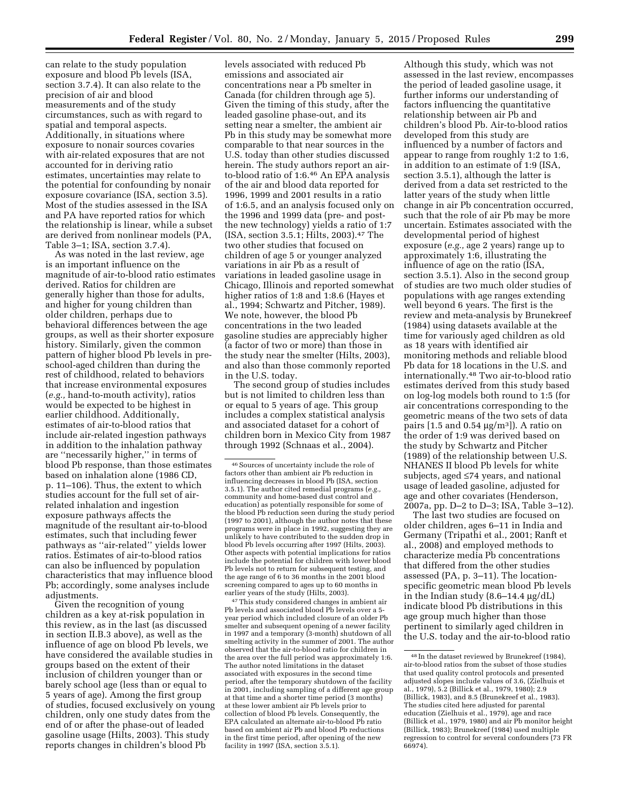can relate to the study population exposure and blood Pb levels (ISA, section 3.7.4). It can also relate to the precision of air and blood measurements and of the study circumstances, such as with regard to spatial and temporal aspects. Additionally, in situations where exposure to nonair sources covaries with air-related exposures that are not accounted for in deriving ratio estimates, uncertainties may relate to the potential for confounding by nonair exposure covariance (ISA, section 3.5). Most of the studies assessed in the ISA and PA have reported ratios for which the relationship is linear, while a subset are derived from nonlinear models (PA, Table 3–1; ISA, section 3.7.4).

As was noted in the last review, age is an important influence on the magnitude of air-to-blood ratio estimates derived. Ratios for children are generally higher than those for adults, and higher for young children than older children, perhaps due to behavioral differences between the age groups, as well as their shorter exposure history. Similarly, given the common pattern of higher blood Pb levels in preschool-aged children than during the rest of childhood, related to behaviors that increase environmental exposures (*e.g.,* hand-to-mouth activity), ratios would be expected to be highest in earlier childhood. Additionally, estimates of air-to-blood ratios that include air-related ingestion pathways in addition to the inhalation pathway are ''necessarily higher,'' in terms of blood Pb response, than those estimates based on inhalation alone (1986 CD, p. 11–106). Thus, the extent to which studies account for the full set of airrelated inhalation and ingestion exposure pathways affects the magnitude of the resultant air-to-blood estimates, such that including fewer pathways as ''air-related'' yields lower ratios. Estimates of air-to-blood ratios can also be influenced by population characteristics that may influence blood Pb; accordingly, some analyses include adjustments.

Given the recognition of young children as a key at-risk population in this review, as in the last (as discussed in section II.B.3 above), as well as the influence of age on blood Pb levels, we have considered the available studies in groups based on the extent of their inclusion of children younger than or barely school age (less than or equal to 5 years of age). Among the first group of studies, focused exclusively on young children, only one study dates from the end of or after the phase-out of leaded gasoline usage (Hilts, 2003). This study reports changes in children's blood Pb

levels associated with reduced Pb emissions and associated air concentrations near a Pb smelter in Canada (for children through age 5). Given the timing of this study, after the leaded gasoline phase-out, and its setting near a smelter, the ambient air Pb in this study may be somewhat more comparable to that near sources in the U.S. today than other studies discussed herein. The study authors report an airto-blood ratio of 1:6.46 An EPA analysis of the air and blood data reported for 1996, 1999 and 2001 results in a ratio of 1:6.5, and an analysis focused only on the 1996 and 1999 data (pre- and postthe new technology) yields a ratio of 1:7 (ISA, section 3.5.1; Hilts, 2003).47 The two other studies that focused on children of age 5 or younger analyzed variations in air Pb as a result of variations in leaded gasoline usage in Chicago, Illinois and reported somewhat higher ratios of 1:8 and 1:8.6 (Hayes et al., 1994; Schwartz and Pitcher, 1989). We note, however, the blood Pb concentrations in the two leaded gasoline studies are appreciably higher (a factor of two or more) than those in the study near the smelter (Hilts, 2003), and also than those commonly reported in the U.S. today.

The second group of studies includes but is not limited to children less than or equal to 5 years of age. This group includes a complex statistical analysis and associated dataset for a cohort of children born in Mexico City from 1987 through 1992 (Schnaas et al., 2004).

47This study considered changes in ambient air Pb levels and associated blood Pb levels over a 5year period which included closure of an older Pb smelter and subsequent opening of a newer facility in 1997 and a temporary (3-month) shutdown of all smelting activity in the summer of 2001. The author observed that the air-to-blood ratio for children in the area over the full period was approximately 1:6. The author noted limitations in the dataset associated with exposures in the second time period, after the temporary shutdown of the facility in 2001, including sampling of a different age group at that time and a shorter time period (3 months) at these lower ambient air Pb levels prior to collection of blood Pb levels. Consequently, the EPA calculated an alternate air-to-blood Pb ratio based on ambient air Pb and blood Pb reductions in the first time period, after opening of the new facility in 1997 (ISA, section 3.5.1).

Although this study, which was not assessed in the last review, encompasses the period of leaded gasoline usage, it further informs our understanding of factors influencing the quantitative relationship between air Pb and children's blood Pb. Air-to-blood ratios developed from this study are influenced by a number of factors and appear to range from roughly 1:2 to 1:6, in addition to an estimate of 1:9 (ISA, section 3.5.1), although the latter is derived from a data set restricted to the latter years of the study when little change in air Pb concentration occurred, such that the role of air Pb may be more uncertain. Estimates associated with the developmental period of highest exposure (*e.g.,* age 2 years) range up to approximately 1:6, illustrating the influence of age on the ratio (ISA, section 3.5.1). Also in the second group of studies are two much older studies of populations with age ranges extending well beyond 6 years. The first is the review and meta-analysis by Brunekreef (1984) using datasets available at the time for variously aged children as old as 18 years with identified air monitoring methods and reliable blood Pb data for 18 locations in the U.S. and internationally.48 Two air-to-blood ratio estimates derived from this study based on log-log models both round to 1:5 (for air concentrations corresponding to the geometric means of the two sets of data pairs [1.5 and  $0.54 \mu g/m^3$ ]). A ratio on the order of 1:9 was derived based on the study by Schwartz and Pitcher (1989) of the relationship between U.S. NHANES II blood Pb levels for white subjects, aged ≤74 years, and national usage of leaded gasoline, adjusted for age and other covariates (Henderson, 2007a, pp. D–2 to D–3; ISA, Table 3–12).

The last two studies are focused on older children, ages 6–11 in India and Germany (Tripathi et al., 2001; Ranft et al., 2008) and employed methods to characterize media Pb concentrations that differed from the other studies assessed (PA, p. 3–11). The locationspecific geometric mean blood Pb levels in the Indian study  $(8.6-14.4 \mu g/dL)$ indicate blood Pb distributions in this age group much higher than those pertinent to similarly aged children in the U.S. today and the air-to-blood ratio

<sup>46</sup>Sources of uncertainty include the role of factors other than ambient air Pb reduction in influencing decreases in blood Pb (ISA, section 3.5.1). The author cited remedial programs (*e.g.,*  community and home-based dust control and education) as potentially responsible for some of the blood Pb reduction seen during the study period (1997 to 2001), although the author notes that these programs were in place in 1992, suggesting they are unlikely to have contributed to the sudden drop in blood Pb levels occurring after 1997 (Hilts, 2003). Other aspects with potential implications for ratios include the potential for children with lower blood Pb levels not to return for subsequent testing, and the age range of 6 to 36 months in the 2001 blood screening compared to ages up to 60 months in earlier years of the study (Hilts, 2003).

<sup>48</sup> In the dataset reviewed by Brunekreef (1984), air-to-blood ratios from the subset of those studies that used quality control protocols and presented adjusted slopes include values of 3.6, (Zielhuis et al., 1979), 5.2 (Billick et al., 1979, 1980); 2.9 (Billick, 1983), and 8.5 (Brunekreef et al., 1983). The studies cited here adjusted for parental education (Zielhuis et al., 1979), age and race (Billick et al., 1979, 1980) and air Pb monitor height (Billick, 1983); Brunekreef (1984) used multiple regression to control for several confounders (73 FR 66974).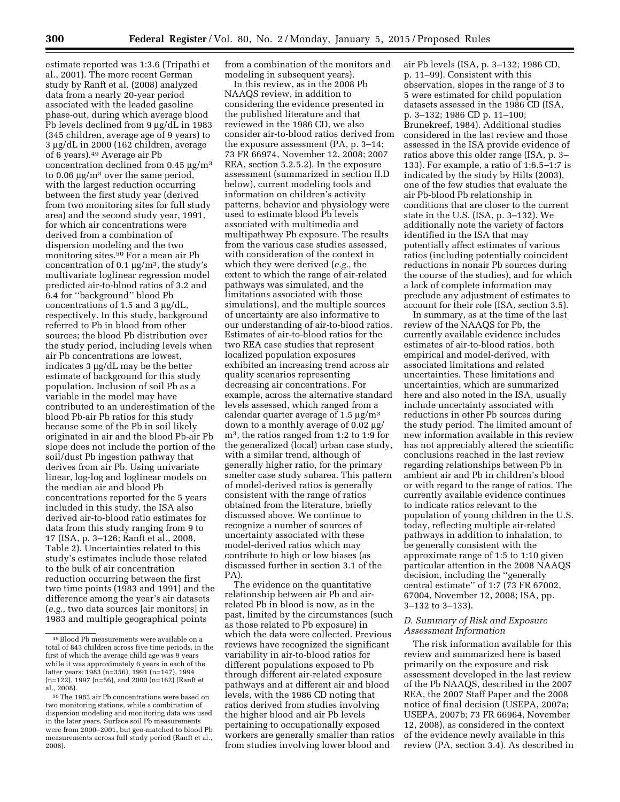estimate reported was 1:3.6 (Tripathi et al., 2001). The more recent German study by Ranft et al. (2008) analyzed data from a nearly 20-year period associated with the leaded gasoline phase-out, during which average blood Pb levels declined from  $9 \mu g/dL$  in 1983 (345 children, average age of 9 years) to 3 µg/dL in 2000 (162 children, average of 6 years).49 Average air Pb concentration declined from  $0.45 \mu g/m^3$ to 0.06  $\mu$ g/m<sup>3</sup> over the same period, with the largest reduction occurring between the first study year (derived from two monitoring sites for full study area) and the second study year, 1991, for which air concentrations were derived from a combination of dispersion modeling and the two monitoring sites.<sup>50</sup> For a mean air Pb concentration of 0.1  $\mu$ g/m<sup>3</sup>, the study's multivariate loglinear regression model predicted air-to-blood ratios of 3.2 and 6.4 for ''background'' blood Pb concentrations of 1.5 and 3  $\mu$ g/dL, respectively. In this study, background referred to Pb in blood from other sources; the blood Pb distribution over the study period, including levels when air Pb concentrations are lowest, indicates  $3 \mu$ g/dL may be the better estimate of background for this study population. Inclusion of soil Pb as a variable in the model may have contributed to an underestimation of the blood Pb-air Pb ratios for this study because some of the Pb in soil likely originated in air and the blood Pb-air Pb slope does not include the portion of the soil/dust Pb ingestion pathway that derives from air Pb. Using univariate linear, log-log and loglinear models on the median air and blood Pb concentrations reported for the 5 years included in this study, the ISA also derived air-to-blood ratio estimates for data from this study ranging from 9 to 17 (ISA, p. 3–126; Ranft et al., 2008, Table 2). Uncertainties related to this study's estimates include those related to the bulk of air concentration reduction occurring between the first two time points (1983 and 1991) and the difference among the year's air datasets (*e.g.,* two data sources [air monitors] in 1983 and multiple geographical points

from a combination of the monitors and modeling in subsequent years).

In this review, as in the 2008 Pb NAAQS review, in addition to considering the evidence presented in the published literature and that reviewed in the 1986 CD, we also consider air-to-blood ratios derived from the exposure assessment (PA, p. 3–14; 73 FR 66974, November 12, 2008; 2007 REA, section 5.2.5.2). In the exposure assessment (summarized in section II.D below), current modeling tools and information on children's activity patterns, behavior and physiology were used to estimate blood Pb levels associated with multimedia and multipathway Pb exposure. The results from the various case studies assessed, with consideration of the context in which they were derived (*e.g.,* the extent to which the range of air-related pathways was simulated, and the limitations associated with those simulations), and the multiple sources of uncertainty are also informative to our understanding of air-to-blood ratios. Estimates of air-to-blood ratios for the two REA case studies that represent localized population exposures exhibited an increasing trend across air quality scenarios representing decreasing air concentrations. For example, across the alternative standard levels assessed, which ranged from a calendar quarter average of 1.5  $\mu$ g/m<sup>3</sup> down to a monthly average of  $0.02 \mu$ g/ m3, the ratios ranged from 1:2 to 1:9 for the generalized (local) urban case study, with a similar trend, although of generally higher ratio, for the primary smelter case study subarea. This pattern of model-derived ratios is generally consistent with the range of ratios obtained from the literature, briefly discussed above. We continue to recognize a number of sources of uncertainty associated with these model-derived ratios which may contribute to high or low biases (as discussed further in section 3.1 of the PA)

The evidence on the quantitative relationship between air Pb and airrelated Pb in blood is now, as in the past, limited by the circumstances (such as those related to Pb exposure) in which the data were collected. Previous reviews have recognized the significant variability in air-to-blood ratios for different populations exposed to Pb through different air-related exposure pathways and at different air and blood levels, with the 1986 CD noting that ratios derived from studies involving the higher blood and air Pb levels pertaining to occupationally exposed workers are generally smaller than ratios from studies involving lower blood and

air Pb levels (ISA, p. 3–132; 1986 CD, p. 11–99). Consistent with this observation, slopes in the range of 3 to 5 were estimated for child population datasets assessed in the 1986 CD (ISA, p. 3–132; 1986 CD p. 11–100; Brunekreef, 1984). Additional studies considered in the last review and those assessed in the ISA provide evidence of ratios above this older range (ISA, p. 3– 133). For example, a ratio of 1:6.5–1:7 is indicated by the study by Hilts (2003), one of the few studies that evaluate the air Pb-blood Pb relationship in conditions that are closer to the current state in the U.S. (ISA, p. 3–132). We additionally note the variety of factors identified in the ISA that may potentially affect estimates of various ratios (including potentially coincident reductions in nonair Pb sources during the course of the studies), and for which a lack of complete information may preclude any adjustment of estimates to account for their role (ISA, section 3.5).

In summary, as at the time of the last review of the NAAQS for Pb, the currently available evidence includes estimates of air-to-blood ratios, both empirical and model-derived, with associated limitations and related uncertainties. These limitations and uncertainties, which are summarized here and also noted in the ISA, usually include uncertainty associated with reductions in other Pb sources during the study period. The limited amount of new information available in this review has not appreciably altered the scientific conclusions reached in the last review regarding relationships between Pb in ambient air and Pb in children's blood or with regard to the range of ratios. The currently available evidence continues to indicate ratios relevant to the population of young children in the U.S. today, reflecting multiple air-related pathways in addition to inhalation, to be generally consistent with the approximate range of 1:5 to 1:10 given particular attention in the 2008 NAAQS decision, including the ''generally central estimate'' of 1:7 (73 FR 67002, 67004, November 12, 2008; ISA, pp. 3–132 to 3–133).

### *D. Summary of Risk and Exposure Assessment Information*

The risk information available for this review and summarized here is based primarily on the exposure and risk assessment developed in the last review of the Pb NAAQS, described in the 2007 REA, the 2007 Staff Paper and the 2008 notice of final decision (USEPA, 2007a; USEPA, 2007b; 73 FR 66964, November 12, 2008), as considered in the context of the evidence newly available in this review (PA, section 3.4). As described in

<sup>49</sup>Blood Pb measurements were available on a total of 843 children across five time periods, in the first of which the average child age was 9 years while it was approximately 6 years in each of the latter years: 1983 (n=356), 1991 (n=147), 1994 (n=122), 1997 (n=56), and 2000 (n=162) (Ranft et al., 2008).

<sup>50</sup>The 1983 air Pb concentrations were based on two monitoring stations, while a combination of dispersion modeling and monitoring data was used in the later years. Surface soil Pb measurements were from 2000–2001, but geo-matched to blood Pb measurements across full study period (Ranft et al., 2008).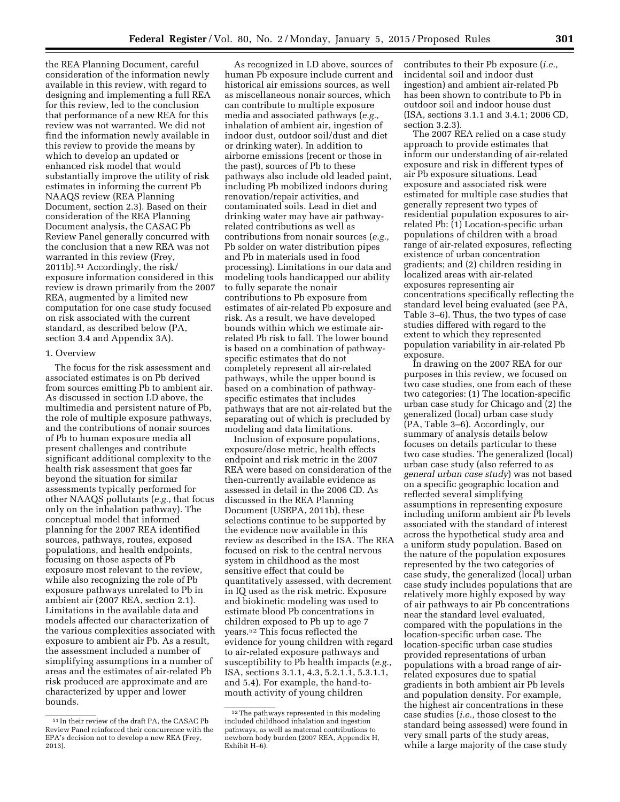the REA Planning Document, careful consideration of the information newly available in this review, with regard to designing and implementing a full REA for this review, led to the conclusion that performance of a new REA for this review was not warranted. We did not find the information newly available in this review to provide the means by which to develop an updated or enhanced risk model that would substantially improve the utility of risk estimates in informing the current Pb NAAQS review (REA Planning Document, section 2.3). Based on their consideration of the REA Planning Document analysis, the CASAC Pb Review Panel generally concurred with the conclusion that a new REA was not warranted in this review (Frey, 2011b).51 Accordingly, the risk/ exposure information considered in this review is drawn primarily from the 2007 REA, augmented by a limited new computation for one case study focused on risk associated with the current standard, as described below (PA, section 3.4 and Appendix 3A).

## 1. Overview

The focus for the risk assessment and associated estimates is on Pb derived from sources emitting Pb to ambient air. As discussed in section I.D above, the multimedia and persistent nature of Pb, the role of multiple exposure pathways, and the contributions of nonair sources of Pb to human exposure media all present challenges and contribute significant additional complexity to the health risk assessment that goes far beyond the situation for similar assessments typically performed for other NAAQS pollutants (*e.g.,* that focus only on the inhalation pathway). The conceptual model that informed planning for the 2007 REA identified sources, pathways, routes, exposed populations, and health endpoints, focusing on those aspects of Pb exposure most relevant to the review, while also recognizing the role of Pb exposure pathways unrelated to Pb in ambient air (2007 REA, section 2.1). Limitations in the available data and models affected our characterization of the various complexities associated with exposure to ambient air Pb. As a result, the assessment included a number of simplifying assumptions in a number of areas and the estimates of air-related Pb risk produced are approximate and are characterized by upper and lower bounds.

As recognized in I.D above, sources of human Pb exposure include current and historical air emissions sources, as well as miscellaneous nonair sources, which can contribute to multiple exposure media and associated pathways (*e.g.,*  inhalation of ambient air, ingestion of indoor dust, outdoor soil/dust and diet or drinking water). In addition to airborne emissions (recent or those in the past), sources of Pb to these pathways also include old leaded paint, including Pb mobilized indoors during renovation/repair activities, and contaminated soils. Lead in diet and drinking water may have air pathwayrelated contributions as well as contributions from nonair sources (*e.g.,*  Pb solder on water distribution pipes and Pb in materials used in food processing). Limitations in our data and modeling tools handicapped our ability to fully separate the nonair contributions to Pb exposure from estimates of air-related Pb exposure and risk. As a result, we have developed bounds within which we estimate airrelated Pb risk to fall. The lower bound is based on a combination of pathwayspecific estimates that do not completely represent all air-related pathways, while the upper bound is based on a combination of pathwayspecific estimates that includes pathways that are not air-related but the separating out of which is precluded by modeling and data limitations.

Inclusion of exposure populations, exposure/dose metric, health effects endpoint and risk metric in the 2007 REA were based on consideration of the then-currently available evidence as assessed in detail in the 2006 CD. As discussed in the REA Planning Document (USEPA, 2011b), these selections continue to be supported by the evidence now available in this review as described in the ISA. The REA focused on risk to the central nervous system in childhood as the most sensitive effect that could be quantitatively assessed, with decrement in IQ used as the risk metric. Exposure and biokinetic modeling was used to estimate blood Pb concentrations in children exposed to Pb up to age 7 years.52 This focus reflected the evidence for young children with regard to air-related exposure pathways and susceptibility to Pb health impacts (*e.g.,*  ISA, sections 3.1.1, 4.3, 5.2.1.1, 5.3.1.1, and 5.4). For example, the hand-tomouth activity of young children

contributes to their Pb exposure (*i.e.,*  incidental soil and indoor dust ingestion) and ambient air-related Pb has been shown to contribute to Pb in outdoor soil and indoor house dust (ISA, sections 3.1.1 and 3.4.1; 2006 CD, section 3.2.3).

The 2007 REA relied on a case study approach to provide estimates that inform our understanding of air-related exposure and risk in different types of air Pb exposure situations. Lead exposure and associated risk were estimated for multiple case studies that generally represent two types of residential population exposures to airrelated Pb: (1) Location-specific urban populations of children with a broad range of air-related exposures, reflecting existence of urban concentration gradients; and (2) children residing in localized areas with air-related exposures representing air concentrations specifically reflecting the standard level being evaluated (see PA, Table 3–6). Thus, the two types of case studies differed with regard to the extent to which they represented population variability in air-related Pb exposure.

In drawing on the 2007 REA for our purposes in this review, we focused on two case studies, one from each of these two categories: (1) The location-specific urban case study for Chicago and (2) the generalized (local) urban case study (PA, Table 3–6). Accordingly, our summary of analysis details below focuses on details particular to these two case studies. The generalized (local) urban case study (also referred to as *general urban case study*) was not based on a specific geographic location and reflected several simplifying assumptions in representing exposure including uniform ambient air Pb levels associated with the standard of interest across the hypothetical study area and a uniform study population. Based on the nature of the population exposures represented by the two categories of case study, the generalized (local) urban case study includes populations that are relatively more highly exposed by way of air pathways to air Pb concentrations near the standard level evaluated, compared with the populations in the location-specific urban case. The location-specific urban case studies provided representations of urban populations with a broad range of airrelated exposures due to spatial gradients in both ambient air Pb levels and population density. For example, the highest air concentrations in these case studies (*i.e.,* those closest to the standard being assessed) were found in very small parts of the study areas, while a large majority of the case study

<sup>51</sup> In their review of the draft PA, the CASAC Pb Review Panel reinforced their concurrence with the EPA's decision not to develop a new REA (Frey, 2013).

<sup>52</sup>The pathways represented in this modeling included childhood inhalation and ingestion pathways, as well as maternal contributions to newborn body burden (2007 REA, Appendix H, Exhibit H–6).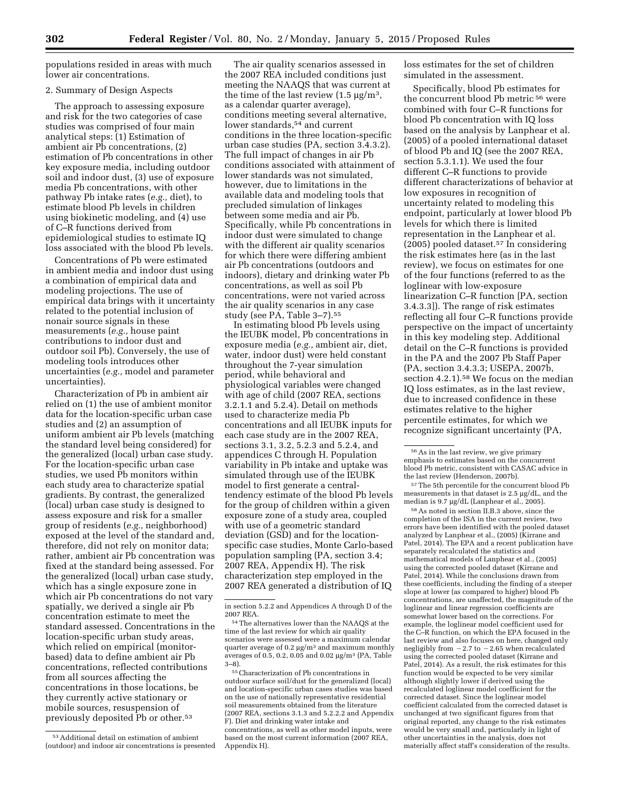populations resided in areas with much lower air concentrations.

## 2. Summary of Design Aspects

The approach to assessing exposure and risk for the two categories of case studies was comprised of four main analytical steps: (1) Estimation of ambient air Pb concentrations, (2) estimation of Pb concentrations in other key exposure media, including outdoor soil and indoor dust, (3) use of exposure media Pb concentrations, with other pathway Pb intake rates (*e.g.,* diet), to estimate blood Pb levels in children using biokinetic modeling, and (4) use of C–R functions derived from epidemiological studies to estimate IQ loss associated with the blood Pb levels.

Concentrations of Pb were estimated in ambient media and indoor dust using a combination of empirical data and modeling projections. The use of empirical data brings with it uncertainty related to the potential inclusion of nonair source signals in these measurements (*e.g.,* house paint contributions to indoor dust and outdoor soil Pb). Conversely, the use of modeling tools introduces other uncertainties (*e.g.,* model and parameter uncertainties).

Characterization of Pb in ambient air relied on (1) the use of ambient monitor data for the location-specific urban case studies and (2) an assumption of uniform ambient air Pb levels (matching the standard level being considered) for the generalized (local) urban case study. For the location-specific urban case studies, we used Pb monitors within each study area to characterize spatial gradients. By contrast, the generalized (local) urban case study is designed to assess exposure and risk for a smaller group of residents (*e.g.,* neighborhood) exposed at the level of the standard and, therefore, did not rely on monitor data; rather, ambient air Pb concentration was fixed at the standard being assessed. For the generalized (local) urban case study, which has a single exposure zone in which air Pb concentrations do not vary spatially, we derived a single air Pb concentration estimate to meet the standard assessed. Concentrations in the location-specific urban study areas, which relied on empirical (monitorbased) data to define ambient air Pb concentrations, reflected contributions from all sources affecting the concentrations in those locations, be they currently active stationary or mobile sources, resuspension of previously deposited Pb or other.53

The air quality scenarios assessed in the 2007 REA included conditions just meeting the NAAQS that was current at the time of the last review  $(1.5 \,\mu g/m^3)$ , as a calendar quarter average), conditions meeting several alternative, lower standards,<sup>54</sup> and current conditions in the three location-specific urban case studies (PA, section 3.4.3.2). The full impact of changes in air Pb conditions associated with attainment of lower standards was not simulated, however, due to limitations in the available data and modeling tools that precluded simulation of linkages between some media and air Pb. Specifically, while Pb concentrations in indoor dust were simulated to change with the different air quality scenarios for which there were differing ambient air Pb concentrations (outdoors and indoors), dietary and drinking water Pb concentrations, as well as soil Pb concentrations, were not varied across the air quality scenarios in any case study (see PA, Table 3–7).55

In estimating blood Pb levels using the IEUBK model, Pb concentrations in exposure media (*e.g.,* ambient air, diet, water, indoor dust) were held constant throughout the 7-year simulation period, while behavioral and physiological variables were changed with age of child (2007 REA, sections 3.2.1.1 and 5.2.4). Detail on methods used to characterize media Pb concentrations and all IEUBK inputs for each case study are in the 2007 REA, sections 3.1, 3.2, 5.2.3 and 5.2.4, and appendices C through H. Population variability in Pb intake and uptake was simulated through use of the IEUBK model to first generate a centraltendency estimate of the blood Pb levels for the group of children within a given exposure zone of a study area, coupled with use of a geometric standard deviation (GSD) and for the locationspecific case studies, Monte Carlo-based population sampling (PA, section 3.4; 2007 REA, Appendix H). The risk characterization step employed in the 2007 REA generated a distribution of IQ

55Characterization of Pb concentrations in outdoor surface soil/dust for the generalized (local) and location-specific urban cases studies was based on the use of nationally representative residential soil measurements obtained from the literature (2007 REA, sections 3.1.3 and 5.2.2.2 and Appendix F). Diet and drinking water intake and concentrations, as well as other model inputs, were based on the most current information (2007 REA, Appendix H).

loss estimates for the set of children simulated in the assessment.

Specifically, blood Pb estimates for the concurrent blood Pb metric 56 were combined with four C–R functions for blood Pb concentration with IQ loss based on the analysis by Lanphear et al. (2005) of a pooled international dataset of blood Pb and IQ (see the 2007 REA, section 5.3.1.1). We used the four different C–R functions to provide different characterizations of behavior at low exposures in recognition of uncertainty related to modeling this endpoint, particularly at lower blood Pb levels for which there is limited representation in the Lanphear et al. (2005) pooled dataset.57 In considering the risk estimates here (as in the last review), we focus on estimates for one of the four functions (referred to as the loglinear with low-exposure linearization C–R function [PA, section 3.4.3.3]). The range of risk estimates reflecting all four C–R functions provide perspective on the impact of uncertainty in this key modeling step. Additional detail on the C–R functions is provided in the PA and the 2007 Pb Staff Paper (PA, section 3.4.3.3; USEPA, 2007b, section 4.2.1).<sup>58</sup> We focus on the median IQ loss estimates, as in the last review, due to increased confidence in these estimates relative to the higher percentile estimates, for which we recognize significant uncertainty (PA,

57The 5th percentile for the concurrent blood Pb measurements in that dataset is 2.5 µg/dL, and the median is 9.7 µg/dL (Lanphear et al., 2005).

58As noted in section II.B.3 above, since the completion of the ISA in the current review, two errors have been identified with the pooled dataset analyzed by Lanphear et al., (2005) (Kirrane and Patel, 2014). The EPA and a recent publication have separately recalculated the statistics and mathematical models of Lanphear et al., (2005) using the corrected pooled dataset (Kirrane and Patel, 2014). While the conclusions drawn from these coefficients, including the finding of a steeper slope at lower (as compared to higher) blood Pb concentrations, are unaffected, the magnitude of the loglinear and linear regression coefficients are somewhat lower based on the corrections. For example, the loglinear model coefficient used for the C–R function, on which the EPA focused in the last review and also focuses on here, changed only negligibly from  $-2.7$  to  $-2.65$  when recalculated using the corrected pooled dataset (Kirrane and Patel, 2014). As a result, the risk estimates for this function would be expected to be very similar although slightly lower if derived using the recalculated loglinear model coefficient for the corrected dataset. Since the loglinear model coefficient calculated from the corrected dataset is unchanged at two significant figures from that original reported, any change to the risk estimates would be very small and, particularly in light of other uncertainties in the analysis, does not materially affect staff's consideration of the results.

<sup>53</sup>Additional detail on estimation of ambient (outdoor) and indoor air concentrations is presented

in section 5.2.2 and Appendices A through D of the 2007 REA.

<sup>54</sup>The alternatives lower than the NAAQS at the time of the last review for which air quality scenarios were assessed were a maximum calendar quarter average of  $0.2 \mu g/m^3$  and maximum monthly averages of 0.5, 0.2, 0.05 and 0.02  $\mu$ g/m<sup>3</sup> (PA, Table 3–8).

<sup>56</sup>As in the last review, we give primary emphasis to estimates based on the concurrent blood Pb metric, consistent with CASAC advice in the last review (Henderson, 2007b).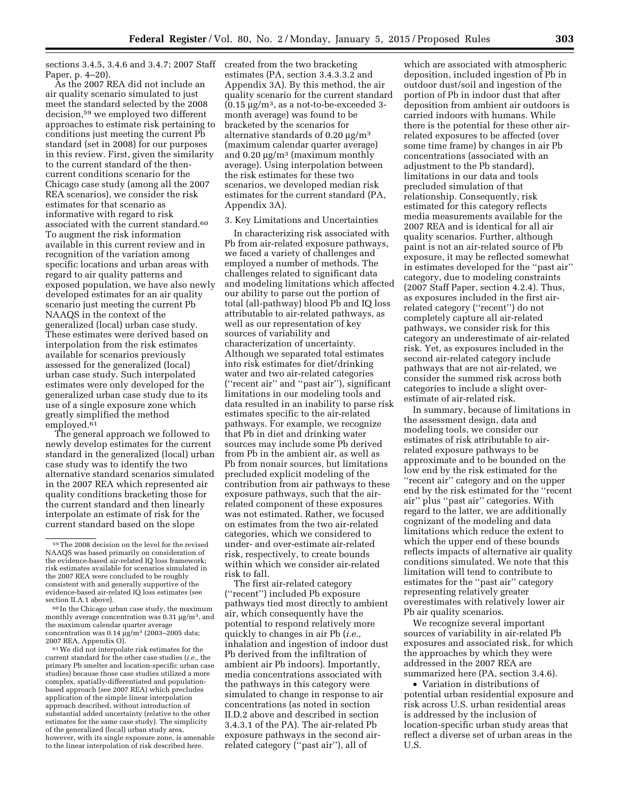sections 3.4.5, 3.4.6 and 3.4.7; 2007 Staff created from the two bracketing Paper, p. 4–20).

As the 2007 REA did not include an air quality scenario simulated to just meet the standard selected by the 2008 decision,59 we employed two different approaches to estimate risk pertaining to conditions just meeting the current Pb standard (set in 2008) for our purposes in this review. First, given the similarity to the current standard of the thencurrent conditions scenario for the Chicago case study (among all the 2007 REA scenarios), we consider the risk estimates for that scenario as informative with regard to risk associated with the current standard.60 To augment the risk information available in this current review and in recognition of the variation among specific locations and urban areas with regard to air quality patterns and exposed population, we have also newly developed estimates for an air quality scenario just meeting the current Pb NAAQS in the context of the generalized (local) urban case study. These estimates were derived based on interpolation from the risk estimates available for scenarios previously assessed for the generalized (local) urban case study. Such interpolated estimates were only developed for the generalized urban case study due to its use of a single exposure zone which greatly simplified the method employed.<sup>61</sup>

The general approach we followed to newly develop estimates for the current standard in the generalized (local) urban case study was to identify the two alternative standard scenarios simulated in the 2007 REA which represented air quality conditions bracketing those for the current standard and then linearly interpolate an estimate of risk for the current standard based on the slope

61We did not interpolate risk estimates for the current standard for the other case studies (*i.e.,* the primary Pb smelter and location-specific urban case studies) because those case studies utilized a more complex, spatially-differentiated and populationbased approach (see 2007 REA) which precludes application of the simple linear interpolation approach described, without introduction of substantial added uncertainty (relative to the other estimates for the same case study). The simplicity of the generalized (local) urban study area, however, with its single exposure zone, is amenable to the linear interpolation of risk described here.

estimates (PA, section 3.4.3.3.2 and Appendix 3A). By this method, the air quality scenario for the current standard  $(0.15 \text{ µg/m}^3, \text{ as a not-to-be-exceeded } 3-)$ month average) was found to be bracketed by the scenarios for alternative standards of  $0.20 \mu g/m<sup>3</sup>$ (maximum calendar quarter average) and  $0.20 \mu g/m^3$  (maximum monthly average). Using interpolation between the risk estimates for these two scenarios, we developed median risk estimates for the current standard (PA, Appendix 3A).

## 3. Key Limitations and Uncertainties

In characterizing risk associated with Pb from air-related exposure pathways, we faced a variety of challenges and employed a number of methods. The challenges related to significant data and modeling limitations which affected our ability to parse out the portion of total (all-pathway) blood Pb and IQ loss attributable to air-related pathways, as well as our representation of key sources of variability and characterization of uncertainty. Although we separated total estimates into risk estimates for diet/drinking water and two air-related categories (''recent air'' and ''past air''), significant limitations in our modeling tools and data resulted in an inability to parse risk estimates specific to the air-related pathways. For example, we recognize that Pb in diet and drinking water sources may include some Pb derived from Pb in the ambient air, as well as Pb from nonair sources, but limitations precluded explicit modeling of the contribution from air pathways to these exposure pathways, such that the airrelated component of these exposures was not estimated. Rather, we focused on estimates from the two air-related categories, which we considered to under- and over-estimate air-related risk, respectively, to create bounds within which we consider air-related risk to fall.

The first air-related category (''recent'') included Pb exposure pathways tied most directly to ambient air, which consequently have the potential to respond relatively more quickly to changes in air Pb (*i.e.,*  inhalation and ingestion of indoor dust Pb derived from the infiltration of ambient air Pb indoors). Importantly, media concentrations associated with the pathways in this category were simulated to change in response to air concentrations (as noted in section II.D.2 above and described in section 3.4.3.1 of the PA). The air-related Pb exposure pathways in the second airrelated category (''past air''), all of

which are associated with atmospheric deposition, included ingestion of Pb in outdoor dust/soil and ingestion of the portion of Pb in indoor dust that after deposition from ambient air outdoors is carried indoors with humans. While there is the potential for these other airrelated exposures to be affected (over some time frame) by changes in air Pb concentrations (associated with an adjustment to the Pb standard), limitations in our data and tools precluded simulation of that relationship. Consequently, risk estimated for this category reflects media measurements available for the 2007 REA and is identical for all air quality scenarios. Further, although paint is not an air-related source of Pb exposure, it may be reflected somewhat in estimates developed for the ''past air'' category, due to modeling constraints (2007 Staff Paper, section 4.2.4). Thus, as exposures included in the first airrelated category (''recent'') do not completely capture all air-related pathways, we consider risk for this category an underestimate of air-related risk. Yet, as exposures included in the second air-related category include pathways that are not air-related, we consider the summed risk across both categories to include a slight overestimate of air-related risk.

In summary, because of limitations in the assessment design, data and modeling tools, we consider our estimates of risk attributable to airrelated exposure pathways to be approximate and to be bounded on the low end by the risk estimated for the ''recent air'' category and on the upper end by the risk estimated for the ''recent air'' plus ''past air'' categories. With regard to the latter, we are additionally cognizant of the modeling and data limitations which reduce the extent to which the upper end of these bounds reflects impacts of alternative air quality conditions simulated. We note that this limitation will tend to contribute to estimates for the ''past air'' category representing relatively greater overestimates with relatively lower air Pb air quality scenarios.

We recognize several important sources of variability in air-related Pb exposures and associated risk, for which the approaches by which they were addressed in the 2007 REA are summarized here (PA, section 3.4.6).

• Variation in distributions of potential urban residential exposure and risk across U.S. urban residential areas is addressed by the inclusion of location-specific urban study areas that reflect a diverse set of urban areas in the U.S.

<sup>59</sup>The 2008 decision on the level for the revised NAAQS was based primarily on consideration of the evidence-based air-related IQ loss framework; risk estimates available for scenarios simulated in the 2007 REA were concluded to be roughly consistent with and generally supportive of the evidence-based air-related IQ loss estimates (see

 $60$  In the Chicago urban case study, the maximum monthly average concentration was  $0.31 \,\mathrm{\mu g/m^3}$ , and the maximum calendar quarter average concentration was  $0.14 \mu g/m^3$  (2003–2005 data; 2007 REA, Appendix O).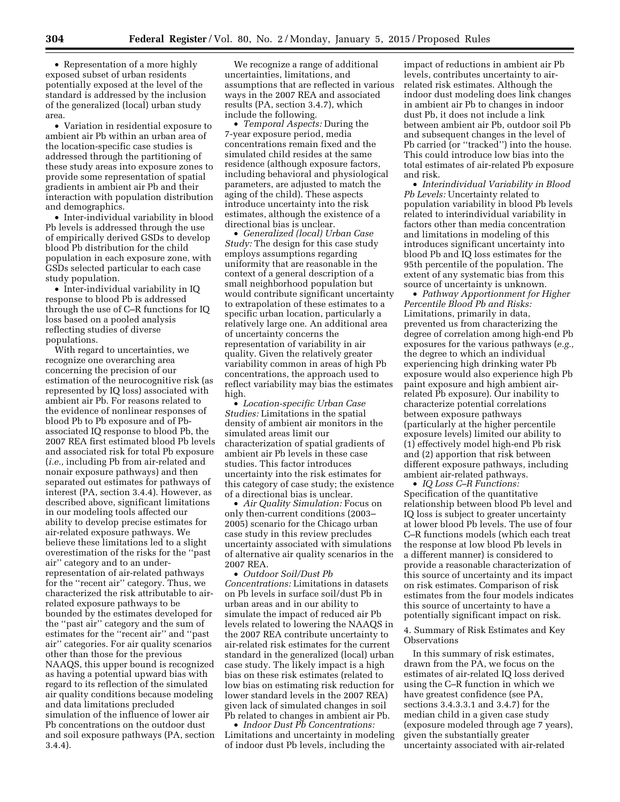• Representation of a more highly exposed subset of urban residents potentially exposed at the level of the standard is addressed by the inclusion of the generalized (local) urban study area.

• Variation in residential exposure to ambient air Pb within an urban area of the location-specific case studies is addressed through the partitioning of these study areas into exposure zones to provide some representation of spatial gradients in ambient air Pb and their interaction with population distribution and demographics.

• Inter-individual variability in blood Pb levels is addressed through the use of empirically derived GSDs to develop blood Pb distribution for the child population in each exposure zone, with GSDs selected particular to each case study population.

• Inter-individual variability in IQ response to blood Pb is addressed through the use of C–R functions for IQ loss based on a pooled analysis reflecting studies of diverse populations.

With regard to uncertainties, we recognize one overarching area concerning the precision of our estimation of the neurocognitive risk (as represented by IQ loss) associated with ambient air Pb. For reasons related to the evidence of nonlinear responses of blood Pb to Pb exposure and of Pbassociated IQ response to blood Pb, the 2007 REA first estimated blood Pb levels and associated risk for total Pb exposure (*i.e.,* including Pb from air-related and nonair exposure pathways) and then separated out estimates for pathways of interest (PA, section 3.4.4). However, as described above, significant limitations in our modeling tools affected our ability to develop precise estimates for air-related exposure pathways. We believe these limitations led to a slight overestimation of the risks for the ''past air'' category and to an underrepresentation of air-related pathways for the ''recent air'' category. Thus, we characterized the risk attributable to airrelated exposure pathways to be bounded by the estimates developed for the ''past air'' category and the sum of estimates for the ''recent air'' and ''past air'' categories. For air quality scenarios other than those for the previous NAAQS, this upper bound is recognized as having a potential upward bias with regard to its reflection of the simulated air quality conditions because modeling and data limitations precluded simulation of the influence of lower air Pb concentrations on the outdoor dust and soil exposure pathways (PA, section 3.4.4).

We recognize a range of additional uncertainties, limitations, and assumptions that are reflected in various ways in the 2007 REA and associated results (PA, section 3.4.7), which include the following.

• *Temporal Aspects:* During the 7-year exposure period, media concentrations remain fixed and the simulated child resides at the same residence (although exposure factors, including behavioral and physiological parameters, are adjusted to match the aging of the child). These aspects introduce uncertainty into the risk estimates, although the existence of a directional bias is unclear.

• *Generalized (local) Urban Case Study:* The design for this case study employs assumptions regarding uniformity that are reasonable in the context of a general description of a small neighborhood population but would contribute significant uncertainty to extrapolation of these estimates to a specific urban location, particularly a relatively large one. An additional area of uncertainty concerns the representation of variability in air quality. Given the relatively greater variability common in areas of high Pb concentrations, the approach used to reflect variability may bias the estimates high.

• *Location-specific Urban Case Studies:* Limitations in the spatial density of ambient air monitors in the simulated areas limit our characterization of spatial gradients of ambient air Pb levels in these case studies. This factor introduces uncertainty into the risk estimates for this category of case study; the existence of a directional bias is unclear.

• *Air Quality Simulation:* Focus on only then-current conditions (2003– 2005) scenario for the Chicago urban case study in this review precludes uncertainty associated with simulations of alternative air quality scenarios in the 2007 REA.

• *Outdoor Soil/Dust Pb Concentrations:* Limitations in datasets on Pb levels in surface soil/dust Pb in urban areas and in our ability to simulate the impact of reduced air Pb levels related to lowering the NAAQS in the 2007 REA contribute uncertainty to air-related risk estimates for the current standard in the generalized (local) urban case study. The likely impact is a high bias on these risk estimates (related to low bias on estimating risk reduction for lower standard levels in the 2007 REA) given lack of simulated changes in soil Pb related to changes in ambient air Pb.

• *Indoor Dust Pb Concentrations:*  Limitations and uncertainty in modeling of indoor dust Pb levels, including the

impact of reductions in ambient air Pb levels, contributes uncertainty to airrelated risk estimates. Although the indoor dust modeling does link changes in ambient air Pb to changes in indoor dust Pb, it does not include a link between ambient air Pb, outdoor soil Pb and subsequent changes in the level of Pb carried (or ''tracked'') into the house. This could introduce low bias into the total estimates of air-related Pb exposure and risk.

• *Interindividual Variability in Blood Pb Levels:* Uncertainty related to population variability in blood Pb levels related to interindividual variability in factors other than media concentration and limitations in modeling of this introduces significant uncertainty into blood Pb and IQ loss estimates for the 95th percentile of the population. The extent of any systematic bias from this source of uncertainty is unknown.

• *Pathway Apportionment for Higher Percentile Blood Pb and Risks:*  Limitations, primarily in data, prevented us from characterizing the degree of correlation among high-end Pb exposures for the various pathways (*e.g.,*  the degree to which an individual experiencing high drinking water Pb exposure would also experience high Pb paint exposure and high ambient airrelated Pb exposure). Our inability to characterize potential correlations between exposure pathways (particularly at the higher percentile exposure levels) limited our ability to (1) effectively model high-end Pb risk and (2) apportion that risk between different exposure pathways, including ambient air-related pathways.

• *IQ Loss C–R Functions:*  Specification of the quantitative relationship between blood Pb level and IQ loss is subject to greater uncertainty at lower blood Pb levels. The use of four C–R functions models (which each treat the response at low blood Pb levels in a different manner) is considered to provide a reasonable characterization of this source of uncertainty and its impact on risk estimates. Comparison of risk estimates from the four models indicates this source of uncertainty to have a potentially significant impact on risk.

4. Summary of Risk Estimates and Key Observations

In this summary of risk estimates, drawn from the PA, we focus on the estimates of air-related IQ loss derived using the C–R function in which we have greatest confidence (see PA, sections 3.4.3.3.1 and 3.4.7) for the median child in a given case study (exposure modeled through age 7 years), given the substantially greater uncertainty associated with air-related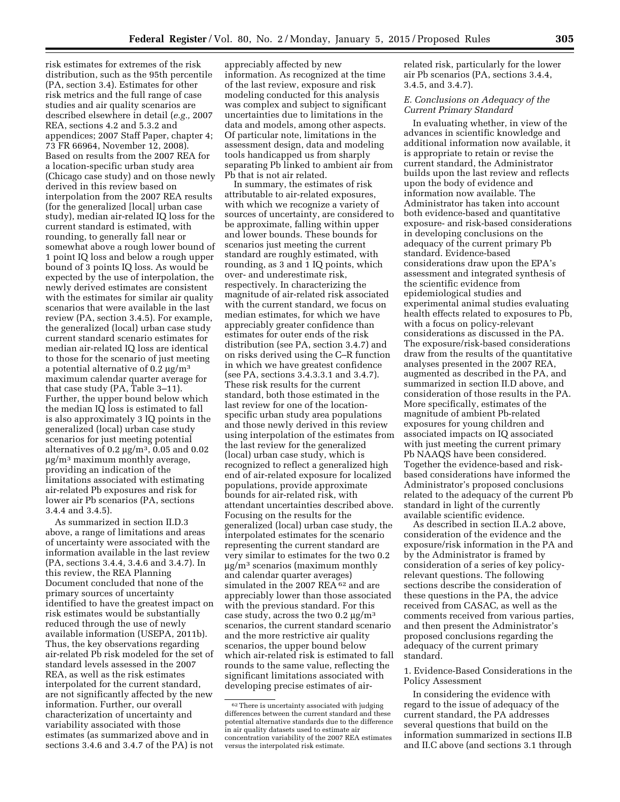risk estimates for extremes of the risk distribution, such as the 95th percentile (PA, section 3.4). Estimates for other risk metrics and the full range of case studies and air quality scenarios are described elsewhere in detail (*e.g.,* 2007 REA, sections 4.2 and 5.3.2 and appendices; 2007 Staff Paper, chapter 4; 73 FR 66964, November 12, 2008). Based on results from the 2007 REA for a location-specific urban study area (Chicago case study) and on those newly derived in this review based on interpolation from the 2007 REA results (for the generalized [local] urban case study), median air-related IQ loss for the current standard is estimated, with rounding, to generally fall near or somewhat above a rough lower bound of 1 point IQ loss and below a rough upper bound of 3 points IQ loss. As would be expected by the use of interpolation, the newly derived estimates are consistent with the estimates for similar air quality scenarios that were available in the last review (PA, section 3.4.5). For example, the generalized (local) urban case study current standard scenario estimates for median air-related IQ loss are identical to those for the scenario of just meeting a potential alternative of 0.2  $\mu$ g/m<sup>3</sup> maximum calendar quarter average for that case study (PA, Table 3–11). Further, the upper bound below which the median IQ loss is estimated to fall is also approximately 3 IQ points in the generalized (local) urban case study scenarios for just meeting potential alternatives of 0.2  $\mu$ g/m<sup>3</sup>, 0.05 and 0.02  $\mu$ g/m<sup>3</sup> maximum monthly average, providing an indication of the limitations associated with estimating air-related Pb exposures and risk for lower air Pb scenarios (PA, sections 3.4.4 and 3.4.5).

As summarized in section II.D.3 above, a range of limitations and areas of uncertainty were associated with the information available in the last review (PA, sections 3.4.4, 3.4.6 and 3.4.7). In this review, the REA Planning Document concluded that none of the primary sources of uncertainty identified to have the greatest impact on risk estimates would be substantially reduced through the use of newly available information (USEPA, 2011b). Thus, the key observations regarding air-related Pb risk modeled for the set of standard levels assessed in the 2007 REA, as well as the risk estimates interpolated for the current standard, are not significantly affected by the new information. Further, our overall characterization of uncertainty and variability associated with those estimates (as summarized above and in sections 3.4.6 and 3.4.7 of the PA) is not

appreciably affected by new information. As recognized at the time of the last review, exposure and risk modeling conducted for this analysis was complex and subject to significant uncertainties due to limitations in the data and models, among other aspects. Of particular note, limitations in the assessment design, data and modeling tools handicapped us from sharply separating Pb linked to ambient air from Pb that is not air related.

In summary, the estimates of risk attributable to air-related exposures, with which we recognize a variety of sources of uncertainty, are considered to be approximate, falling within upper and lower bounds. These bounds for scenarios just meeting the current standard are roughly estimated, with rounding, as 3 and 1 IQ points, which over- and underestimate risk, respectively. In characterizing the magnitude of air-related risk associated with the current standard, we focus on median estimates, for which we have appreciably greater confidence than estimates for outer ends of the risk distribution (see PA, section 3.4.7) and on risks derived using the C–R function in which we have greatest confidence (see PA, sections 3.4.3.3.1 and 3.4.7). These risk results for the current standard, both those estimated in the last review for one of the locationspecific urban study area populations and those newly derived in this review using interpolation of the estimates from the last review for the generalized (local) urban case study, which is recognized to reflect a generalized high end of air-related exposure for localized populations, provide approximate bounds for air-related risk, with attendant uncertainties described above. Focusing on the results for the generalized (local) urban case study, the interpolated estimates for the scenario representing the current standard are very similar to estimates for the two 0.2  $\mu$ g/m<sup>3</sup> scenarios (maximum monthly and calendar quarter averages) simulated in the 2007 REA <sup>62</sup> and are appreciably lower than those associated with the previous standard. For this case study, across the two  $0.2 \mu g/m^3$ scenarios, the current standard scenario and the more restrictive air quality scenarios, the upper bound below which air-related risk is estimated to fall rounds to the same value, reflecting the significant limitations associated with developing precise estimates of airrelated risk, particularly for the lower air Pb scenarios (PA, sections 3.4.4, 3.4.5, and 3.4.7).

# *E. Conclusions on Adequacy of the Current Primary Standard*

In evaluating whether, in view of the advances in scientific knowledge and additional information now available, it is appropriate to retain or revise the current standard, the Administrator builds upon the last review and reflects upon the body of evidence and information now available. The Administrator has taken into account both evidence-based and quantitative exposure- and risk-based considerations in developing conclusions on the adequacy of the current primary Pb standard. Evidence-based considerations draw upon the EPA's assessment and integrated synthesis of the scientific evidence from epidemiological studies and experimental animal studies evaluating health effects related to exposures to Pb, with a focus on policy-relevant considerations as discussed in the PA. The exposure/risk-based considerations draw from the results of the quantitative analyses presented in the 2007 REA, augmented as described in the PA, and summarized in section II.D above, and consideration of those results in the PA. More specifically, estimates of the magnitude of ambient Pb-related exposures for young children and associated impacts on IQ associated with just meeting the current primary Pb NAAQS have been considered. Together the evidence-based and riskbased considerations have informed the Administrator's proposed conclusions related to the adequacy of the current Pb standard in light of the currently available scientific evidence.

As described in section II.A.2 above, consideration of the evidence and the exposure/risk information in the PA and by the Administrator is framed by consideration of a series of key policyrelevant questions. The following sections describe the consideration of these questions in the PA, the advice received from CASAC, as well as the comments received from various parties, and then present the Administrator's proposed conclusions regarding the adequacy of the current primary standard.

1. Evidence-Based Considerations in the Policy Assessment

In considering the evidence with regard to the issue of adequacy of the current standard, the PA addresses several questions that build on the information summarized in sections II.B and II.C above (and sections 3.1 through

<sup>62</sup>There is uncertainty associated with judging differences between the current standard and these potential alternative standards due to the difference in air quality datasets used to estimate air concentration variability of the 2007 REA estimates versus the interpolated risk estimate.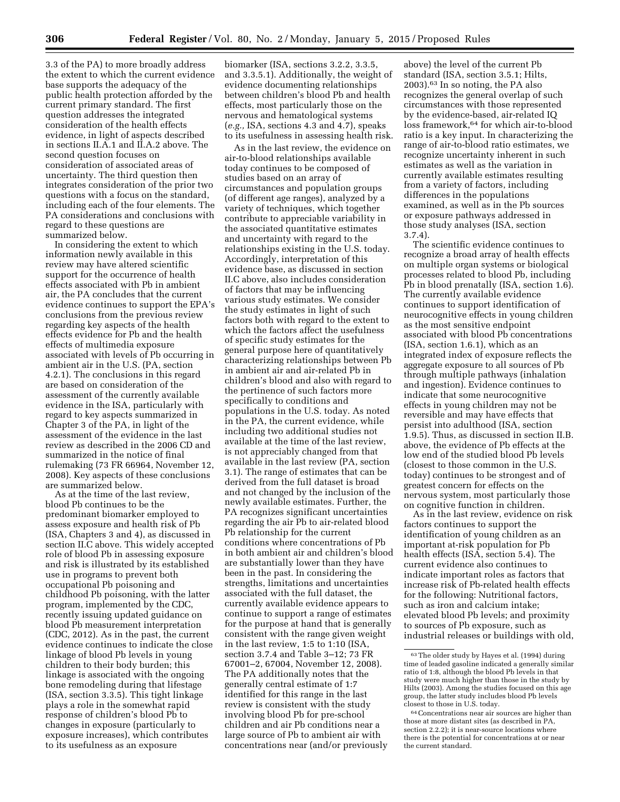3.3 of the PA) to more broadly address the extent to which the current evidence base supports the adequacy of the public health protection afforded by the current primary standard. The first question addresses the integrated consideration of the health effects evidence, in light of aspects described in sections II.A.1 and II.A.2 above. The second question focuses on consideration of associated areas of uncertainty. The third question then integrates consideration of the prior two questions with a focus on the standard, including each of the four elements. The PA considerations and conclusions with regard to these questions are summarized below.

In considering the extent to which information newly available in this review may have altered scientific support for the occurrence of health effects associated with Pb in ambient air, the PA concludes that the current evidence continues to support the EPA's conclusions from the previous review regarding key aspects of the health effects evidence for Pb and the health effects of multimedia exposure associated with levels of Pb occurring in ambient air in the U.S. (PA, section 4.2.1). The conclusions in this regard are based on consideration of the assessment of the currently available evidence in the ISA, particularly with regard to key aspects summarized in Chapter 3 of the PA, in light of the assessment of the evidence in the last review as described in the 2006 CD and summarized in the notice of final rulemaking (73 FR 66964, November 12, 2008). Key aspects of these conclusions are summarized below.

As at the time of the last review, blood Pb continues to be the predominant biomarker employed to assess exposure and health risk of Pb (ISA, Chapters 3 and 4), as discussed in section II.C above. This widely accepted role of blood Pb in assessing exposure and risk is illustrated by its established use in programs to prevent both occupational Pb poisoning and childhood Pb poisoning, with the latter program, implemented by the CDC, recently issuing updated guidance on blood Pb measurement interpretation (CDC, 2012). As in the past, the current evidence continues to indicate the close linkage of blood Pb levels in young children to their body burden; this linkage is associated with the ongoing bone remodeling during that lifestage (ISA, section 3.3.5). This tight linkage plays a role in the somewhat rapid response of children's blood Pb to changes in exposure (particularly to exposure increases), which contributes to its usefulness as an exposure

biomarker (ISA, sections 3.2.2, 3.3.5, and 3.3.5.1). Additionally, the weight of evidence documenting relationships between children's blood Pb and health effects, most particularly those on the nervous and hematological systems (*e.g.,* ISA, sections 4.3 and 4.7), speaks to its usefulness in assessing health risk.

As in the last review, the evidence on air-to-blood relationships available today continues to be composed of studies based on an array of circumstances and population groups (of different age ranges), analyzed by a variety of techniques, which together contribute to appreciable variability in the associated quantitative estimates and uncertainty with regard to the relationships existing in the U.S. today. Accordingly, interpretation of this evidence base, as discussed in section II.C above, also includes consideration of factors that may be influencing various study estimates. We consider the study estimates in light of such factors both with regard to the extent to which the factors affect the usefulness of specific study estimates for the general purpose here of quantitatively characterizing relationships between Pb in ambient air and air-related Pb in children's blood and also with regard to the pertinence of such factors more specifically to conditions and populations in the U.S. today. As noted in the PA, the current evidence, while including two additional studies not available at the time of the last review, is not appreciably changed from that available in the last review (PA, section 3.1). The range of estimates that can be derived from the full dataset is broad and not changed by the inclusion of the newly available estimates. Further, the PA recognizes significant uncertainties regarding the air Pb to air-related blood Pb relationship for the current conditions where concentrations of Pb in both ambient air and children's blood are substantially lower than they have been in the past. In considering the strengths, limitations and uncertainties associated with the full dataset, the currently available evidence appears to continue to support a range of estimates for the purpose at hand that is generally consistent with the range given weight in the last review, 1:5 to 1:10 (ISA, section 3.7.4 and Table 3–12; 73 FR 67001–2, 67004, November 12, 2008). The PA additionally notes that the generally central estimate of 1:7 identified for this range in the last review is consistent with the study involving blood Pb for pre-school children and air Pb conditions near a large source of Pb to ambient air with concentrations near (and/or previously

above) the level of the current Pb standard (ISA, section 3.5.1; Hilts, 2003).63 In so noting, the PA also recognizes the general overlap of such circumstances with those represented by the evidence-based, air-related IQ loss framework,<sup>64</sup> for which air-to-blood ratio is a key input. In characterizing the range of air-to-blood ratio estimates, we recognize uncertainty inherent in such estimates as well as the variation in currently available estimates resulting from a variety of factors, including differences in the populations examined, as well as in the Pb sources or exposure pathways addressed in those study analyses (ISA, section 3.7.4).

The scientific evidence continues to recognize a broad array of health effects on multiple organ systems or biological processes related to blood Pb, including Pb in blood prenatally (ISA, section 1.6). The currently available evidence continues to support identification of neurocognitive effects in young children as the most sensitive endpoint associated with blood Pb concentrations (ISA, section 1.6.1), which as an integrated index of exposure reflects the aggregate exposure to all sources of Pb through multiple pathways (inhalation and ingestion). Evidence continues to indicate that some neurocognitive effects in young children may not be reversible and may have effects that persist into adulthood (ISA, section 1.9.5). Thus, as discussed in section II.B. above, the evidence of Pb effects at the low end of the studied blood Pb levels (closest to those common in the U.S. today) continues to be strongest and of greatest concern for effects on the nervous system, most particularly those on cognitive function in children.

As in the last review, evidence on risk factors continues to support the identification of young children as an important at-risk population for Pb health effects (ISA, section 5.4). The current evidence also continues to indicate important roles as factors that increase risk of Pb-related health effects for the following: Nutritional factors, such as iron and calcium intake; elevated blood Pb levels; and proximity to sources of Pb exposure, such as industrial releases or buildings with old,

<sup>63</sup>The older study by Hayes et al. (1994) during time of leaded gasoline indicated a generally similar ratio of 1:8, although the blood Pb levels in that study were much higher than those in the study by Hilts (2003). Among the studies focused on this age group, the latter study includes blood Pb levels closest to those in U.S. today.

<sup>64</sup>Concentrations near air sources are higher than those at more distant sites (as described in PA, section 2.2.2); it is near-source locations where there is the potential for concentrations at or near the current standard.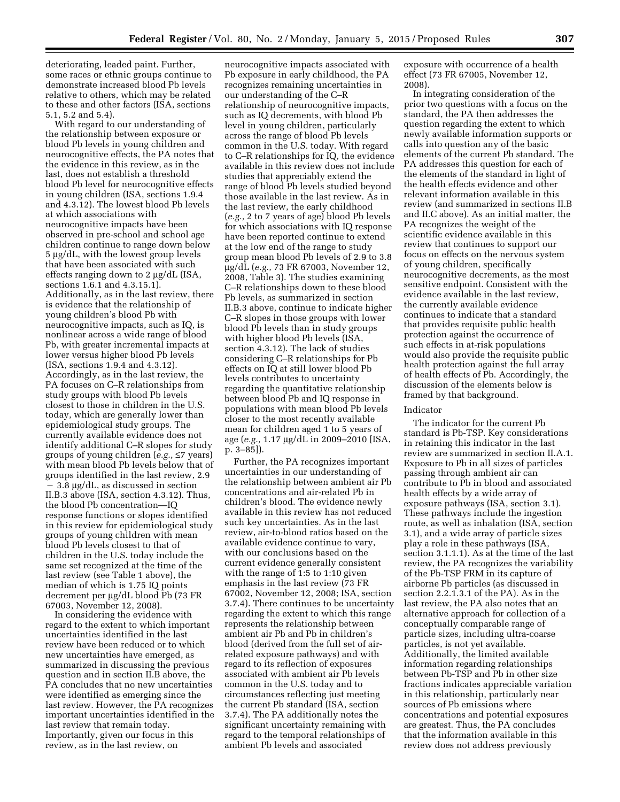deteriorating, leaded paint. Further, some races or ethnic groups continue to demonstrate increased blood Pb levels relative to others, which may be related to these and other factors (ISA, sections 5.1, 5.2 and 5.4).

With regard to our understanding of the relationship between exposure or blood Pb levels in young children and neurocognitive effects, the PA notes that the evidence in this review, as in the last, does not establish a threshold blood Pb level for neurocognitive effects in young children (ISA, sections 1.9.4 and 4.3.12). The lowest blood Pb levels at which associations with neurocognitive impacts have been observed in pre-school and school age children continue to range down below  $5 \mu g/dL$ , with the lowest group levels that have been associated with such effects ranging down to 2  $\mu$ g/dL (ISA, sections 1.6.1 and 4.3.15.1). Additionally, as in the last review, there is evidence that the relationship of young children's blood Pb with neurocognitive impacts, such as IQ, is nonlinear across a wide range of blood Pb, with greater incremental impacts at lower versus higher blood Pb levels (ISA, sections 1.9.4 and 4.3.12). Accordingly, as in the last review, the PA focuses on C–R relationships from study groups with blood Pb levels closest to those in children in the U.S. today, which are generally lower than epidemiological study groups. The currently available evidence does not identify additional C–R slopes for study groups of young children (*e.g.,* ≤7 years) with mean blood Pb levels below that of groups identified in the last review, 2.9  $3.8 \mu g/dL$ , as discussed in section II.B.3 above (ISA, section 4.3.12). Thus, the blood Pb concentration—IQ response functions or slopes identified in this review for epidemiological study groups of young children with mean blood Pb levels closest to that of children in the U.S. today include the same set recognized at the time of the last review (see Table 1 above), the median of which is 1.75 IQ points decrement per µg/dL blood Pb (73 FR 67003, November 12, 2008).

In considering the evidence with regard to the extent to which important uncertainties identified in the last review have been reduced or to which new uncertainties have emerged, as summarized in discussing the previous question and in section II.B above, the PA concludes that no new uncertainties were identified as emerging since the last review. However, the PA recognizes important uncertainties identified in the last review that remain today. Importantly, given our focus in this review, as in the last review, on

neurocognitive impacts associated with Pb exposure in early childhood, the PA recognizes remaining uncertainties in our understanding of the C–R relationship of neurocognitive impacts, such as IQ decrements, with blood Pb level in young children, particularly across the range of blood Pb levels common in the U.S. today. With regard to C–R relationships for IQ, the evidence available in this review does not include studies that appreciably extend the range of blood Pb levels studied beyond those available in the last review. As in the last review, the early childhood (*e.g.,* 2 to 7 years of age) blood Pb levels for which associations with IQ response have been reported continue to extend at the low end of the range to study group mean blood Pb levels of 2.9 to 3.8 mg/dL (*e.g.,* 73 FR 67003, November 12, 2008, Table 3). The studies examining C–R relationships down to these blood Pb levels, as summarized in section II.B.3 above, continue to indicate higher C–R slopes in those groups with lower blood Pb levels than in study groups with higher blood Pb levels (ISA, section 4.3.12). The lack of studies considering C–R relationships for Pb effects on IQ at still lower blood Pb levels contributes to uncertainty regarding the quantitative relationship between blood Pb and IQ response in populations with mean blood Pb levels closer to the most recently available mean for children aged 1 to 5 years of age (*e.g.*, 1.17 μg/dL in 2009–2010 [ISA, p. 3–85]).

Further, the PA recognizes important uncertainties in our understanding of the relationship between ambient air Pb concentrations and air-related Pb in children's blood. The evidence newly available in this review has not reduced such key uncertainties. As in the last review, air-to-blood ratios based on the available evidence continue to vary, with our conclusions based on the current evidence generally consistent with the range of 1:5 to 1:10 given emphasis in the last review (73 FR 67002, November 12, 2008; ISA, section 3.7.4). There continues to be uncertainty regarding the extent to which this range represents the relationship between ambient air Pb and Pb in children's blood (derived from the full set of airrelated exposure pathways) and with regard to its reflection of exposures associated with ambient air Pb levels common in the U.S. today and to circumstances reflecting just meeting the current Pb standard (ISA, section 3.7.4). The PA additionally notes the significant uncertainty remaining with regard to the temporal relationships of ambient Pb levels and associated

exposure with occurrence of a health effect (73 FR 67005, November 12, 2008).

In integrating consideration of the prior two questions with a focus on the standard, the PA then addresses the question regarding the extent to which newly available information supports or calls into question any of the basic elements of the current Pb standard. The PA addresses this question for each of the elements of the standard in light of the health effects evidence and other relevant information available in this review (and summarized in sections II.B and II.C above). As an initial matter, the PA recognizes the weight of the scientific evidence available in this review that continues to support our focus on effects on the nervous system of young children, specifically neurocognitive decrements, as the most sensitive endpoint. Consistent with the evidence available in the last review, the currently available evidence continues to indicate that a standard that provides requisite public health protection against the occurrence of such effects in at-risk populations would also provide the requisite public health protection against the full array of health effects of Pb. Accordingly, the discussion of the elements below is framed by that background.

#### Indicator

The indicator for the current Pb standard is Pb-TSP. Key considerations in retaining this indicator in the last review are summarized in section II.A.1. Exposure to Pb in all sizes of particles passing through ambient air can contribute to Pb in blood and associated health effects by a wide array of exposure pathways (ISA, section 3.1). These pathways include the ingestion route, as well as inhalation (ISA, section 3.1), and a wide array of particle sizes play a role in these pathways (ISA, section 3.1.1.1). As at the time of the last review, the PA recognizes the variability of the Pb-TSP FRM in its capture of airborne Pb particles (as discussed in section 2.2.1.3.1 of the PA). As in the last review, the PA also notes that an alternative approach for collection of a conceptually comparable range of particle sizes, including ultra-coarse particles, is not yet available. Additionally, the limited available information regarding relationships between Pb-TSP and Pb in other size fractions indicates appreciable variation in this relationship, particularly near sources of Pb emissions where concentrations and potential exposures are greatest. Thus, the PA concludes that the information available in this review does not address previously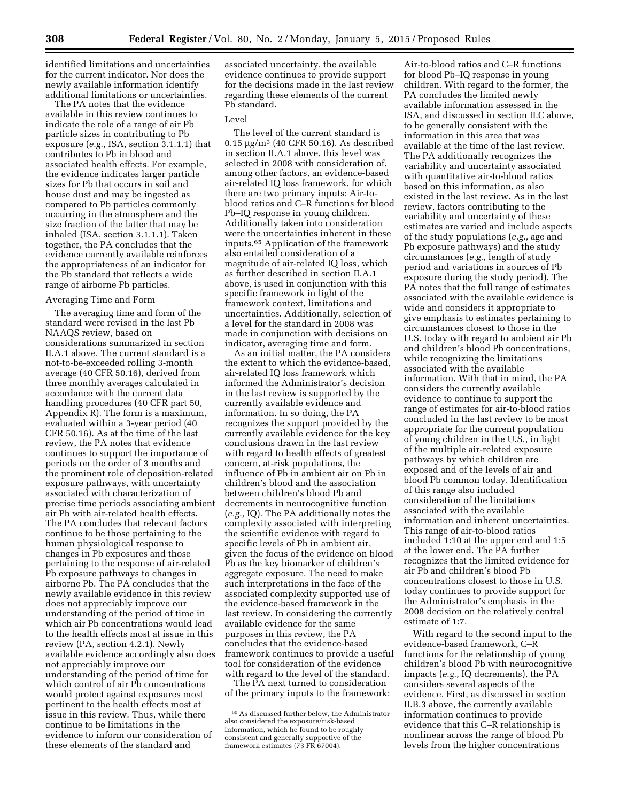identified limitations and uncertainties for the current indicator. Nor does the newly available information identify additional limitations or uncertainties.

The PA notes that the evidence available in this review continues to indicate the role of a range of air Pb particle sizes in contributing to Pb exposure (*e.g.,* ISA, section 3.1.1.1) that contributes to Pb in blood and associated health effects. For example, the evidence indicates larger particle sizes for Pb that occurs in soil and house dust and may be ingested as compared to Pb particles commonly occurring in the atmosphere and the size fraction of the latter that may be inhaled (ISA, section 3.1.1.1). Taken together, the PA concludes that the evidence currently available reinforces the appropriateness of an indicator for the Pb standard that reflects a wide range of airborne Pb particles.

## Averaging Time and Form

The averaging time and form of the standard were revised in the last Pb NAAQS review, based on considerations summarized in section II.A.1 above. The current standard is a not-to-be-exceeded rolling 3-month average (40 CFR 50.16), derived from three monthly averages calculated in accordance with the current data handling procedures (40 CFR part 50, Appendix R). The form is a maximum, evaluated within a 3-year period (40 CFR 50.16). As at the time of the last review, the PA notes that evidence continues to support the importance of periods on the order of 3 months and the prominent role of deposition-related exposure pathways, with uncertainty associated with characterization of precise time periods associating ambient air Pb with air-related health effects. The PA concludes that relevant factors continue to be those pertaining to the human physiological response to changes in Pb exposures and those pertaining to the response of air-related Pb exposure pathways to changes in airborne Pb. The PA concludes that the newly available evidence in this review does not appreciably improve our understanding of the period of time in which air Pb concentrations would lead to the health effects most at issue in this review (PA, section 4.2.1). Newly available evidence accordingly also does not appreciably improve our understanding of the period of time for which control of air Pb concentrations would protect against exposures most pertinent to the health effects most at issue in this review. Thus, while there continue to be limitations in the evidence to inform our consideration of these elements of the standard and

associated uncertainty, the available evidence continues to provide support for the decisions made in the last review regarding these elements of the current Pb standard.

### Level

The level of the current standard is  $0.15 \mu$ g/m<sup>3</sup> (40 CFR 50.16). As described in section II.A.1 above, this level was selected in 2008 with consideration of, among other factors, an evidence-based air-related IQ loss framework, for which there are two primary inputs: Air-toblood ratios and C–R functions for blood Pb–IQ response in young children. Additionally taken into consideration were the uncertainties inherent in these inputs.65 Application of the framework also entailed consideration of a magnitude of air-related IQ loss, which as further described in section II.A.1 above, is used in conjunction with this specific framework in light of the framework context, limitations and uncertainties. Additionally, selection of a level for the standard in 2008 was made in conjunction with decisions on indicator, averaging time and form.

As an initial matter, the PA considers the extent to which the evidence-based, air-related IQ loss framework which informed the Administrator's decision in the last review is supported by the currently available evidence and information. In so doing, the PA recognizes the support provided by the currently available evidence for the key conclusions drawn in the last review with regard to health effects of greatest concern, at-risk populations, the influence of Pb in ambient air on Pb in children's blood and the association between children's blood Pb and decrements in neurocognitive function (*e.g.,* IQ). The PA additionally notes the complexity associated with interpreting the scientific evidence with regard to specific levels of Pb in ambient air, given the focus of the evidence on blood Pb as the key biomarker of children's aggregate exposure. The need to make such interpretations in the face of the associated complexity supported use of the evidence-based framework in the last review. In considering the currently available evidence for the same purposes in this review, the PA concludes that the evidence-based framework continues to provide a useful tool for consideration of the evidence with regard to the level of the standard.

The PA next turned to consideration of the primary inputs to the framework:

Air-to-blood ratios and C–R functions for blood Pb–IQ response in young children. With regard to the former, the PA concludes the limited newly available information assessed in the ISA, and discussed in section II.C above, to be generally consistent with the information in this area that was available at the time of the last review. The PA additionally recognizes the variability and uncertainty associated with quantitative air-to-blood ratios based on this information, as also existed in the last review. As in the last review, factors contributing to the variability and uncertainty of these estimates are varied and include aspects of the study populations (*e.g.,* age and Pb exposure pathways) and the study circumstances (*e.g.,* length of study period and variations in sources of Pb exposure during the study period). The PA notes that the full range of estimates associated with the available evidence is wide and considers it appropriate to give emphasis to estimates pertaining to circumstances closest to those in the U.S. today with regard to ambient air Pb and children's blood Pb concentrations, while recognizing the limitations associated with the available information. With that in mind, the PA considers the currently available evidence to continue to support the range of estimates for air-to-blood ratios concluded in the last review to be most appropriate for the current population of young children in the U.S., in light of the multiple air-related exposure pathways by which children are exposed and of the levels of air and blood Pb common today. Identification of this range also included consideration of the limitations associated with the available information and inherent uncertainties. This range of air-to-blood ratios included 1:10 at the upper end and 1:5 at the lower end. The PA further recognizes that the limited evidence for air Pb and children's blood Pb concentrations closest to those in U.S. today continues to provide support for the Administrator's emphasis in the 2008 decision on the relatively central estimate of 1:7.

With regard to the second input to the evidence-based framework, C–R functions for the relationship of young children's blood Pb with neurocognitive impacts (*e.g.,* IQ decrements), the PA considers several aspects of the evidence. First, as discussed in section II.B.3 above, the currently available information continues to provide evidence that this C–R relationship is nonlinear across the range of blood Pb levels from the higher concentrations

 $^{65}\mathrm{As}$  discussed further below, the Administrator also considered the exposure/risk-based information, which he found to be roughly consistent and generally supportive of the framework estimates (73 FR 67004).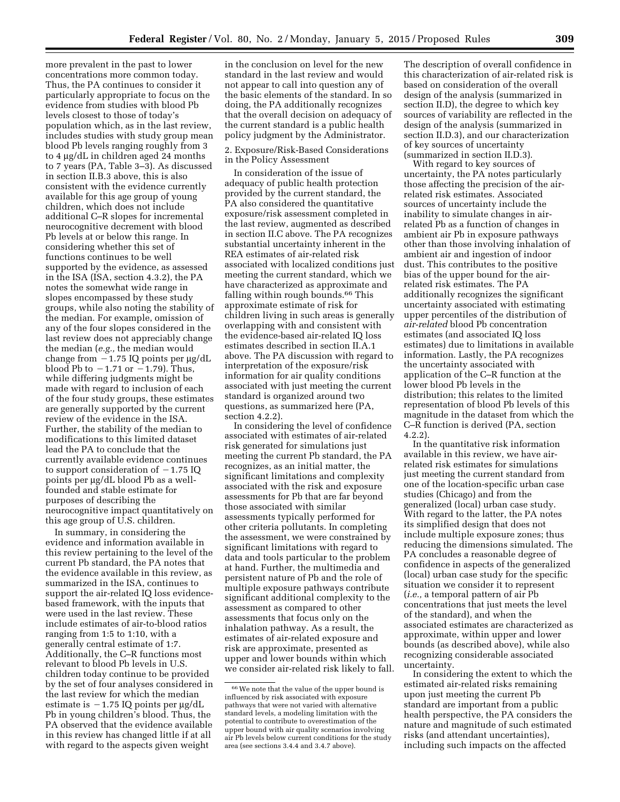more prevalent in the past to lower concentrations more common today. Thus, the PA continues to consider it particularly appropriate to focus on the evidence from studies with blood Pb levels closest to those of today's population which, as in the last review, includes studies with study group mean blood Pb levels ranging roughly from 3 to 4 µg/dL in children aged 24 months to 7 years (PA, Table 3–3). As discussed in section II.B.3 above, this is also consistent with the evidence currently available for this age group of young children, which does not include additional C–R slopes for incremental neurocognitive decrement with blood Pb levels at or below this range. In considering whether this set of functions continues to be well supported by the evidence, as assessed in the ISA (ISA, section 4.3.2), the PA notes the somewhat wide range in slopes encompassed by these study groups, while also noting the stability of the median. For example, omission of any of the four slopes considered in the last review does not appreciably change the median (*e.g.,* the median would change from  $-1.75$  IQ points per  $\mu$ g/dL blood Pb to  $-1.71$  or  $-1.79$ ). Thus, while differing judgments might be made with regard to inclusion of each of the four study groups, these estimates are generally supported by the current review of the evidence in the ISA. Further, the stability of the median to modifications to this limited dataset lead the PA to conclude that the currently available evidence continues to support consideration of  $-1.75$  IQ points per µg/dL blood Pb as a wellfounded and stable estimate for purposes of describing the neurocognitive impact quantitatively on this age group of U.S. children.

In summary, in considering the evidence and information available in this review pertaining to the level of the current Pb standard, the PA notes that the evidence available in this review, as summarized in the ISA, continues to support the air-related IQ loss evidencebased framework, with the inputs that were used in the last review. These include estimates of air-to-blood ratios ranging from 1:5 to 1:10, with a generally central estimate of 1:7. Additionally, the C–R functions most relevant to blood Pb levels in U.S. children today continue to be provided by the set of four analyses considered in the last review for which the median estimate is  $-1.75$  IQ points per  $\mu$ g/dL Pb in young children's blood. Thus, the PA observed that the evidence available in this review has changed little if at all with regard to the aspects given weight

in the conclusion on level for the new standard in the last review and would not appear to call into question any of the basic elements of the standard. In so doing, the PA additionally recognizes that the overall decision on adequacy of the current standard is a public health policy judgment by the Administrator.

# 2. Exposure/Risk-Based Considerations in the Policy Assessment

In consideration of the issue of adequacy of public health protection provided by the current standard, the PA also considered the quantitative exposure/risk assessment completed in the last review, augmented as described in section II.C above. The PA recognizes substantial uncertainty inherent in the REA estimates of air-related risk associated with localized conditions just meeting the current standard, which we have characterized as approximate and falling within rough bounds.66 This approximate estimate of risk for children living in such areas is generally overlapping with and consistent with the evidence-based air-related IQ loss estimates described in section II.A.1 above. The PA discussion with regard to interpretation of the exposure/risk information for air quality conditions associated with just meeting the current standard is organized around two questions, as summarized here (PA, section 4.2.2).

In considering the level of confidence associated with estimates of air-related risk generated for simulations just meeting the current Pb standard, the PA recognizes, as an initial matter, the significant limitations and complexity associated with the risk and exposure assessments for Pb that are far beyond those associated with similar assessments typically performed for other criteria pollutants. In completing the assessment, we were constrained by significant limitations with regard to data and tools particular to the problem at hand. Further, the multimedia and persistent nature of Pb and the role of multiple exposure pathways contribute significant additional complexity to the assessment as compared to other assessments that focus only on the inhalation pathway. As a result, the estimates of air-related exposure and risk are approximate, presented as upper and lower bounds within which we consider air-related risk likely to fall.

The description of overall confidence in this characterization of air-related risk is based on consideration of the overall design of the analysis (summarized in section II.D), the degree to which key sources of variability are reflected in the design of the analysis (summarized in section II.D.3), and our characterization of key sources of uncertainty (summarized in section II.D.3).

With regard to key sources of uncertainty, the PA notes particularly those affecting the precision of the airrelated risk estimates. Associated sources of uncertainty include the inability to simulate changes in airrelated Pb as a function of changes in ambient air Pb in exposure pathways other than those involving inhalation of ambient air and ingestion of indoor dust. This contributes to the positive bias of the upper bound for the airrelated risk estimates. The PA additionally recognizes the significant uncertainty associated with estimating upper percentiles of the distribution of *air-related* blood Pb concentration estimates (and associated IQ loss estimates) due to limitations in available information. Lastly, the PA recognizes the uncertainty associated with application of the C–R function at the lower blood Pb levels in the distribution; this relates to the limited representation of blood Pb levels of this magnitude in the dataset from which the C–R function is derived (PA, section 4.2.2).

In the quantitative risk information available in this review, we have airrelated risk estimates for simulations just meeting the current standard from one of the location-specific urban case studies (Chicago) and from the generalized (local) urban case study. With regard to the latter, the PA notes its simplified design that does not include multiple exposure zones; thus reducing the dimensions simulated. The PA concludes a reasonable degree of confidence in aspects of the generalized (local) urban case study for the specific situation we consider it to represent (*i.e.,* a temporal pattern of air Pb concentrations that just meets the level of the standard), and when the associated estimates are characterized as approximate, within upper and lower bounds (as described above), while also recognizing considerable associated uncertainty.

In considering the extent to which the estimated air-related risks remaining upon just meeting the current Pb standard are important from a public health perspective, the PA considers the nature and magnitude of such estimated risks (and attendant uncertainties), including such impacts on the affected

<sup>66</sup>We note that the value of the upper bound is influenced by risk associated with exposure pathways that were not varied with alternative standard levels, a modeling limitation with the potential to contribute to overestimation of the upper bound with air quality scenarios involving air Pb levels below current conditions for the study area (see sections 3.4.4 and 3.4.7 above).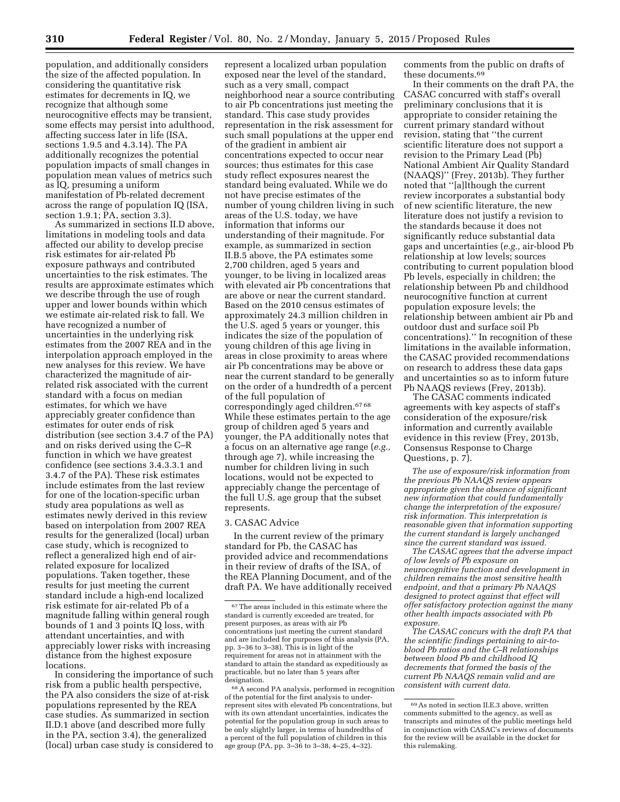population, and additionally considers the size of the affected population. In considering the quantitative risk estimates for decrements in IQ, we recognize that although some neurocognitive effects may be transient, some effects may persist into adulthood, affecting success later in life (ISA, sections 1.9.5 and 4.3.14). The PA additionally recognizes the potential population impacts of small changes in population mean values of metrics such as IQ, presuming a uniform manifestation of Pb-related decrement across the range of population IQ (ISA, section 1.9.1; PA, section 3.3).

As summarized in sections II.D above, limitations in modeling tools and data affected our ability to develop precise risk estimates for air-related Pb exposure pathways and contributed uncertainties to the risk estimates. The results are approximate estimates which we describe through the use of rough upper and lower bounds within which we estimate air-related risk to fall. We have recognized a number of uncertainties in the underlying risk estimates from the 2007 REA and in the interpolation approach employed in the new analyses for this review. We have characterized the magnitude of airrelated risk associated with the current standard with a focus on median estimates, for which we have appreciably greater confidence than estimates for outer ends of risk distribution (see section 3.4.7 of the PA) and on risks derived using the C–R function in which we have greatest confidence (see sections 3.4.3.3.1 and 3.4.7 of the PA). These risk estimates include estimates from the last review for one of the location-specific urban study area populations as well as estimates newly derived in this review based on interpolation from 2007 REA results for the generalized (local) urban case study, which is recognized to reflect a generalized high end of airrelated exposure for localized populations. Taken together, these results for just meeting the current standard include a high-end localized risk estimate for air-related Pb of a magnitude falling within general rough bounds of 1 and 3 points IQ loss, with attendant uncertainties, and with appreciably lower risks with increasing distance from the highest exposure locations.

In considering the importance of such risk from a public health perspective, the PA also considers the size of at-risk populations represented by the REA case studies. As summarized in section II.D.1 above (and described more fully in the PA, section 3.4), the generalized (local) urban case study is considered to

represent a localized urban population exposed near the level of the standard, such as a very small, compact neighborhood near a source contributing to air Pb concentrations just meeting the standard. This case study provides representation in the risk assessment for such small populations at the upper end of the gradient in ambient air concentrations expected to occur near sources; thus estimates for this case study reflect exposures nearest the standard being evaluated. While we do not have precise estimates of the number of young children living in such areas of the U.S. today, we have information that informs our understanding of their magnitude. For example, as summarized in section II.B.5 above, the PA estimates some 2,700 children, aged 5 years and younger, to be living in localized areas with elevated air Pb concentrations that are above or near the current standard. Based on the 2010 census estimates of approximately 24.3 million children in the U.S. aged 5 years or younger, this indicates the size of the population of young children of this age living in areas in close proximity to areas where air Pb concentrations may be above or near the current standard to be generally on the order of a hundredth of a percent of the full population of correspondingly aged children.67 68 While these estimates pertain to the age group of children aged 5 years and younger, the PA additionally notes that a focus on an alternative age range (*e.g.,*  through age 7), while increasing the number for children living in such locations, would not be expected to appreciably change the percentage of the full U.S. age group that the subset represents.

### 3. CASAC Advice

In the current review of the primary standard for Pb, the CASAC has provided advice and recommendations in their review of drafts of the ISA, of the REA Planning Document, and of the draft PA. We have additionally received comments from the public on drafts of these documents.69

In their comments on the draft PA, the CASAC concurred with staff's overall preliminary conclusions that it is appropriate to consider retaining the current primary standard without revision, stating that ''the current scientific literature does not support a revision to the Primary Lead (Pb) National Ambient Air Quality Standard (NAAQS)'' (Frey, 2013b). They further noted that ''[a]lthough the current review incorporates a substantial body of new scientific literature, the new literature does not justify a revision to the standards because it does not significantly reduce substantial data gaps and uncertainties (*e.g.,* air-blood Pb relationship at low levels; sources contributing to current population blood Pb levels, especially in children; the relationship between Pb and childhood neurocognitive function at current population exposure levels; the relationship between ambient air Pb and outdoor dust and surface soil Pb concentrations).'' In recognition of these limitations in the available information, the CASAC provided recommendations on research to address these data gaps and uncertainties so as to inform future Pb NAAQS reviews (Frey, 2013b).

The CASAC comments indicated agreements with key aspects of staff's consideration of the exposure/risk information and currently available evidence in this review (Frey, 2013b, Consensus Response to Charge Questions, p. 7).

*The use of exposure/risk information from the previous Pb NAAQS review appears appropriate given the absence of significant new information that could fundamentally change the interpretation of the exposure/ risk information. This interpretation is reasonable given that information supporting the current standard is largely unchanged since the current standard was issued.* 

*The CASAC agrees that the adverse impact of low levels of Pb exposure on neurocognitive function and development in children remains the most sensitive health endpoint, and that a primary Pb NAAQS designed to protect against that effect will offer satisfactory protection against the many other health impacts associated with Pb exposure.* 

*The CASAC concurs with the draft PA that the scientific findings pertaining to air-toblood Pb ratios and the C–R relationships between blood Pb and childhood IQ decrements that formed the basis of the current Pb NAAQS remain valid and are consistent with current data.* 

<sup>67</sup>The areas included in this estimate where the standard is currently exceeded are treated, for present purposes, as areas with air Pb concentrations just meeting the current standard and are included for purposes of this analysis (PA, pp. 3–36 to 3–38). This is in light of the requirement for areas not in attainment with the standard to attain the standard as expeditiously as practicable, but no later than 5 years after designation.

<sup>68</sup>A second PA analysis, performed in recognition of the potential for the first analysis to underrepresent sites with elevated Pb concentrations, but with its own attendant uncertainties, indicates the potential for the population group in such areas to be only slightly larger, in terms of hundredths of a percent of the full population of children in this age group (PA, pp. 3–36 to 3–38, 4–25, 4–32).

<sup>69</sup>As noted in section II.E.3 above, written comments submitted to the agency, as well as transcripts and minutes of the public meetings held in conjunction with CASAC's reviews of documents for the review will be available in the docket for this rulemaking.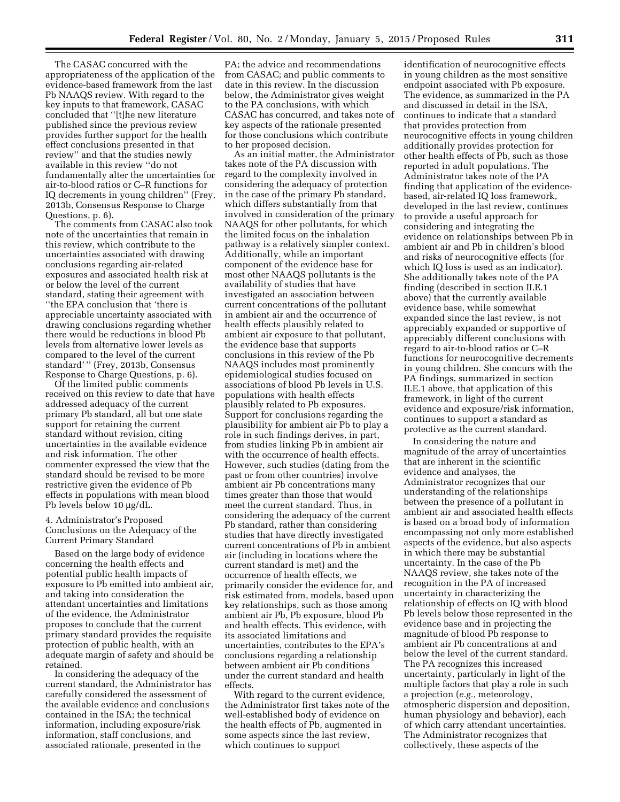The CASAC concurred with the appropriateness of the application of the evidence-based framework from the last Pb NAAQS review. With regard to the key inputs to that framework, CASAC concluded that ''[t]he new literature published since the previous review provides further support for the health effect conclusions presented in that review'' and that the studies newly available in this review ''do not fundamentally alter the uncertainties for air-to-blood ratios or C–R functions for IQ decrements in young children'' (Frey, 2013b, Consensus Response to Charge Questions, p. 6).

The comments from CASAC also took note of the uncertainties that remain in this review, which contribute to the uncertainties associated with drawing conclusions regarding air-related exposures and associated health risk at or below the level of the current standard, stating their agreement with ''the EPA conclusion that 'there is appreciable uncertainty associated with drawing conclusions regarding whether there would be reductions in blood Pb levels from alternative lower levels as compared to the level of the current standard' '' (Frey, 2013b, Consensus Response to Charge Questions, p. 6).

Of the limited public comments received on this review to date that have addressed adequacy of the current primary Pb standard, all but one state support for retaining the current standard without revision, citing uncertainties in the available evidence and risk information. The other commenter expressed the view that the standard should be revised to be more restrictive given the evidence of Pb effects in populations with mean blood Pb levels below 10 µg/dL.

### 4. Administrator's Proposed Conclusions on the Adequacy of the Current Primary Standard

Based on the large body of evidence concerning the health effects and potential public health impacts of exposure to Pb emitted into ambient air, and taking into consideration the attendant uncertainties and limitations of the evidence, the Administrator proposes to conclude that the current primary standard provides the requisite protection of public health, with an adequate margin of safety and should be retained.

In considering the adequacy of the current standard, the Administrator has carefully considered the assessment of the available evidence and conclusions contained in the ISA; the technical information, including exposure/risk information, staff conclusions, and associated rationale, presented in the

PA; the advice and recommendations from CASAC; and public comments to date in this review. In the discussion below, the Administrator gives weight to the PA conclusions, with which CASAC has concurred, and takes note of key aspects of the rationale presented for those conclusions which contribute to her proposed decision.

As an initial matter, the Administrator takes note of the PA discussion with regard to the complexity involved in considering the adequacy of protection in the case of the primary Pb standard, which differs substantially from that involved in consideration of the primary NAAQS for other pollutants, for which the limited focus on the inhalation pathway is a relatively simpler context. Additionally, while an important component of the evidence base for most other NAAQS pollutants is the availability of studies that have investigated an association between current concentrations of the pollutant in ambient air and the occurrence of health effects plausibly related to ambient air exposure to that pollutant, the evidence base that supports conclusions in this review of the Pb NAAQS includes most prominently epidemiological studies focused on associations of blood Pb levels in U.S. populations with health effects plausibly related to Pb exposures. Support for conclusions regarding the plausibility for ambient air Pb to play a role in such findings derives, in part, from studies linking Pb in ambient air with the occurrence of health effects. However, such studies (dating from the past or from other countries) involve ambient air Pb concentrations many times greater than those that would meet the current standard. Thus, in considering the adequacy of the current Pb standard, rather than considering studies that have directly investigated current concentrations of Pb in ambient air (including in locations where the current standard is met) and the occurrence of health effects, we primarily consider the evidence for, and risk estimated from, models, based upon key relationships, such as those among ambient air Pb, Pb exposure, blood Pb and health effects. This evidence, with its associated limitations and uncertainties, contributes to the EPA's conclusions regarding a relationship between ambient air Pb conditions under the current standard and health effects.

With regard to the current evidence, the Administrator first takes note of the well-established body of evidence on the health effects of Pb, augmented in some aspects since the last review, which continues to support

identification of neurocognitive effects in young children as the most sensitive endpoint associated with Pb exposure. The evidence, as summarized in the PA and discussed in detail in the ISA, continues to indicate that a standard that provides protection from neurocognitive effects in young children additionally provides protection for other health effects of Pb, such as those reported in adult populations. The Administrator takes note of the PA finding that application of the evidencebased, air-related IQ loss framework, developed in the last review, continues to provide a useful approach for considering and integrating the evidence on relationships between Pb in ambient air and Pb in children's blood and risks of neurocognitive effects (for which IQ loss is used as an indicator). She additionally takes note of the PA finding (described in section II.E.1 above) that the currently available evidence base, while somewhat expanded since the last review, is not appreciably expanded or supportive of appreciably different conclusions with regard to air-to-blood ratios or C–R functions for neurocognitive decrements in young children. She concurs with the PA findings, summarized in section II.E.1 above, that application of this framework, in light of the current evidence and exposure/risk information, continues to support a standard as protective as the current standard.

In considering the nature and magnitude of the array of uncertainties that are inherent in the scientific evidence and analyses, the Administrator recognizes that our understanding of the relationships between the presence of a pollutant in ambient air and associated health effects is based on a broad body of information encompassing not only more established aspects of the evidence, but also aspects in which there may be substantial uncertainty. In the case of the Pb NAAQS review, she takes note of the recognition in the PA of increased uncertainty in characterizing the relationship of effects on IQ with blood Pb levels below those represented in the evidence base and in projecting the magnitude of blood Pb response to ambient air Pb concentrations at and below the level of the current standard. The PA recognizes this increased uncertainty, particularly in light of the multiple factors that play a role in such a projection (*e.g.,* meteorology, atmospheric dispersion and deposition, human physiology and behavior), each of which carry attendant uncertainties. The Administrator recognizes that collectively, these aspects of the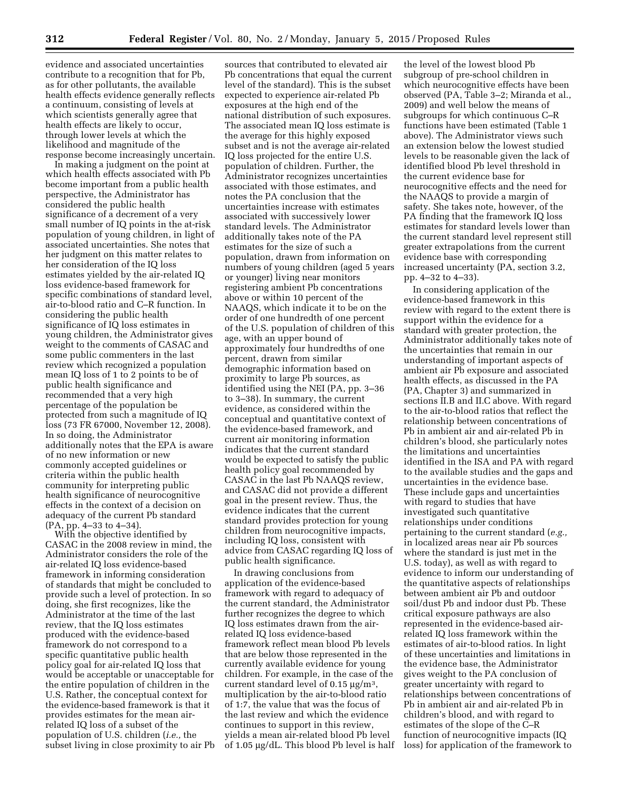evidence and associated uncertainties contribute to a recognition that for Pb, as for other pollutants, the available health effects evidence generally reflects a continuum, consisting of levels at which scientists generally agree that health effects are likely to occur, through lower levels at which the likelihood and magnitude of the response become increasingly uncertain.

In making a judgment on the point at which health effects associated with Pb become important from a public health perspective, the Administrator has considered the public health significance of a decrement of a very small number of IQ points in the at-risk population of young children, in light of associated uncertainties. She notes that her judgment on this matter relates to her consideration of the IQ loss estimates yielded by the air-related IQ loss evidence-based framework for specific combinations of standard level, air-to-blood ratio and C–R function. In considering the public health significance of IQ loss estimates in young children, the Administrator gives weight to the comments of CASAC and some public commenters in the last review which recognized a population mean IQ loss of 1 to 2 points to be of public health significance and recommended that a very high percentage of the population be protected from such a magnitude of IQ loss (73 FR 67000, November 12, 2008). In so doing, the Administrator additionally notes that the EPA is aware of no new information or new commonly accepted guidelines or criteria within the public health community for interpreting public health significance of neurocognitive effects in the context of a decision on adequacy of the current Pb standard (PA, pp. 4–33 to 4–34).

With the objective identified by CASAC in the 2008 review in mind, the Administrator considers the role of the air-related IQ loss evidence-based framework in informing consideration of standards that might be concluded to provide such a level of protection. In so doing, she first recognizes, like the Administrator at the time of the last review, that the IQ loss estimates produced with the evidence-based framework do not correspond to a specific quantitative public health policy goal for air-related IQ loss that would be acceptable or unacceptable for the entire population of children in the U.S. Rather, the conceptual context for the evidence-based framework is that it provides estimates for the mean airrelated IQ loss of a subset of the population of U.S. children (*i.e.,* the subset living in close proximity to air Pb

sources that contributed to elevated air Pb concentrations that equal the current level of the standard). This is the subset expected to experience air-related Pb exposures at the high end of the national distribution of such exposures. The associated mean IQ loss estimate is the average for this highly exposed subset and is not the average air-related IQ loss projected for the entire U.S. population of children. Further, the Administrator recognizes uncertainties associated with those estimates, and notes the PA conclusion that the uncertainties increase with estimates associated with successively lower standard levels. The Administrator additionally takes note of the PA estimates for the size of such a population, drawn from information on numbers of young children (aged 5 years or younger) living near monitors registering ambient Pb concentrations above or within 10 percent of the NAAQS, which indicate it to be on the order of one hundredth of one percent of the U.S. population of children of this age, with an upper bound of approximately four hundredths of one percent, drawn from similar demographic information based on proximity to large Pb sources, as identified using the NEI (PA, pp. 3–36 to 3–38). In summary, the current evidence, as considered within the conceptual and quantitative context of the evidence-based framework, and current air monitoring information indicates that the current standard would be expected to satisfy the public health policy goal recommended by CASAC in the last Pb NAAQS review, and CASAC did not provide a different goal in the present review. Thus, the evidence indicates that the current standard provides protection for young children from neurocognitive impacts, including IQ loss, consistent with advice from CASAC regarding IQ loss of public health significance.

In drawing conclusions from application of the evidence-based framework with regard to adequacy of the current standard, the Administrator further recognizes the degree to which IQ loss estimates drawn from the airrelated IQ loss evidence-based framework reflect mean blood Pb levels that are below those represented in the currently available evidence for young children. For example, in the case of the current standard level of  $0.15 \mu g/m^3$ , multiplication by the air-to-blood ratio of 1:7, the value that was the focus of the last review and which the evidence continues to support in this review, yields a mean air-related blood Pb level of  $1.05 \mu g/dL$ . This blood Pb level is half

the level of the lowest blood Pb subgroup of pre-school children in which neurocognitive effects have been observed (PA, Table 3–2; Miranda et al., 2009) and well below the means of subgroups for which continuous C–R functions have been estimated (Table 1 above). The Administrator views such an extension below the lowest studied levels to be reasonable given the lack of identified blood Pb level threshold in the current evidence base for neurocognitive effects and the need for the NAAQS to provide a margin of safety. She takes note, however, of the PA finding that the framework IQ loss estimates for standard levels lower than the current standard level represent still greater extrapolations from the current evidence base with corresponding increased uncertainty (PA, section 3.2, pp. 4–32 to 4–33).

In considering application of the evidence-based framework in this review with regard to the extent there is support within the evidence for a standard with greater protection, the Administrator additionally takes note of the uncertainties that remain in our understanding of important aspects of ambient air Pb exposure and associated health effects, as discussed in the PA (PA, Chapter 3) and summarized in sections II.B and II.C above. With regard to the air-to-blood ratios that reflect the relationship between concentrations of Pb in ambient air and air-related Pb in children's blood, she particularly notes the limitations and uncertainties identified in the ISA and PA with regard to the available studies and the gaps and uncertainties in the evidence base. These include gaps and uncertainties with regard to studies that have investigated such quantitative relationships under conditions pertaining to the current standard (*e.g.,*  in localized areas near air Pb sources where the standard is just met in the U.S. today), as well as with regard to evidence to inform our understanding of the quantitative aspects of relationships between ambient air Pb and outdoor soil/dust Pb and indoor dust Pb. These critical exposure pathways are also represented in the evidence-based airrelated IQ loss framework within the estimates of air-to-blood ratios. In light of these uncertainties and limitations in the evidence base, the Administrator gives weight to the PA conclusion of greater uncertainty with regard to relationships between concentrations of Pb in ambient air and air-related Pb in children's blood, and with regard to estimates of the slope of the C–R function of neurocognitive impacts (IQ loss) for application of the framework to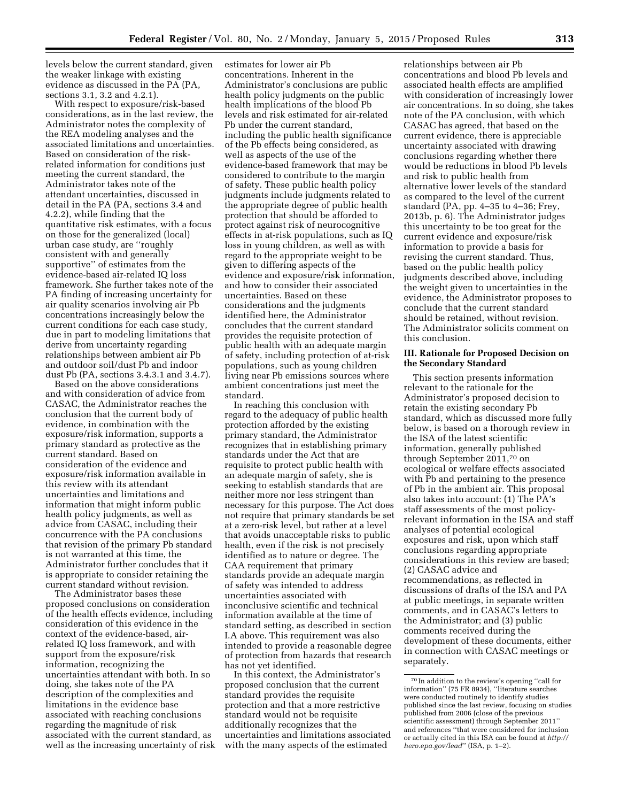levels below the current standard, given the weaker linkage with existing evidence as discussed in the PA (PA, sections 3.1, 3.2 and 4.2.1).

With respect to exposure/risk-based considerations, as in the last review, the Administrator notes the complexity of the REA modeling analyses and the associated limitations and uncertainties. Based on consideration of the riskrelated information for conditions just meeting the current standard, the Administrator takes note of the attendant uncertainties, discussed in detail in the PA (PA, sections 3.4 and 4.2.2), while finding that the quantitative risk estimates, with a focus on those for the generalized (local) urban case study, are ''roughly consistent with and generally supportive'' of estimates from the evidence-based air-related IQ loss framework. She further takes note of the PA finding of increasing uncertainty for air quality scenarios involving air Pb concentrations increasingly below the current conditions for each case study, due in part to modeling limitations that derive from uncertainty regarding relationships between ambient air Pb and outdoor soil/dust Pb and indoor dust Pb (PA, sections 3.4.3.1 and 3.4.7).

Based on the above considerations and with consideration of advice from CASAC, the Administrator reaches the conclusion that the current body of evidence, in combination with the exposure/risk information, supports a primary standard as protective as the current standard. Based on consideration of the evidence and exposure/risk information available in this review with its attendant uncertainties and limitations and information that might inform public health policy judgments, as well as advice from CASAC, including their concurrence with the PA conclusions that revision of the primary Pb standard is not warranted at this time, the Administrator further concludes that it is appropriate to consider retaining the current standard without revision.

The Administrator bases these proposed conclusions on consideration of the health effects evidence, including consideration of this evidence in the context of the evidence-based, airrelated IQ loss framework, and with support from the exposure/risk information, recognizing the uncertainties attendant with both. In so doing, she takes note of the PA description of the complexities and limitations in the evidence base associated with reaching conclusions regarding the magnitude of risk associated with the current standard, as well as the increasing uncertainty of risk estimates for lower air Pb concentrations. Inherent in the Administrator's conclusions are public health policy judgments on the public health implications of the blood Pb levels and risk estimated for air-related Pb under the current standard, including the public health significance of the Pb effects being considered, as well as aspects of the use of the evidence-based framework that may be considered to contribute to the margin of safety. These public health policy judgments include judgments related to the appropriate degree of public health protection that should be afforded to protect against risk of neurocognitive effects in at-risk populations, such as IQ loss in young children, as well as with regard to the appropriate weight to be given to differing aspects of the evidence and exposure/risk information, and how to consider their associated uncertainties. Based on these considerations and the judgments identified here, the Administrator concludes that the current standard provides the requisite protection of public health with an adequate margin of safety, including protection of at-risk populations, such as young children living near Pb emissions sources where ambient concentrations just meet the standard.

In reaching this conclusion with regard to the adequacy of public health protection afforded by the existing primary standard, the Administrator recognizes that in establishing primary standards under the Act that are requisite to protect public health with an adequate margin of safety, she is seeking to establish standards that are neither more nor less stringent than necessary for this purpose. The Act does not require that primary standards be set at a zero-risk level, but rather at a level that avoids unacceptable risks to public health, even if the risk is not precisely identified as to nature or degree. The CAA requirement that primary standards provide an adequate margin of safety was intended to address uncertainties associated with inconclusive scientific and technical information available at the time of standard setting, as described in section I.A above. This requirement was also intended to provide a reasonable degree of protection from hazards that research has not yet identified.

In this context, the Administrator's proposed conclusion that the current standard provides the requisite protection and that a more restrictive standard would not be requisite additionally recognizes that the uncertainties and limitations associated with the many aspects of the estimated

relationships between air Pb concentrations and blood Pb levels and associated health effects are amplified with consideration of increasingly lower air concentrations. In so doing, she takes note of the PA conclusion, with which CASAC has agreed, that based on the current evidence, there is appreciable uncertainty associated with drawing conclusions regarding whether there would be reductions in blood Pb levels and risk to public health from alternative lower levels of the standard as compared to the level of the current standard (PA, pp. 4–35 to 4–36; Frey, 2013b, p. 6). The Administrator judges this uncertainty to be too great for the current evidence and exposure/risk information to provide a basis for revising the current standard. Thus, based on the public health policy judgments described above, including the weight given to uncertainties in the evidence, the Administrator proposes to conclude that the current standard should be retained, without revision. The Administrator solicits comment on this conclusion.

## **III. Rationale for Proposed Decision on the Secondary Standard**

This section presents information relevant to the rationale for the Administrator's proposed decision to retain the existing secondary Pb standard, which as discussed more fully below, is based on a thorough review in the ISA of the latest scientific information, generally published through September 2011,70 on ecological or welfare effects associated with  $\bar{P}b$  and pertaining to the presence of Pb in the ambient air. This proposal also takes into account: (1) The PA's staff assessments of the most policyrelevant information in the ISA and staff analyses of potential ecological exposures and risk, upon which staff conclusions regarding appropriate considerations in this review are based; (2) CASAC advice and recommendations, as reflected in discussions of drafts of the ISA and PA at public meetings, in separate written comments, and in CASAC's letters to the Administrator; and (3) public comments received during the development of these documents, either in connection with CASAC meetings or separately.

<sup>70</sup> In addition to the review's opening ''call for information'' (75 FR 8934), ''literature searches were conducted routinely to identify studies published since the last review, focusing on studies published from 2006 (close of the previous scientific assessment) through September 2011'' and references ''that were considered for inclusion or actually cited in this ISA can be found at *[http://](http://hero.epa.gov/lead) [hero.epa.gov/lead](http://hero.epa.gov/lead)*'' (ISA, p. 1–2).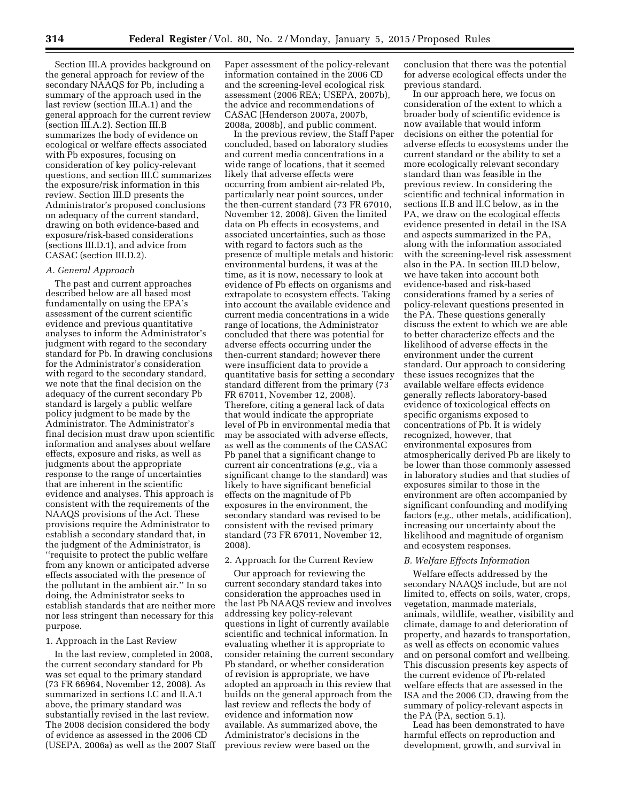Section III.A provides background on the general approach for review of the secondary NAAQS for Pb, including a summary of the approach used in the last review (section III.A.1) and the general approach for the current review (section III.A.2). Section III.B summarizes the body of evidence on ecological or welfare effects associated with Pb exposures, focusing on consideration of key policy-relevant questions, and section III.C summarizes the exposure/risk information in this review. Section III.D presents the Administrator's proposed conclusions on adequacy of the current standard, drawing on both evidence-based and exposure/risk-based considerations (sections III.D.1), and advice from CASAC (section III.D.2).

# *A. General Approach*

The past and current approaches described below are all based most fundamentally on using the EPA's assessment of the current scientific evidence and previous quantitative analyses to inform the Administrator's judgment with regard to the secondary standard for Pb. In drawing conclusions for the Administrator's consideration with regard to the secondary standard, we note that the final decision on the adequacy of the current secondary Pb standard is largely a public welfare policy judgment to be made by the Administrator. The Administrator's final decision must draw upon scientific information and analyses about welfare effects, exposure and risks, as well as judgments about the appropriate response to the range of uncertainties that are inherent in the scientific evidence and analyses. This approach is consistent with the requirements of the NAAQS provisions of the Act. These provisions require the Administrator to establish a secondary standard that, in the judgment of the Administrator, is ''requisite to protect the public welfare from any known or anticipated adverse effects associated with the presence of the pollutant in the ambient air.'' In so doing, the Administrator seeks to establish standards that are neither more nor less stringent than necessary for this purpose.

### 1. Approach in the Last Review

In the last review, completed in 2008, the current secondary standard for Pb was set equal to the primary standard (73 FR 66964, November 12, 2008). As summarized in sections I.C and II.A.1 above, the primary standard was substantially revised in the last review. The 2008 decision considered the body of evidence as assessed in the 2006 CD (USEPA, 2006a) as well as the 2007 Staff

Paper assessment of the policy-relevant information contained in the 2006 CD and the screening-level ecological risk assessment (2006 REA; USEPA, 2007b), the advice and recommendations of CASAC (Henderson 2007a, 2007b, 2008a, 2008b), and public comment.

In the previous review, the Staff Paper concluded, based on laboratory studies and current media concentrations in a wide range of locations, that it seemed likely that adverse effects were occurring from ambient air-related Pb, particularly near point sources, under the then-current standard (73 FR 67010, November 12, 2008). Given the limited data on Pb effects in ecosystems, and associated uncertainties, such as those with regard to factors such as the presence of multiple metals and historic environmental burdens, it was at the time, as it is now, necessary to look at evidence of Pb effects on organisms and extrapolate to ecosystem effects. Taking into account the available evidence and current media concentrations in a wide range of locations, the Administrator concluded that there was potential for adverse effects occurring under the then-current standard; however there were insufficient data to provide a quantitative basis for setting a secondary standard different from the primary (73 FR 67011, November 12, 2008). Therefore, citing a general lack of data that would indicate the appropriate level of Pb in environmental media that may be associated with adverse effects, as well as the comments of the CASAC Pb panel that a significant change to current air concentrations (*e.g.,* via a significant change to the standard) was likely to have significant beneficial effects on the magnitude of Pb exposures in the environment, the secondary standard was revised to be consistent with the revised primary standard (73 FR 67011, November 12, 2008).

# 2. Approach for the Current Review

Our approach for reviewing the current secondary standard takes into consideration the approaches used in the last Pb NAAQS review and involves addressing key policy-relevant questions in light of currently available scientific and technical information. In evaluating whether it is appropriate to consider retaining the current secondary Pb standard, or whether consideration of revision is appropriate, we have adopted an approach in this review that builds on the general approach from the last review and reflects the body of evidence and information now available. As summarized above, the Administrator's decisions in the previous review were based on the

conclusion that there was the potential for adverse ecological effects under the previous standard.

In our approach here, we focus on consideration of the extent to which a broader body of scientific evidence is now available that would inform decisions on either the potential for adverse effects to ecosystems under the current standard or the ability to set a more ecologically relevant secondary standard than was feasible in the previous review. In considering the scientific and technical information in sections II.B and II.C below, as in the PA, we draw on the ecological effects evidence presented in detail in the ISA and aspects summarized in the PA, along with the information associated with the screening-level risk assessment also in the PA. In section III.D below, we have taken into account both evidence-based and risk-based considerations framed by a series of policy-relevant questions presented in the PA. These questions generally discuss the extent to which we are able to better characterize effects and the likelihood of adverse effects in the environment under the current standard. Our approach to considering these issues recognizes that the available welfare effects evidence generally reflects laboratory-based evidence of toxicological effects on specific organisms exposed to concentrations of Pb. It is widely recognized, however, that environmental exposures from atmospherically derived Pb are likely to be lower than those commonly assessed in laboratory studies and that studies of exposures similar to those in the environment are often accompanied by significant confounding and modifying factors (*e.g.,* other metals, acidification), increasing our uncertainty about the likelihood and magnitude of organism and ecosystem responses.

## *B. Welfare Effects Information*

Welfare effects addressed by the secondary NAAQS include, but are not limited to, effects on soils, water, crops, vegetation, manmade materials, animals, wildlife, weather, visibility and climate, damage to and deterioration of property, and hazards to transportation, as well as effects on economic values and on personal comfort and wellbeing. This discussion presents key aspects of the current evidence of Pb-related welfare effects that are assessed in the ISA and the 2006 CD, drawing from the summary of policy-relevant aspects in the PA (PA, section 5.1).

Lead has been demonstrated to have harmful effects on reproduction and development, growth, and survival in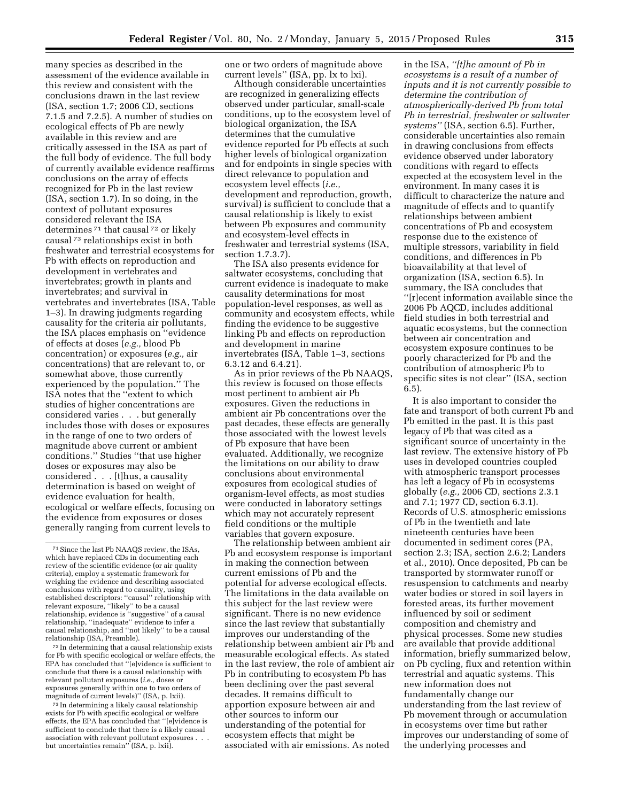many species as described in the assessment of the evidence available in this review and consistent with the conclusions drawn in the last review (ISA, section 1.7; 2006 CD, sections 7.1.5 and 7.2.5). A number of studies on ecological effects of Pb are newly available in this review and are critically assessed in the ISA as part of the full body of evidence. The full body of currently available evidence reaffirms conclusions on the array of effects recognized for Pb in the last review (ISA, section 1.7). In so doing, in the context of pollutant exposures considered relevant the ISA determines 71 that causal 72 or likely causal 73 relationships exist in both freshwater and terrestrial ecosystems for Pb with effects on reproduction and development in vertebrates and invertebrates; growth in plants and invertebrates; and survival in vertebrates and invertebrates (ISA, Table 1–3). In drawing judgments regarding causality for the criteria air pollutants, the ISA places emphasis on ''evidence of effects at doses (*e.g.,* blood Pb concentration) or exposures (*e.g.,* air concentrations) that are relevant to, or somewhat above, those currently experienced by the population.'' The ISA notes that the ''extent to which studies of higher concentrations are considered varies . . . but generally includes those with doses or exposures in the range of one to two orders of magnitude above current or ambient conditions.'' Studies ''that use higher doses or exposures may also be considered . . . [t]hus, a causality determination is based on weight of evidence evaluation for health, ecological or welfare effects, focusing on the evidence from exposures or doses generally ranging from current levels to

72 In determining that a causal relationship exists for Pb with specific ecological or welfare effects, the EPA has concluded that ''[e]vidence is sufficient to conclude that there is a causal relationship with relevant pollutant exposures (*i.e.,* doses or exposures generally within one to two orders of magnitude of current levels)'' (ISA, p. lxii).

73 In determining a likely causal relationship exists for Pb with specific ecological or welfare effects, the EPA has concluded that ''[e]vidence is sufficient to conclude that there is a likely causal association with relevant pollutant exposures . . . but uncertainties remain'' (ISA, p. lxii).

one or two orders of magnitude above current levels'' (ISA, pp. lx to lxi).

Although considerable uncertainties are recognized in generalizing effects observed under particular, small-scale conditions, up to the ecosystem level of biological organization, the ISA determines that the cumulative evidence reported for Pb effects at such higher levels of biological organization and for endpoints in single species with direct relevance to population and ecosystem level effects (*i.e.,*  development and reproduction, growth, survival) is sufficient to conclude that a causal relationship is likely to exist between Pb exposures and community and ecosystem-level effects in freshwater and terrestrial systems (ISA, section 1.7.3.7).

The ISA also presents evidence for saltwater ecosystems, concluding that current evidence is inadequate to make causality determinations for most population-level responses, as well as community and ecosystem effects, while finding the evidence to be suggestive linking Pb and effects on reproduction and development in marine invertebrates (ISA, Table 1–3, sections 6.3.12 and 6.4.21).

As in prior reviews of the Pb NAAQS, this review is focused on those effects most pertinent to ambient air Pb exposures. Given the reductions in ambient air Pb concentrations over the past decades, these effects are generally those associated with the lowest levels of Pb exposure that have been evaluated. Additionally, we recognize the limitations on our ability to draw conclusions about environmental exposures from ecological studies of organism-level effects, as most studies were conducted in laboratory settings which may not accurately represent field conditions or the multiple variables that govern exposure.

The relationship between ambient air Pb and ecosystem response is important in making the connection between current emissions of Pb and the potential for adverse ecological effects. The limitations in the data available on this subject for the last review were significant. There is no new evidence since the last review that substantially improves our understanding of the relationship between ambient air Pb and measurable ecological effects. As stated in the last review, the role of ambient air Pb in contributing to ecosystem Pb has been declining over the past several decades. It remains difficult to apportion exposure between air and other sources to inform our understanding of the potential for ecosystem effects that might be associated with air emissions. As noted

in the ISA, *''[t]he amount of Pb in ecosystems is a result of a number of inputs and it is not currently possible to determine the contribution of atmospherically-derived Pb from total Pb in terrestrial, freshwater or saltwater systems''* (ISA, section 6.5). Further, considerable uncertainties also remain in drawing conclusions from effects evidence observed under laboratory conditions with regard to effects expected at the ecosystem level in the environment. In many cases it is difficult to characterize the nature and magnitude of effects and to quantify relationships between ambient concentrations of Pb and ecosystem response due to the existence of multiple stressors, variability in field conditions, and differences in Pb bioavailability at that level of organization (ISA, section 6.5). In summary, the ISA concludes that ''[r]ecent information available since the 2006 Pb AQCD, includes additional field studies in both terrestrial and aquatic ecosystems, but the connection between air concentration and ecosystem exposure continues to be poorly characterized for Pb and the contribution of atmospheric Pb to specific sites is not clear'' (ISA, section 6.5).

It is also important to consider the fate and transport of both current Pb and Pb emitted in the past. It is this past legacy of Pb that was cited as a significant source of uncertainty in the last review. The extensive history of Pb uses in developed countries coupled with atmospheric transport processes has left a legacy of Pb in ecosystems globally (*e.g.,* 2006 CD, sections 2.3.1 and 7.1; 1977 CD, section 6.3.1). Records of U.S. atmospheric emissions of Pb in the twentieth and late nineteenth centuries have been documented in sediment cores (PA, section 2.3; ISA, section 2.6.2; Landers et al., 2010). Once deposited, Pb can be transported by stormwater runoff or resuspension to catchments and nearby water bodies or stored in soil layers in forested areas, its further movement influenced by soil or sediment composition and chemistry and physical processes. Some new studies are available that provide additional information, briefly summarized below, on Pb cycling, flux and retention within terrestrial and aquatic systems. This new information does not fundamentally change our understanding from the last review of Pb movement through or accumulation in ecosystems over time but rather improves our understanding of some of the underlying processes and

<sup>71</sup>Since the last Pb NAAQS review, the ISAs, which have replaced CDs in documenting each review of the scientific evidence (or air quality criteria), employ a systematic framework for weighing the evidence and describing associated conclusions with regard to causality, using established descriptors: ''causal'' relationship with relevant exposure, ''likely'' to be a causal relationship, evidence is ''suggestive'' of a causal relationship, ''inadequate'' evidence to infer a causal relationship, and ''not likely'' to be a causal relationship (ISA, Preamble).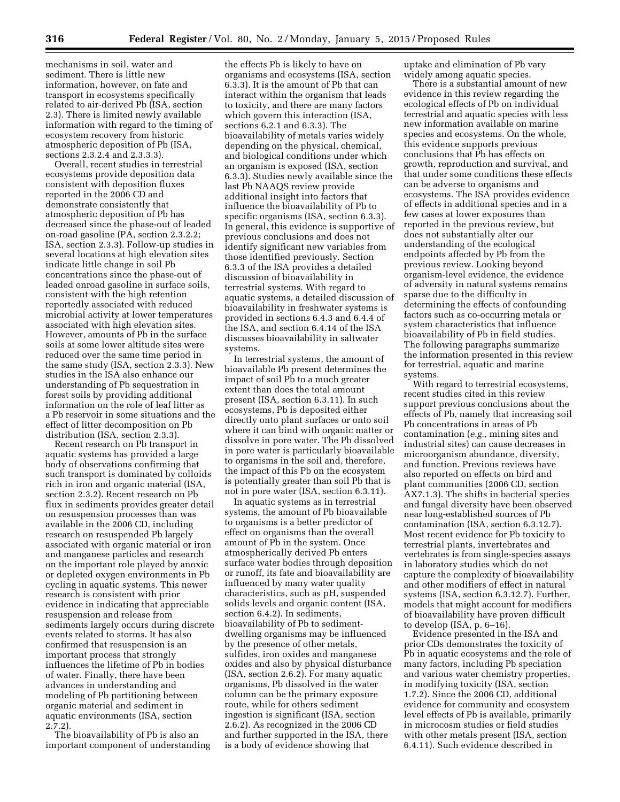mechanisms in soil, water and sediment. There is little new information, however, on fate and transport in ecosystems specifically related to air-derived Pb (ISA, section 2.3). There is limited newly available information with regard to the timing of ecosystem recovery from historic atmospheric deposition of Pb (ISA, sections 2.3.2.4 and 2.3.3.3).

Overall, recent studies in terrestrial ecosystems provide deposition data consistent with deposition fluxes reported in the 2006 CD and demonstrate consistently that atmospheric deposition of Pb has decreased since the phase-out of leaded on-road gasoline (PA, section 2.3.2.2; ISA, section 2.3.3). Follow-up studies in several locations at high elevation sites indicate little change in soil Pb concentrations since the phase-out of leaded onroad gasoline in surface soils, consistent with the high retention reportedly associated with reduced microbial activity at lower temperatures associated with high elevation sites. However, amounts of Pb in the surface soils at some lower altitude sites were reduced over the same time period in the same study (ISA, section 2.3.3). New studies in the ISA also enhance our understanding of Pb sequestration in forest soils by providing additional information on the role of leaf litter as a Pb reservoir in some situations and the effect of litter decomposition on Pb distribution (ISA, section 2.3.3).

Recent research on Pb transport in aquatic systems has provided a large body of observations confirming that such transport is dominated by colloids rich in iron and organic material (ISA, section 2.3.2). Recent research on Pb flux in sediments provides greater detail on resuspension processes than was available in the 2006 CD, including research on resuspended Pb largely associated with organic material or iron and manganese particles and research on the important role played by anoxic or depleted oxygen environments in Pb cycling in aquatic systems. This newer research is consistent with prior evidence in indicating that appreciable resuspension and release from sediments largely occurs during discrete events related to storms. It has also confirmed that resuspension is an important process that strongly influences the lifetime of Pb in bodies of water. Finally, there have been advances in understanding and modeling of Pb partitioning between organic material and sediment in aquatic environments (ISA, section 2.7.2).

The bioavailability of Pb is also an important component of understanding

the effects Pb is likely to have on organisms and ecosystems (ISA, section 6.3.3). It is the amount of Pb that can interact within the organism that leads to toxicity, and there are many factors which govern this interaction (ISA, sections 6.2.1 and 6.3.3). The bioavailability of metals varies widely depending on the physical, chemical, and biological conditions under which an organism is exposed (ISA, section 6.3.3). Studies newly available since the last Pb NAAQS review provide additional insight into factors that influence the bioavailability of Pb to specific organisms (ISA, section 6.3.3). In general, this evidence is supportive of previous conclusions and does not identify significant new variables from those identified previously. Section 6.3.3 of the ISA provides a detailed discussion of bioavailability in terrestrial systems. With regard to aquatic systems, a detailed discussion of bioavailability in freshwater systems is provided in sections 6.4.3 and 6.4.4 of the ISA, and section 6.4.14 of the ISA discusses bioavailability in saltwater systems.

In terrestrial systems, the amount of bioavailable Pb present determines the impact of soil Pb to a much greater extent than does the total amount present (ISA, section 6.3.11). In such ecosystems, Pb is deposited either directly onto plant surfaces or onto soil where it can bind with organic matter or dissolve in pore water. The Pb dissolved in pore water is particularly bioavailable to organisms in the soil and, therefore, the impact of this Pb on the ecosystem is potentially greater than soil Pb that is not in pore water (ISA, section 6.3.11).

In aquatic systems as in terrestrial systems, the amount of Pb bioavailable to organisms is a better predictor of effect on organisms than the overall amount of Pb in the system. Once atmospherically derived Pb enters surface water bodies through deposition or runoff, its fate and bioavailability are influenced by many water quality characteristics, such as pH, suspended solids levels and organic content (ISA, section 6.4.2). In sediments, bioavailability of Pb to sedimentdwelling organisms may be influenced by the presence of other metals, sulfides, iron oxides and manganese oxides and also by physical disturbance (ISA, section 2.6.2). For many aquatic organisms, Pb dissolved in the water column can be the primary exposure route, while for others sediment ingestion is significant (ISA, section 2.6.2). As recognized in the 2006 CD and further supported in the ISA, there is a body of evidence showing that

uptake and elimination of Pb vary widely among aquatic species.

There is a substantial amount of new evidence in this review regarding the ecological effects of Pb on individual terrestrial and aquatic species with less new information available on marine species and ecosystems. On the whole, this evidence supports previous conclusions that Pb has effects on growth, reproduction and survival, and that under some conditions these effects can be adverse to organisms and ecosystems. The ISA provides evidence of effects in additional species and in a few cases at lower exposures than reported in the previous review, but does not substantially alter our understanding of the ecological endpoints affected by Pb from the previous review. Looking beyond organism-level evidence, the evidence of adversity in natural systems remains sparse due to the difficulty in determining the effects of confounding factors such as co-occurring metals or system characteristics that influence bioavailability of Pb in field studies. The following paragraphs summarize the information presented in this review for terrestrial, aquatic and marine systems.

With regard to terrestrial ecosystems, recent studies cited in this review support previous conclusions about the effects of Pb, namely that increasing soil Pb concentrations in areas of Pb contamination (*e.g.,* mining sites and industrial sites) can cause decreases in microorganism abundance, diversity, and function. Previous reviews have also reported on effects on bird and plant communities (2006 CD, section AX7.1.3). The shifts in bacterial species and fungal diversity have been observed near long-established sources of Pb contamination (ISA, section 6.3.12.7). Most recent evidence for Pb toxicity to terrestrial plants, invertebrates and vertebrates is from single-species assays in laboratory studies which do not capture the complexity of bioavailability and other modifiers of effect in natural systems (ISA, section 6.3.12.7). Further, models that might account for modifiers of bioavailability have proven difficult to develop (ISA, p. 6–16).

Evidence presented in the ISA and prior CDs demonstrates the toxicity of Pb in aquatic ecosystems and the role of many factors, including Pb speciation and various water chemistry properties, in modifying toxicity (ISA, section 1.7.2). Since the 2006 CD, additional evidence for community and ecosystem level effects of Pb is available, primarily in microcosm studies or field studies with other metals present (ISA, section 6.4.11). Such evidence described in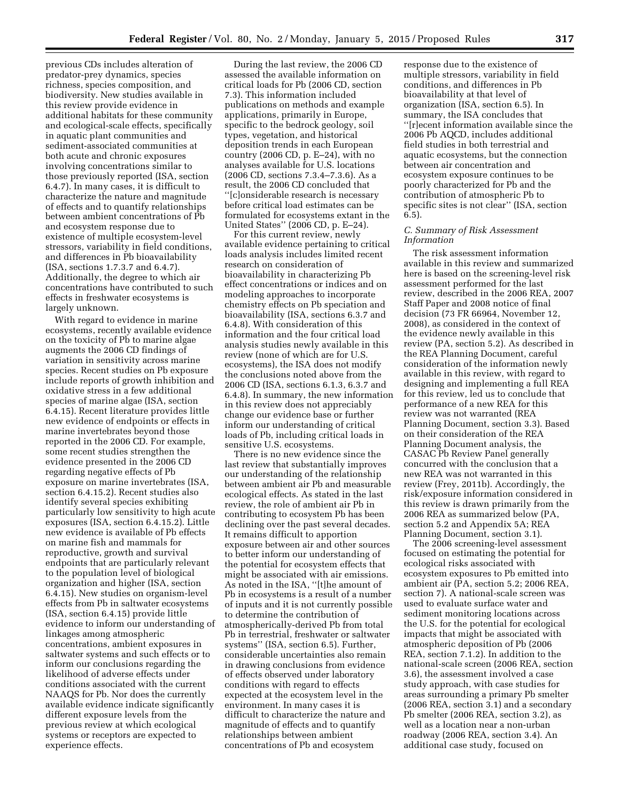previous CDs includes alteration of predator-prey dynamics, species richness, species composition, and biodiversity. New studies available in this review provide evidence in additional habitats for these community and ecological-scale effects, specifically in aquatic plant communities and sediment-associated communities at both acute and chronic exposures involving concentrations similar to those previously reported (ISA, section 6.4.7). In many cases, it is difficult to characterize the nature and magnitude of effects and to quantify relationships between ambient concentrations of Pb and ecosystem response due to existence of multiple ecosystem-level stressors, variability in field conditions, and differences in Pb bioavailability (ISA, sections 1.7.3.7 and 6.4.7). Additionally, the degree to which air concentrations have contributed to such effects in freshwater ecosystems is largely unknown.

With regard to evidence in marine ecosystems, recently available evidence on the toxicity of Pb to marine algae augments the 2006 CD findings of variation in sensitivity across marine species. Recent studies on Pb exposure include reports of growth inhibition and oxidative stress in a few additional species of marine algae (ISA, section 6.4.15). Recent literature provides little new evidence of endpoints or effects in marine invertebrates beyond those reported in the 2006 CD. For example, some recent studies strengthen the evidence presented in the 2006 CD regarding negative effects of Pb exposure on marine invertebrates (ISA, section 6.4.15.2). Recent studies also identify several species exhibiting particularly low sensitivity to high acute exposures (ISA, section 6.4.15.2). Little new evidence is available of Pb effects on marine fish and mammals for reproductive, growth and survival endpoints that are particularly relevant to the population level of biological organization and higher (ISA, section 6.4.15). New studies on organism-level effects from Pb in saltwater ecosystems (ISA, section 6.4.15) provide little evidence to inform our understanding of linkages among atmospheric concentrations, ambient exposures in saltwater systems and such effects or to inform our conclusions regarding the likelihood of adverse effects under conditions associated with the current NAAQS for Pb. Nor does the currently available evidence indicate significantly different exposure levels from the previous review at which ecological systems or receptors are expected to experience effects.

During the last review, the 2006 CD assessed the available information on critical loads for Pb (2006 CD, section 7.3). This information included publications on methods and example applications, primarily in Europe, specific to the bedrock geology, soil types, vegetation, and historical deposition trends in each European country (2006 CD, p. E–24), with no analyses available for U.S. locations (2006 CD, sections 7.3.4–7.3.6). As a result, the 2006 CD concluded that ''[c]onsiderable research is necessary before critical load estimates can be formulated for ecosystems extant in the United States'' (2006 CD, p. E–24).

For this current review, newly available evidence pertaining to critical loads analysis includes limited recent research on consideration of bioavailability in characterizing Pb effect concentrations or indices and on modeling approaches to incorporate chemistry effects on Pb speciation and bioavailability (ISA, sections 6.3.7 and 6.4.8). With consideration of this information and the four critical load analysis studies newly available in this review (none of which are for U.S. ecosystems), the ISA does not modify the conclusions noted above from the 2006 CD (ISA, sections 6.1.3, 6.3.7 and 6.4.8). In summary, the new information in this review does not appreciably change our evidence base or further inform our understanding of critical loads of Pb, including critical loads in sensitive U.S. ecosystems.

There is no new evidence since the last review that substantially improves our understanding of the relationship between ambient air Pb and measurable ecological effects. As stated in the last review, the role of ambient air Pb in contributing to ecosystem Pb has been declining over the past several decades. It remains difficult to apportion exposure between air and other sources to better inform our understanding of the potential for ecosystem effects that might be associated with air emissions. As noted in the ISA, ''[t]he amount of Pb in ecosystems is a result of a number of inputs and it is not currently possible to determine the contribution of atmospherically-derived Pb from total Pb in terrestrial, freshwater or saltwater systems'' (ISA, section 6.5). Further, considerable uncertainties also remain in drawing conclusions from evidence of effects observed under laboratory conditions with regard to effects expected at the ecosystem level in the environment. In many cases it is difficult to characterize the nature and magnitude of effects and to quantify relationships between ambient concentrations of Pb and ecosystem

response due to the existence of multiple stressors, variability in field conditions, and differences in Pb bioavailability at that level of organization (ISA, section 6.5). In summary, the ISA concludes that ''[r]ecent information available since the 2006 Pb AQCD, includes additional field studies in both terrestrial and aquatic ecosystems, but the connection between air concentration and ecosystem exposure continues to be poorly characterized for Pb and the contribution of atmospheric Pb to specific sites is not clear'' (ISA, section 6.5).

### *C. Summary of Risk Assessment Information*

The risk assessment information available in this review and summarized here is based on the screening-level risk assessment performed for the last review, described in the 2006 REA, 2007 Staff Paper and 2008 notice of final decision (73 FR 66964, November 12, 2008), as considered in the context of the evidence newly available in this review (PA, section 5.2). As described in the REA Planning Document, careful consideration of the information newly available in this review, with regard to designing and implementing a full REA for this review, led us to conclude that performance of a new REA for this review was not warranted (REA Planning Document, section 3.3). Based on their consideration of the REA Planning Document analysis, the CASAC Pb Review Panel generally concurred with the conclusion that a new REA was not warranted in this review (Frey, 2011b). Accordingly, the risk/exposure information considered in this review is drawn primarily from the 2006 REA as summarized below (PA, section 5.2 and Appendix 5A; REA Planning Document, section 3.1).

The 2006 screening-level assessment focused on estimating the potential for ecological risks associated with ecosystem exposures to Pb emitted into ambient air (PA, section 5.2; 2006 REA, section 7). A national-scale screen was used to evaluate surface water and sediment monitoring locations across the U.S. for the potential for ecological impacts that might be associated with atmospheric deposition of Pb (2006 REA, section 7.1.2). In addition to the national-scale screen (2006 REA, section 3.6), the assessment involved a case study approach, with case studies for areas surrounding a primary Pb smelter (2006 REA, section 3.1) and a secondary Pb smelter (2006 REA, section 3.2), as well as a location near a non-urban roadway (2006 REA, section 3.4). An additional case study, focused on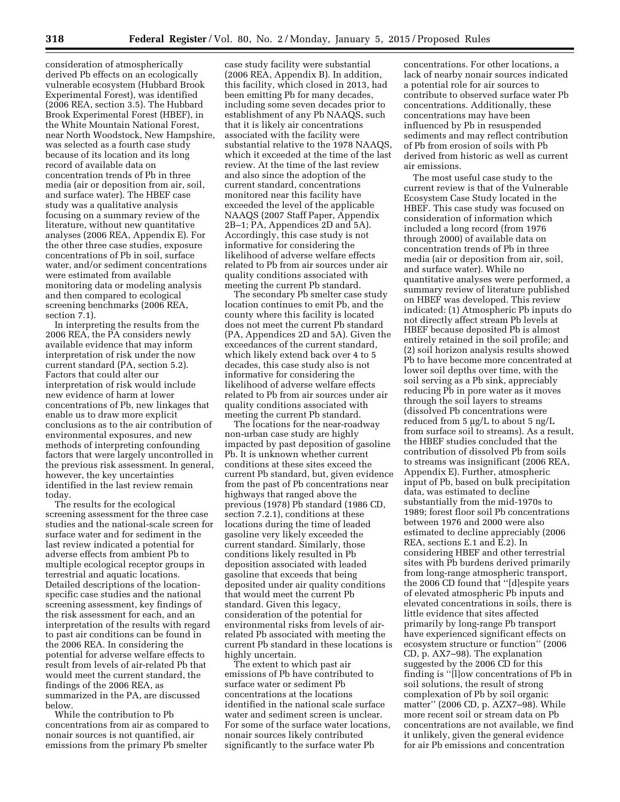consideration of atmospherically derived Pb effects on an ecologically vulnerable ecosystem (Hubbard Brook Experimental Forest), was identified (2006 REA, section 3.5). The Hubbard Brook Experimental Forest (HBEF), in the White Mountain National Forest, near North Woodstock, New Hampshire, was selected as a fourth case study because of its location and its long record of available data on concentration trends of Pb in three media (air or deposition from air, soil, and surface water). The HBEF case study was a qualitative analysis focusing on a summary review of the literature, without new quantitative analyses (2006 REA, Appendix E). For the other three case studies, exposure concentrations of Pb in soil, surface water, and/or sediment concentrations were estimated from available monitoring data or modeling analysis and then compared to ecological screening benchmarks (2006 REA, section 7.1).

In interpreting the results from the 2006 REA, the PA considers newly available evidence that may inform interpretation of risk under the now current standard (PA, section 5.2). Factors that could alter our interpretation of risk would include new evidence of harm at lower concentrations of Pb, new linkages that enable us to draw more explicit conclusions as to the air contribution of environmental exposures, and new methods of interpreting confounding factors that were largely uncontrolled in the previous risk assessment. In general, however, the key uncertainties identified in the last review remain today.

The results for the ecological screening assessment for the three case studies and the national-scale screen for surface water and for sediment in the last review indicated a potential for adverse effects from ambient Pb to multiple ecological receptor groups in terrestrial and aquatic locations. Detailed descriptions of the locationspecific case studies and the national screening assessment, key findings of the risk assessment for each, and an interpretation of the results with regard to past air conditions can be found in the 2006 REA. In considering the potential for adverse welfare effects to result from levels of air-related Pb that would meet the current standard, the findings of the 2006 REA, as summarized in the PA, are discussed below.

While the contribution to Pb concentrations from air as compared to nonair sources is not quantified, air emissions from the primary Pb smelter

case study facility were substantial (2006 REA, Appendix B). In addition, this facility, which closed in 2013, had been emitting Pb for many decades, including some seven decades prior to establishment of any Pb NAAQS, such that it is likely air concentrations associated with the facility were substantial relative to the 1978 NAAQS, which it exceeded at the time of the last review. At the time of the last review and also since the adoption of the current standard, concentrations monitored near this facility have exceeded the level of the applicable NAAQS (2007 Staff Paper, Appendix 2B–1; PA, Appendices 2D and 5A). Accordingly, this case study is not informative for considering the likelihood of adverse welfare effects related to Pb from air sources under air quality conditions associated with meeting the current Pb standard.

The secondary Pb smelter case study location continues to emit Pb, and the county where this facility is located does not meet the current Pb standard (PA, Appendices 2D and 5A). Given the exceedances of the current standard, which likely extend back over 4 to 5 decades, this case study also is not informative for considering the likelihood of adverse welfare effects related to Pb from air sources under air quality conditions associated with meeting the current Pb standard.

The locations for the near-roadway non-urban case study are highly impacted by past deposition of gasoline Pb. It is unknown whether current conditions at these sites exceed the current Pb standard, but, given evidence from the past of Pb concentrations near highways that ranged above the previous (1978) Pb standard (1986 CD, section 7.2.1), conditions at these locations during the time of leaded gasoline very likely exceeded the current standard. Similarly, those conditions likely resulted in Pb deposition associated with leaded gasoline that exceeds that being deposited under air quality conditions that would meet the current Pb standard. Given this legacy, consideration of the potential for environmental risks from levels of airrelated Pb associated with meeting the current Pb standard in these locations is highly uncertain.

The extent to which past air emissions of Pb have contributed to surface water or sediment Pb concentrations at the locations identified in the national scale surface water and sediment screen is unclear. For some of the surface water locations, nonair sources likely contributed significantly to the surface water Pb

concentrations. For other locations, a lack of nearby nonair sources indicated a potential role for air sources to contribute to observed surface water Pb concentrations. Additionally, these concentrations may have been influenced by Pb in resuspended sediments and may reflect contribution of Pb from erosion of soils with Pb derived from historic as well as current air emissions.

The most useful case study to the current review is that of the Vulnerable Ecosystem Case Study located in the HBEF. This case study was focused on consideration of information which included a long record (from 1976 through 2000) of available data on concentration trends of Pb in three media (air or deposition from air, soil, and surface water). While no quantitative analyses were performed, a summary review of literature published on HBEF was developed. This review indicated: (1) Atmospheric Pb inputs do not directly affect stream Pb levels at HBEF because deposited Pb is almost entirely retained in the soil profile; and (2) soil horizon analysis results showed Pb to have become more concentrated at lower soil depths over time, with the soil serving as a Pb sink, appreciably reducing Pb in pore water as it moves through the soil layers to streams (dissolved Pb concentrations were reduced from  $5 \mu g/L$  to about  $5 \text{ ng/L}$ from surface soil to streams). As a result, the HBEF studies concluded that the contribution of dissolved Pb from soils to streams was insignificant (2006 REA, Appendix E). Further, atmospheric input of Pb, based on bulk precipitation data, was estimated to decline substantially from the mid-1970s to 1989; forest floor soil Pb concentrations between 1976 and 2000 were also estimated to decline appreciably (2006 REA, sections E.1 and E.2). In considering HBEF and other terrestrial sites with Pb burdens derived primarily from long-range atmospheric transport, the 2006 CD found that ''[d]espite years of elevated atmospheric Pb inputs and elevated concentrations in soils, there is little evidence that sites affected primarily by long-range Pb transport have experienced significant effects on ecosystem structure or function'' (2006 CD, p. AX7–98). The explanation suggested by the 2006 CD for this finding is ''[l]ow concentrations of Pb in soil solutions, the result of strong complexation of Pb by soil organic matter'' (2006 CD, p. AZX7–98). While more recent soil or stream data on Pb concentrations are not available, we find it unlikely, given the general evidence for air Pb emissions and concentration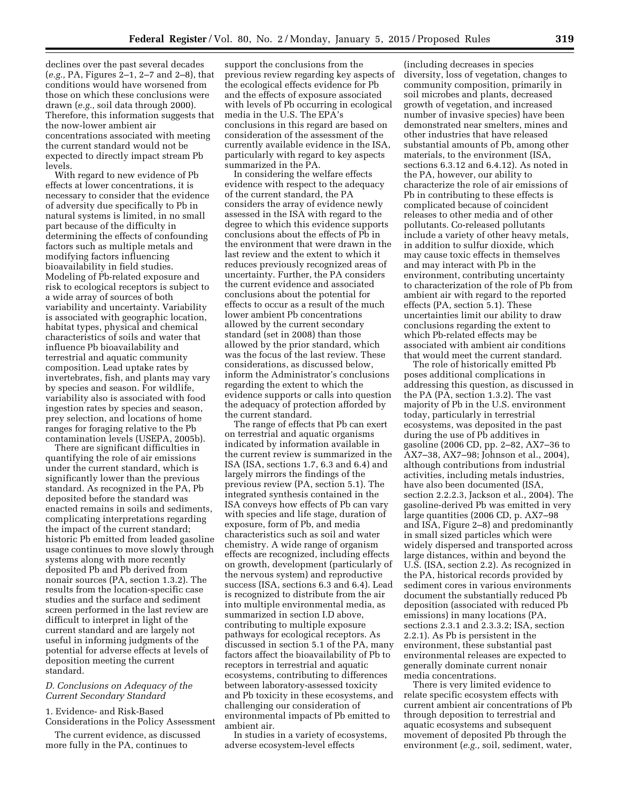declines over the past several decades (*e.g.,* PA, Figures 2–1, 2–7 and 2–8), that conditions would have worsened from those on which these conclusions were drawn (*e.g.,* soil data through 2000). Therefore, this information suggests that the now-lower ambient air concentrations associated with meeting the current standard would not be expected to directly impact stream Pb levels.

With regard to new evidence of Pb effects at lower concentrations, it is necessary to consider that the evidence of adversity due specifically to Pb in natural systems is limited, in no small part because of the difficulty in determining the effects of confounding factors such as multiple metals and modifying factors influencing bioavailability in field studies. Modeling of Pb-related exposure and risk to ecological receptors is subject to a wide array of sources of both variability and uncertainty. Variability is associated with geographic location, habitat types, physical and chemical characteristics of soils and water that influence Pb bioavailability and terrestrial and aquatic community composition. Lead uptake rates by invertebrates, fish, and plants may vary by species and season. For wildlife, variability also is associated with food ingestion rates by species and season, prey selection, and locations of home ranges for foraging relative to the Pb contamination levels (USEPA, 2005b).

There are significant difficulties in quantifying the role of air emissions under the current standard, which is significantly lower than the previous standard. As recognized in the PA, Pb deposited before the standard was enacted remains in soils and sediments, complicating interpretations regarding the impact of the current standard; historic Pb emitted from leaded gasoline usage continues to move slowly through systems along with more recently deposited Pb and Pb derived from nonair sources (PA, section 1.3.2). The results from the location-specific case studies and the surface and sediment screen performed in the last review are difficult to interpret in light of the current standard and are largely not useful in informing judgments of the potential for adverse effects at levels of deposition meeting the current standard.

## *D. Conclusions on Adequacy of the Current Secondary Standard*

1. Evidence- and Risk-Based Considerations in the Policy Assessment

The current evidence, as discussed more fully in the PA, continues to

support the conclusions from the previous review regarding key aspects of the ecological effects evidence for Pb and the effects of exposure associated with levels of Pb occurring in ecological media in the U.S. The EPA's conclusions in this regard are based on consideration of the assessment of the currently available evidence in the ISA, particularly with regard to key aspects summarized in the PA.

In considering the welfare effects evidence with respect to the adequacy of the current standard, the PA considers the array of evidence newly assessed in the ISA with regard to the degree to which this evidence supports conclusions about the effects of Pb in the environment that were drawn in the last review and the extent to which it reduces previously recognized areas of uncertainty. Further, the PA considers the current evidence and associated conclusions about the potential for effects to occur as a result of the much lower ambient Pb concentrations allowed by the current secondary standard (set in 2008) than those allowed by the prior standard, which was the focus of the last review. These considerations, as discussed below, inform the Administrator's conclusions regarding the extent to which the evidence supports or calls into question the adequacy of protection afforded by the current standard.

The range of effects that Pb can exert on terrestrial and aquatic organisms indicated by information available in the current review is summarized in the ISA (ISA, sections 1.7, 6.3 and 6.4) and largely mirrors the findings of the previous review (PA, section 5.1). The integrated synthesis contained in the ISA conveys how effects of Pb can vary with species and life stage, duration of exposure, form of Pb, and media characteristics such as soil and water chemistry. A wide range of organism effects are recognized, including effects on growth, development (particularly of the nervous system) and reproductive success (ISA, sections 6.3 and 6.4). Lead is recognized to distribute from the air into multiple environmental media, as summarized in section I.D above, contributing to multiple exposure pathways for ecological receptors. As discussed in section 5.1 of the PA, many factors affect the bioavailability of Pb to receptors in terrestrial and aquatic ecosystems, contributing to differences between laboratory-assessed toxicity and Pb toxicity in these ecosystems, and challenging our consideration of environmental impacts of Pb emitted to ambient air.

In studies in a variety of ecosystems, adverse ecosystem-level effects

(including decreases in species diversity, loss of vegetation, changes to community composition, primarily in soil microbes and plants, decreased growth of vegetation, and increased number of invasive species) have been demonstrated near smelters, mines and other industries that have released substantial amounts of Pb, among other materials, to the environment (ISA, sections 6.3.12 and 6.4.12). As noted in the PA, however, our ability to characterize the role of air emissions of Pb in contributing to these effects is complicated because of coincident releases to other media and of other pollutants. Co-released pollutants include a variety of other heavy metals, in addition to sulfur dioxide, which may cause toxic effects in themselves and may interact with Pb in the environment, contributing uncertainty to characterization of the role of Pb from ambient air with regard to the reported effects (PA, section 5.1). These uncertainties limit our ability to draw conclusions regarding the extent to which Pb-related effects may be associated with ambient air conditions that would meet the current standard.

The role of historically emitted Pb poses additional complications in addressing this question, as discussed in the PA (PA, section 1.3.2). The vast majority of Pb in the U.S. environment today, particularly in terrestrial ecosystems, was deposited in the past during the use of Pb additives in gasoline (2006 CD, pp. 2–82, AX7–36 to AX7–38, AX7–98; Johnson et al., 2004), although contributions from industrial activities, including metals industries, have also been documented (ISA, section 2.2.2.3, Jackson et al., 2004). The gasoline-derived Pb was emitted in very large quantities (2006 CD, p. AX7–98 and ISA, Figure 2–8) and predominantly in small sized particles which were widely dispersed and transported across large distances, within and beyond the U.S. (ISA, section 2.2). As recognized in the PA, historical records provided by sediment cores in various environments document the substantially reduced Pb deposition (associated with reduced Pb emissions) in many locations (PA, sections 2.3.1 and 2.3.3.2; ISA, section 2.2.1). As Pb is persistent in the environment, these substantial past environmental releases are expected to generally dominate current nonair media concentrations.

There is very limited evidence to relate specific ecosystem effects with current ambient air concentrations of Pb through deposition to terrestrial and aquatic ecosystems and subsequent movement of deposited Pb through the environment (*e.g.,* soil, sediment, water,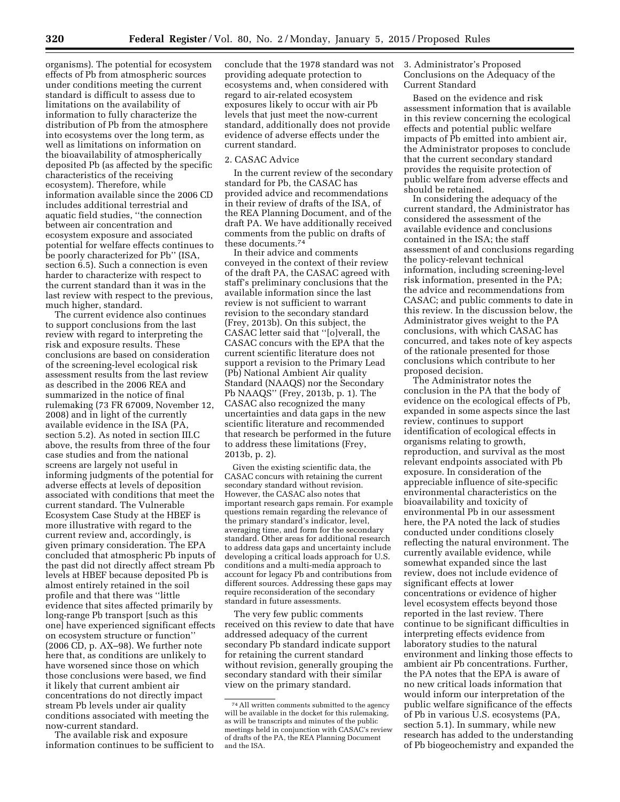organisms). The potential for ecosystem effects of Pb from atmospheric sources under conditions meeting the current standard is difficult to assess due to limitations on the availability of information to fully characterize the distribution of Pb from the atmosphere into ecosystems over the long term, as well as limitations on information on the bioavailability of atmospherically deposited Pb (as affected by the specific characteristics of the receiving ecosystem). Therefore, while information available since the 2006 CD includes additional terrestrial and aquatic field studies, ''the connection between air concentration and ecosystem exposure and associated potential for welfare effects continues to be poorly characterized for Pb'' (ISA, section 6.5). Such a connection is even harder to characterize with respect to the current standard than it was in the last review with respect to the previous, much higher, standard.

The current evidence also continues to support conclusions from the last review with regard to interpreting the risk and exposure results. These conclusions are based on consideration of the screening-level ecological risk assessment results from the last review as described in the 2006 REA and summarized in the notice of final rulemaking (73 FR 67009, November 12, 2008) and in light of the currently available evidence in the ISA (PA, section 5.2). As noted in section III.C above, the results from three of the four case studies and from the national screens are largely not useful in informing judgments of the potential for adverse effects at levels of deposition associated with conditions that meet the current standard. The Vulnerable Ecosystem Case Study at the HBEF is more illustrative with regard to the current review and, accordingly, is given primary consideration. The EPA concluded that atmospheric Pb inputs of the past did not directly affect stream Pb levels at HBEF because deposited Pb is almost entirely retained in the soil profile and that there was ''little evidence that sites affected primarily by long-range Pb transport [such as this one] have experienced significant effects on ecosystem structure or function'' (2006 CD, p. AX–98). We further note here that, as conditions are unlikely to have worsened since those on which those conclusions were based, we find it likely that current ambient air concentrations do not directly impact stream Pb levels under air quality conditions associated with meeting the now-current standard.

The available risk and exposure information continues to be sufficient to conclude that the 1978 standard was not providing adequate protection to ecosystems and, when considered with regard to air-related ecosystem exposures likely to occur with air Pb levels that just meet the now-current standard, additionally does not provide evidence of adverse effects under the current standard.

## 2. CASAC Advice

In the current review of the secondary standard for Pb, the CASAC has provided advice and recommendations in their review of drafts of the ISA, of the REA Planning Document, and of the draft PA. We have additionally received comments from the public on drafts of these documents.74

In their advice and comments conveyed in the context of their review of the draft PA, the CASAC agreed with staff's preliminary conclusions that the available information since the last review is not sufficient to warrant revision to the secondary standard (Frey, 2013b). On this subject, the CASAC letter said that ''[o]verall, the CASAC concurs with the EPA that the current scientific literature does not support a revision to the Primary Lead (Pb) National Ambient Air quality Standard (NAAQS) nor the Secondary Pb NAAQS'' (Frey, 2013b, p. 1). The CASAC also recognized the many uncertainties and data gaps in the new scientific literature and recommended that research be performed in the future to address these limitations (Frey, 2013b, p. 2).

Given the existing scientific data, the CASAC concurs with retaining the current secondary standard without revision. However, the CASAC also notes that important research gaps remain. For example questions remain regarding the relevance of the primary standard's indicator, level, averaging time, and form for the secondary standard. Other areas for additional research to address data gaps and uncertainty include developing a critical loads approach for U.S. conditions and a multi-media approach to account for legacy Pb and contributions from different sources. Addressing these gaps may require reconsideration of the secondary standard in future assessments.

The very few public comments received on this review to date that have addressed adequacy of the current secondary Pb standard indicate support for retaining the current standard without revision, generally grouping the secondary standard with their similar view on the primary standard.

3. Administrator's Proposed Conclusions on the Adequacy of the Current Standard

Based on the evidence and risk assessment information that is available in this review concerning the ecological effects and potential public welfare impacts of Pb emitted into ambient air, the Administrator proposes to conclude that the current secondary standard provides the requisite protection of public welfare from adverse effects and should be retained.

In considering the adequacy of the current standard, the Administrator has considered the assessment of the available evidence and conclusions contained in the ISA; the staff assessment of and conclusions regarding the policy-relevant technical information, including screening-level risk information, presented in the PA; the advice and recommendations from CASAC; and public comments to date in this review. In the discussion below, the Administrator gives weight to the PA conclusions, with which CASAC has concurred, and takes note of key aspects of the rationale presented for those conclusions which contribute to her proposed decision.

The Administrator notes the conclusion in the PA that the body of evidence on the ecological effects of Pb, expanded in some aspects since the last review, continues to support identification of ecological effects in organisms relating to growth, reproduction, and survival as the most relevant endpoints associated with Pb exposure. In consideration of the appreciable influence of site-specific environmental characteristics on the bioavailability and toxicity of environmental Pb in our assessment here, the PA noted the lack of studies conducted under conditions closely reflecting the natural environment. The currently available evidence, while somewhat expanded since the last review, does not include evidence of significant effects at lower concentrations or evidence of higher level ecosystem effects beyond those reported in the last review. There continue to be significant difficulties in interpreting effects evidence from laboratory studies to the natural environment and linking those effects to ambient air Pb concentrations. Further, the PA notes that the EPA is aware of no new critical loads information that would inform our interpretation of the public welfare significance of the effects of Pb in various U.S. ecosystems (PA, section 5.1). In summary, while new research has added to the understanding of Pb biogeochemistry and expanded the

<sup>74</sup>All written comments submitted to the agency will be available in the docket for this rulemaking, as will be transcripts and minutes of the public meetings held in conjunction with CASAC's review of drafts of the PA, the REA Planning Document and the ISA.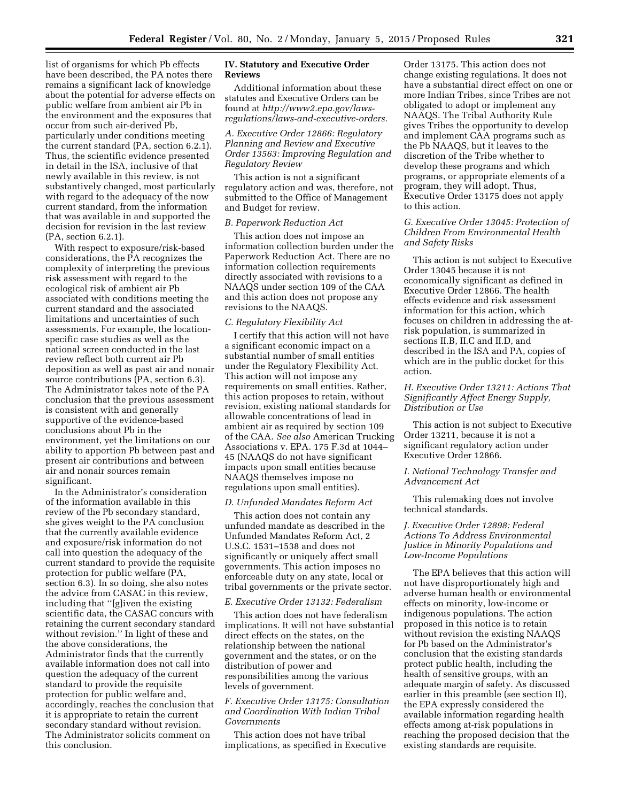list of organisms for which Pb effects have been described, the PA notes there remains a significant lack of knowledge about the potential for adverse effects on public welfare from ambient air Pb in the environment and the exposures that occur from such air-derived Pb, particularly under conditions meeting the current standard (PA, section 6.2.1). Thus, the scientific evidence presented in detail in the ISA, inclusive of that newly available in this review, is not substantively changed, most particularly with regard to the adequacy of the now current standard, from the information that was available in and supported the decision for revision in the last review (PA, section 6.2.1).

With respect to exposure/risk-based considerations, the PA recognizes the complexity of interpreting the previous risk assessment with regard to the ecological risk of ambient air Pb associated with conditions meeting the current standard and the associated limitations and uncertainties of such assessments. For example, the locationspecific case studies as well as the national screen conducted in the last review reflect both current air Pb deposition as well as past air and nonair source contributions (PA, section 6.3). The Administrator takes note of the PA conclusion that the previous assessment is consistent with and generally supportive of the evidence-based conclusions about Pb in the environment, yet the limitations on our ability to apportion Pb between past and present air contributions and between air and nonair sources remain significant.

In the Administrator's consideration of the information available in this review of the Pb secondary standard, she gives weight to the PA conclusion that the currently available evidence and exposure/risk information do not call into question the adequacy of the current standard to provide the requisite protection for public welfare (PA, section 6.3). In so doing, she also notes the advice from CASAC in this review, including that ''[g]iven the existing scientific data, the CASAC concurs with retaining the current secondary standard without revision.'' In light of these and the above considerations, the Administrator finds that the currently available information does not call into question the adequacy of the current standard to provide the requisite protection for public welfare and, accordingly, reaches the conclusion that it is appropriate to retain the current secondary standard without revision. The Administrator solicits comment on this conclusion.

## **IV. Statutory and Executive Order Reviews**

Additional information about these statutes and Executive Orders can be found at *[http://www2.epa.gov/laws](http://www2.epa.gov/laws-regulations/laws-and-executive-orders)[regulations/laws-and-executive-orders.](http://www2.epa.gov/laws-regulations/laws-and-executive-orders)* 

*A. Executive Order 12866: Regulatory Planning and Review and Executive Order 13563: Improving Regulation and Regulatory Review* 

This action is not a significant regulatory action and was, therefore, not submitted to the Office of Management and Budget for review.

#### *B. Paperwork Reduction Act*

This action does not impose an information collection burden under the Paperwork Reduction Act. There are no information collection requirements directly associated with revisions to a NAAQS under section 109 of the CAA and this action does not propose any revisions to the NAAQS.

### *C. Regulatory Flexibility Act*

I certify that this action will not have a significant economic impact on a substantial number of small entities under the Regulatory Flexibility Act. This action will not impose any requirements on small entities. Rather, this action proposes to retain, without revision, existing national standards for allowable concentrations of lead in ambient air as required by section 109 of the CAA. *See also* American Trucking Associations v. EPA. 175 F.3d at 1044– 45 (NAAQS do not have significant impacts upon small entities because NAAQS themselves impose no regulations upon small entities).

### *D. Unfunded Mandates Reform Act*

This action does not contain any unfunded mandate as described in the Unfunded Mandates Reform Act, 2 U.S.C. 1531–1538 and does not significantly or uniquely affect small governments. This action imposes no enforceable duty on any state, local or tribal governments or the private sector.

#### *E. Executive Order 13132: Federalism*

This action does not have federalism implications. It will not have substantial direct effects on the states, on the relationship between the national government and the states, or on the distribution of power and responsibilities among the various levels of government.

## *F. Executive Order 13175: Consultation and Coordination With Indian Tribal Governments*

This action does not have tribal implications, as specified in Executive Order 13175. This action does not change existing regulations. It does not have a substantial direct effect on one or more Indian Tribes, since Tribes are not obligated to adopt or implement any NAAQS. The Tribal Authority Rule gives Tribes the opportunity to develop and implement CAA programs such as the Pb NAAQS, but it leaves to the discretion of the Tribe whether to develop these programs and which programs, or appropriate elements of a program, they will adopt. Thus, Executive Order 13175 does not apply to this action.

## *G. Executive Order 13045: Protection of Children From Environmental Health and Safety Risks*

This action is not subject to Executive Order 13045 because it is not economically significant as defined in Executive Order 12866. The health effects evidence and risk assessment information for this action, which focuses on children in addressing the atrisk population, is summarized in sections II.B, II.C and II.D, and described in the ISA and PA, copies of which are in the public docket for this action.

## *H. Executive Order 13211: Actions That Significantly Affect Energy Supply, Distribution or Use*

This action is not subject to Executive Order 13211, because it is not a significant regulatory action under Executive Order 12866.

## *I. National Technology Transfer and Advancement Act*

This rulemaking does not involve technical standards.

## *J. Executive Order 12898: Federal Actions To Address Environmental Justice in Minority Populations and Low-Income Populations*

The EPA believes that this action will not have disproportionately high and adverse human health or environmental effects on minority, low-income or indigenous populations. The action proposed in this notice is to retain without revision the existing NAAQS for Pb based on the Administrator's conclusion that the existing standards protect public health, including the health of sensitive groups, with an adequate margin of safety. As discussed earlier in this preamble (see section II), the EPA expressly considered the available information regarding health effects among at-risk populations in reaching the proposed decision that the existing standards are requisite.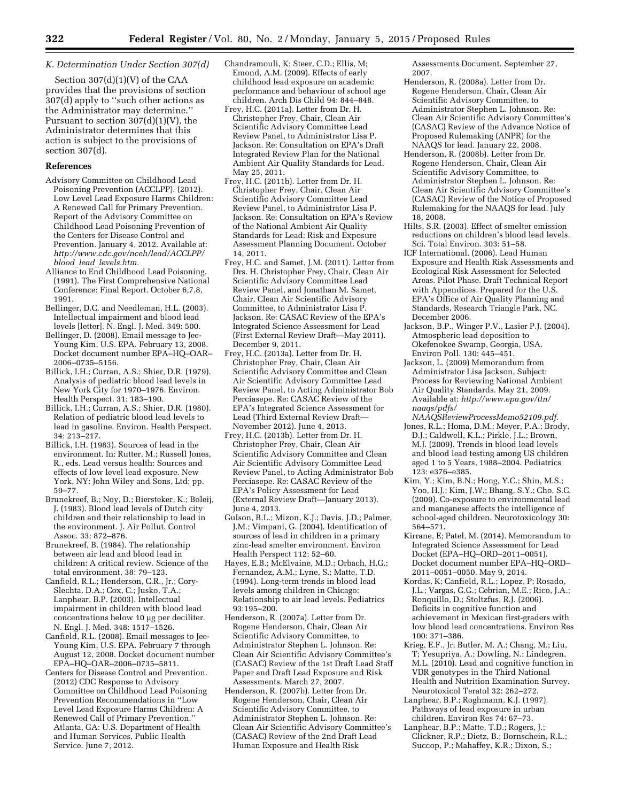## *K. Determination Under Section 307(d)*

Section 307(d)(1)(V) of the CAA provides that the provisions of section 307(d) apply to ''such other actions as the Administrator may determine.'' Pursuant to section  $307(d)(1)(V)$ , the Administrator determines that this action is subject to the provisions of section 307(d).

# **References**

- Advisory Committee on Childhood Lead Poisoning Prevention (ACCLPP). (2012). Low Level Lead Exposure Harms Children: A Renewed Call for Primary Prevention. Report of the Advisory Committee on Childhood Lead Poisoning Prevention of the Centers for Disease Control and Prevention. January 4, 2012. Available at: *[http://www.cdc.gov/nceh/lead/ACCLPP/](http://www.cdc.gov/nceh/lead/ACCLPP/blood_lead_levels.htm) blood*\_*lead*\_*[levels.htm.](http://www.cdc.gov/nceh/lead/ACCLPP/blood_lead_levels.htm)*
- Alliance to End Childhood Lead Poisoning. (1991). The First Comprehensive National Conference: Final Report. October 6,7,8, 1991.
- Bellinger, D.C. and Needleman, H.L. (2003). Intellectual impairment and blood lead levels [letter]. N. Engl. J. Med. 349: 500.
- Bellinger, D. (2008). Email message to Jee-Young Kim, U.S. EPA. February 13, 2008. Docket document number EPA–HQ–OAR– 2006–0735–5156.
- Billick, I.H.; Curran, A.S.; Shier, D.R. (1979). Analysis of pediatric blood lead levels in New York City for 1970–1976. Environ. Health Perspect. 31: 183–190.
- Billick, I.H.; Curran, A.S.; Shier, D.R. (1980). Relation of pediatric blood lead levels to lead in gasoline. Environ. Health Perspect. 34: 213–217.
- Billick, I.H. (1983). Sources of lead in the environment. In: Rutter, M.; Russell Jones, R., eds. Lead versus health: Sources and effects of low level lead exposure. New York, NY: John Wiley and Sons, Ltd; pp. 59–77.
- Brunekreef, B.; Noy, D.; Biersteker, K.; Boleij, J. (1983). Blood lead levels of Dutch city children and their relationship to lead in the environment. J. Air Pollut. Control Assoc. 33: 872–876.
- Brunekreef, B. (1984). The relationship between air lead and blood lead in children: A critical review. Science of the total environment, 38: 79–123.
- Canfield, R.L.; Henderson, C.R., Jr.; Cory-Slechta, D.A.; Cox, C.; Jusko, T.A.; Lanphear, B.P. (2003). Intellectual impairment in children with blood lead concentrations below 10 µg per deciliter. N. Engl. J. Med. 348: 1517–1526.
- Canfield, R.L. (2008). Email messages to Jee-Young Kim, U.S. EPA. February 7 through August 12, 2008. Docket document number EPA–HQ–OAR–2006–0735–5811.
- Centers for Disease Control and Prevention. (2012) CDC Response to Advisory Committee on Childhood Lead Poisoning Prevention Recommendations in ''Low Level Lead Exposure Harms Children: A Renewed Call of Primary Prevention.'' Atlanta, GA: U.S. Department of Health and Human Services, Public Health Service. June 7, 2012.
- Chandramouli, K; Steer, C.D.; Ellis, M; Emond, A.M. (2009). Effects of early childhood lead exposure on academic performance and behaviour of school age children. Arch Dis Child 94: 844–848.
- Frey, H.C. (2011a). Letter from Dr. H. Christopher Frey, Chair, Clean Air Scientific Advisory Committee Lead Review Panel, to Administrator Lisa P. Jackson. Re: Consultation on EPA's Draft Integrated Review Plan for the National Ambient Air Quality Standards for Lead. May 25, 2011.
- Frey, H.C. (2011b). Letter from Dr. H. Christopher Frey, Chair, Clean Air Scientific Advisory Committee Lead Review Panel, to Administrator Lisa P. Jackson. Re: Consultation on EPA's Review of the National Ambient Air Quality Standards for Lead: Risk and Exposure Assessment Planning Document. October 14, 2011.
- Frey, H.C. and Samet, J.M. (2011). Letter from Drs. H. Christopher Frey, Chair, Clean Air Scientific Advisory Committee Lead Review Panel, and Jonathan M. Samet, Chair, Clean Air Scientific Advisory Committee, to Administrator Lisa P. Jackson. Re: CASAC Review of the EPA's Integrated Science Assessment for Lead (First External Review Draft—May 2011). December 9, 2011.
- Frey, H.C. (2013a). Letter from Dr. H. Christopher Frey, Chair, Clean Air Scientific Advisory Committee and Clean Air Scientific Advisory Committee Lead Review Panel, to Acting Administrator Bob Perciasepe. Re: CASAC Review of the EPA's Integrated Science Assessment for Lead (Third External Review Draft— November 2012). June 4, 2013.
- Frey, H.C. (2013b). Letter from Dr. H. Christopher Frey, Chair, Clean Air Scientific Advisory Committee and Clean Air Scientific Advisory Committee Lead Review Panel, to Acting Administrator Bob Perciasepe. Re: CASAC Review of the EPA's Policy Assessment for Lead (External Review Draft—January 2013). June 4, 2013.
- Gulson, B.L.; Mizon, K.J.; Davis, J.D.; Palmer, J.M.; Vimpani, G. (2004). Identification of sources of lead in children in a primary zinc-lead smelter environment. Environ Health Perspect 112: 52–60.
- Hayes, E.B.; McElvaine, M.D.; Orbach, H.G.; Fernandez, A.M.; Lyne, S.; Matte, T.D. (1994). Long-term trends in blood lead levels among children in Chicago: Relationship to air lead levels. Pediatrics 93:195–200.
- Henderson, R. (2007a). Letter from Dr. Rogene Henderson, Chair, Clean Air Scientific Advisory Committee, to Administrator Stephen L. Johnson. Re: Clean Air Scientific Advisory Committee's (CASAC) Review of the 1st Draft Lead Staff Paper and Draft Lead Exposure and Risk Assessments. March 27, 2007.
- Henderson, R. (2007b). Letter from Dr. Rogene Henderson, Chair, Clean Air Scientific Advisory Committee, to Administrator Stephen L. Johnson. Re: Clean Air Scientific Advisory Committee's (CASAC) Review of the 2nd Draft Lead Human Exposure and Health Risk

Assessments Document. September 27, 2007.

- Henderson, R. (2008a). Letter from Dr. Rogene Henderson, Chair, Clean Air Scientific Advisory Committee, to Administrator Stephen L. Johnson. Re: Clean Air Scientific Advisory Committee's (CASAC) Review of the Advance Notice of Proposed Rulemaking (ANPR) for the NAAQS for lead. January 22, 2008.
- Henderson, R. (2008b). Letter from Dr. Rogene Henderson, Chair, Clean Air Scientific Advisory Committee, to Administrator Stephen L. Johnson. Re: Clean Air Scientific Advisory Committee's (CASAC) Review of the Notice of Proposed Rulemaking for the NAAQS for lead. July 18, 2008.
- Hilts, S.R. (2003). Effect of smelter emission reductions on children's blood lead levels. Sci. Total Environ. 303: 51–58.
- ICF International. (2006). Lead Human Exposure and Health Risk Assessments and Ecological Risk Assessment for Selected Areas. Pilot Phase. Draft Technical Report with Appendices. Prepared for the U.S. EPA's Office of Air Quality Planning and Standards, Research Triangle Park, NC. December 2006.
- Jackson, B.P., Winger P.V., Lasier P.J. (2004). Atmospheric lead deposition to Okefenokee Swamp, Georgia, USA. Environ Poll. 130: 445–451.
- Jackson, L. (2009) Memorandum from Administrator Lisa Jackson, Subject: Process for Reviewing National Ambient Air Quality Standards. May 21, 2009. Available at: *[http://www.epa.gov/ttn/](http://www.epa.gov/ttn/naaqs/pdfs/NAAQSReviewProcessMemo52109.pdf) [naaqs/pdfs/](http://www.epa.gov/ttn/naaqs/pdfs/NAAQSReviewProcessMemo52109.pdf)*
- *[NAAQSReviewProcessMemo52109.pdf.](http://www.epa.gov/ttn/naaqs/pdfs/NAAQSReviewProcessMemo52109.pdf)*  Jones, R.L.; Homa, D.M.; Meyer, P.A.; Brody, D.J.; Caldwell, K.L.; Pirkle, J.L.; Brown, M.J. (2009). Trends in blood lead levels and blood lead testing among US children aged 1 to 5 Years, 1988–2004. Pediatrics 123: e376–e385.
- Kim, Y.; Kim, B.N.; Hong, Y.C.; Shin, M.S.; Yoo, H.J.; Kim, J.W.; Bhang, S.Y.; Cho, S.C. (2009). Co-exposure to environmental lead and manganese affects the intelligence of school-aged children. Neurotoxicology 30: 564–571.
- Kirrane, E; Patel, M. (2014). Memorandum to Integrated Science Assessment for Lead Docket (EPA–HQ–ORD–2011–0051). Docket document number EPA–HQ–ORD– 2011–0051–0050. May 9, 2014.
- Kordas, K; Canfield, R.L.; Lopez, P; Rosado, J.L.; Vargas, G.G.; Cebrian, M.E.; Rico, J.A.; Ronquillo, D.; Stoltzfus, R.J. (2006). Deficits in cognitive function and achievement in Mexican first-graders with low blood lead concentrations. Environ Res 100: 371–386.
- Krieg, E.F., Jr; Butler, M. A.; Chang, M.; Liu, T; Yesupriya, A.; Dowling, N.; Lindegren, M.L. (2010). Lead and cognitive function in VDR genotypes in the Third National Health and Nutrition Examination Survey. Neurotoxicol Teratol 32: 262–272.
- Lanphear, B.P.; Roghmann, K.J. (1997). Pathways of lead exposure in urban children. Environ Res 74: 67–73.
- Lanphear, B.P.; Matte, T.D.; Rogers, J.; Clickner, R.P.; Dietz, B.; Bornschein, R.L.; Succop, P.; Mahaffey, K.R.; Dixon, S.;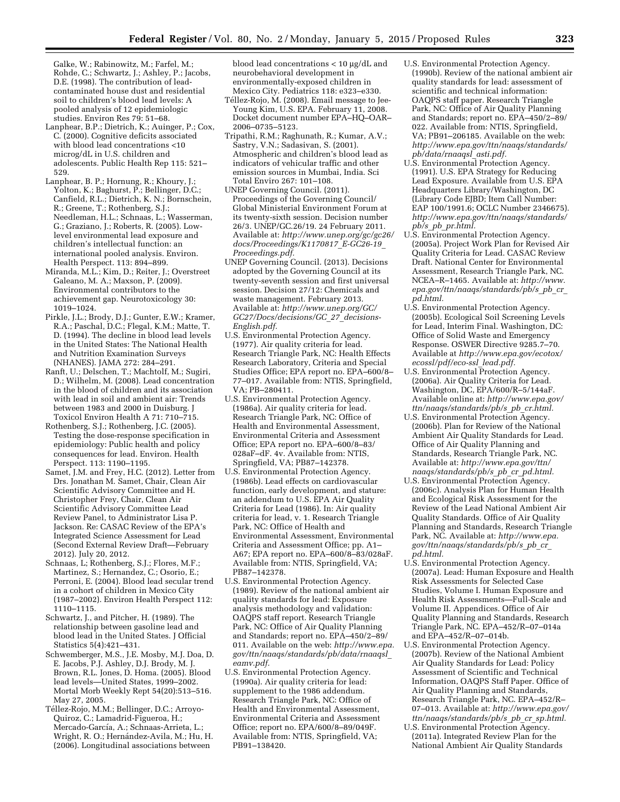Galke, W.; Rabinowitz, M.; Farfel, M.; Rohde, C.; Schwartz, J.; Ashley, P.; Jacobs, D.E. (1998). The contribution of leadcontaminated house dust and residential soil to children's blood lead levels: A pooled analysis of 12 epidemiologic studies. Environ Res 79: 51–68.

Lanphear, B.P.; Dietrich, K.; Auinger, P.; Cox, C. (2000). Cognitive deficits associated with blood lead concentrations <10 microg/dL in U.S. children and adolescents. Public Health Rep 115: 521– 529.

Lanphear, B. P.; Hornung, R.; Khoury, J.; Yolton, K.; Baghurst, P.; Bellinger, D.C.; Canfield, R.L.; Dietrich, K. N.; Bornschein, R.; Greene, T.; Rothenberg, S.J.; Needleman, H.L.; Schnaas, L.; Wasserman, G.; Graziano, J.; Roberts, R. (2005). Lowlevel environmental lead exposure and children's intellectual function: an international pooled analysis. Environ. Health Perspect. 113: 894–899.

Miranda, M.L.; Kim, D.; Reiter, J.; Overstreet Galeano, M. A.; Maxson, P. (2009). Environmental contributors to the achievement gap. Neurotoxicology 30: 1019–1024.

Pirkle, J.L.; Brody, D.J.; Gunter, E.W.; Kramer, R.A.; Paschal, D.C.; Flegal, K.M.; Matte, T. D. (1994). The decline in blood lead levels in the United States: The National Health and Nutrition Examination Surveys (NHANES). JAMA 272: 284–291.

Ranft, U.; Delschen, T.; Machtolf, M.; Sugiri, D.; Wilhelm, M. (2008). Lead concentration in the blood of children and its association with lead in soil and ambient air: Trends between 1983 and 2000 in Duisburg. J Toxicol Environ Health A 71: 710–715.

Rothenberg, S.J.; Rothenberg, J.C. (2005). Testing the dose-response specification in epidemiology: Public health and policy consequences for lead. Environ. Health Perspect. 113: 1190–1195.

Samet, J.M. and Frey, H.C. (2012). Letter from Drs. Jonathan M. Samet, Chair, Clean Air Scientific Advisory Committee and H. Christopher Frey, Chair, Clean Air Scientific Advisory Committee Lead Review Panel, to Administrator Lisa P. Jackson. Re: CASAC Review of the EPA's Integrated Science Assessment for Lead (Second External Review Draft—February 2012). July 20, 2012.

Schnaas, L; Rothenberg, S.J.; Flores, M.F.; Martinez, S.; Hernandez, C.; Osorio, E.; Perroni, E. (2004). Blood lead secular trend in a cohort of children in Mexico City (1987–2002). Environ Health Perspect 112: 1110–1115.

Schwartz, J., and Pitcher, H. (1989). The relationship between gasoline lead and blood lead in the United States. J Official Statistics 5(4):421–431.

Schwemberger, M.S., J.E. Mosby, M.J. Doa, D. E. Jacobs, P.J. Ashley, D.J. Brody, M. J. Brown, R.L. Jones, D. Homa. (2005). Blood lead levels—United States, 1999–2002. Mortal Morb Weekly Rept 54(20):513–516. May 27, 2005.

Téllez-Rojo, M.M.; Bellinger, D.C.; Arroyo-Quiroz, C.; Lamadrid-Figueroa, H.; Mercado-García, A.; Schnaas-Arrieta, L.; Wright, R. O.; Hernández-Avila, M.; Hu, H. (2006). Longitudinal associations between

blood lead concentrations  $< 10 \mu g/dL$  and neurobehavioral development in environmentally-exposed children in Mexico City. Pediatrics 118: e323–e330.

- Téllez-Rojo, M. (2008). Email message to Jee-Young Kim, U.S. EPA. February 11, 2008. Docket document number EPA–HQ–OAR– 2006–0735–5123.
- Tripathi, R.M.; Raghunath, R.; Kumar, A.V.; Sastry, V.N.; Sadasivan, S. (2001). Atmospheric and children's blood lead as indicators of vehicular traffic and other emission sources in Mumbai, India. Sci Total Enviro 267: 101–108.
- UNEP Governing Council. (2011). Proceedings of the Governing Council/ Global Ministerial Environment Forum at its twenty-sixth session. Decision number 26/3. UNEP/GC.26/19. 24 February 2011. Available at: *[http://www.unep.org/gc/gc26/](http://www.unep.org/gc/gc26/docs/Proceedings/K1170817_E-GC26-19_Proceedings.pdf) [docs/Proceedings/K1170817](http://www.unep.org/gc/gc26/docs/Proceedings/K1170817_E-GC26-19_Proceedings.pdf)*\_*E-GC26-19*\_ *[Proceedings.pdf.](http://www.unep.org/gc/gc26/docs/Proceedings/K1170817_E-GC26-19_Proceedings.pdf)*
- UNEP Governing Council. (2013). Decisions adopted by the Governing Council at its twenty-seventh session and first universal session. Decision 27/12: Chemicals and waste management. February 2013. Available at: *[http://www.unep.org/GC/](http://www.unep.org/GC/GC27/Docs/decisions/GC_27_decisions-English.pdf) [GC27/Docs/decisions/GC](http://www.unep.org/GC/GC27/Docs/decisions/GC_27_decisions-English.pdf)*\_*27*\_*decisions-[English.pdf.](http://www.unep.org/GC/GC27/Docs/decisions/GC_27_decisions-English.pdf)*
- U.S. Environmental Protection Agency. (1977). Air quality criteria for lead. Research Triangle Park, NC: Health Effects Research Laboratory, Criteria and Special Studies Office; EPA report no. EPA–600/8– 77–017. Available from: NTIS, Springfield, VA; PB–280411.
- U.S. Environmental Protection Agency. (1986a). Air quality criteria for lead. Research Triangle Park, NC: Office of Health and Environmental Assessment, Environmental Criteria and Assessment Office; EPA report no. EPA–600/8–83/ 028aF–dF. 4v. Available from: NTIS, Springfield, VA; PB87–142378.
- U.S. Environmental Protection Agency. (1986b). Lead effects on cardiovascular function, early development, and stature: an addendum to U.S. EPA Air Quality Criteria for Lead (1986). In: Air quality criteria for lead, v. 1. Research Triangle Park, NC: Office of Health and Environmental Assessment, Environmental Criteria and Assessment Office; pp. A1– A67; EPA report no. EPA–600/8–83/028aF. Available from: NTIS, Springfield, VA; PB87–142378.
- U.S. Environmental Protection Agency. (1989). Review of the national ambient air quality standards for lead: Exposure analysis methodology and validation: OAQPS staff report. Research Triangle Park, NC: Office of Air Quality Planning and Standards; report no. EPA–450/2–89/ 011. Available on the web: *[http://www.epa.](http://www.epa.gov/ttn/naaqs/standards/pb/data/rnaaqsl_eamv.pdf) [gov/ttn/naaqs/standards/pb/data/rnaaqsl](http://www.epa.gov/ttn/naaqs/standards/pb/data/rnaaqsl_eamv.pdf)*\_ *[eamv.pdf.](http://www.epa.gov/ttn/naaqs/standards/pb/data/rnaaqsl_eamv.pdf)*
- U.S. Environmental Protection Agency. (1990a). Air quality criteria for lead: supplement to the 1986 addendum. Research Triangle Park, NC: Office of Health and Environmental Assessment, Environmental Criteria and Assessment Office; report no. EPA/600/8–89/049F. Available from: NTIS, Springfield, VA; PB91–138420.
- U.S. Environmental Protection Agency. (1990b). Review of the national ambient air quality standards for lead: assessment of scientific and technical information: OAQPS staff paper. Research Triangle Park, NC: Office of Air Quality Planning and Standards; report no. EPA–450/2–89/ 022. Available from: NTIS, Springfield, VA; PB91–206185. Available on the web: *[http://www.epa.gov/ttn/naaqs/standards/](http://www.epa.gov/ttn/naaqs/standards/pb/data/rnaaqsl_asti.pdf) [pb/data/rnaaqsl](http://www.epa.gov/ttn/naaqs/standards/pb/data/rnaaqsl_asti.pdf)*\_*asti.pdf.*
- U.S. Environmental Protection Agency. (1991). U.S. EPA Strategy for Reducing Lead Exposure. Available from U.S. EPA Headquarters Library/Washington, DC (Library Code EJBD; Item Call Number: EAP 100/1991.6; OCLC Number 2346675). *[http://www.epa.gov/ttn/naaqs/standards/](http://www.epa.gov/ttn/naaqs/standards/pb/s_pb_pr.html) pb/s*\_*pb*\_*[pr.html.](http://www.epa.gov/ttn/naaqs/standards/pb/s_pb_pr.html)*
- U.S. Environmental Protection Agency. (2005a). Project Work Plan for Revised Air Quality Criteria for Lead. CASAC Review Draft. National Center for Environmental Assessment, Research Triangle Park, NC. NCEA–R–1465. Available at: *[http://www.](http://www.epa.gov/ttn/naaqs/standards/pb/s_pb_cr_pd.html) [epa.gov/ttn/naaqs/standards/pb/s](http://www.epa.gov/ttn/naaqs/standards/pb/s_pb_cr_pd.html)*\_*pb*\_*cr*\_ *[pd.html.](http://www.epa.gov/ttn/naaqs/standards/pb/s_pb_cr_pd.html)*
- U.S. Environmental Protection Agency. (2005b). Ecological Soil Screening Levels for Lead, Interim Final. Washington, DC: Office of Solid Waste and Emergency Response. OSWER Directive 9285.7–70. Available at *[http://www.epa.gov/ecotox/](http://www.epa.gov/ecotox/ecossl/pdf/eco-ssl_lead.pdf) [ecossl/pdf/eco-ssl](http://www.epa.gov/ecotox/ecossl/pdf/eco-ssl_lead.pdf)*\_*lead.pdf.*
- U.S. Environmental Protection Agency. (2006a). Air Quality Criteria for Lead. Washington, DC, EPA/600/R–5/144aF. Available online at: *[http://www.epa.gov/](http://www.epa.gov/ttn/naaqs/standards/pb/s_pb_cr.html) [ttn/naaqs/standards/pb/s](http://www.epa.gov/ttn/naaqs/standards/pb/s_pb_cr.html)*\_*pb*\_*cr.html.*
- U.S. Environmental Protection Agency. (2006b). Plan for Review of the National Ambient Air Quality Standards for Lead. Office of Air Quality Planning and Standards, Research Triangle Park, NC. Available at: *[http://www.epa.gov/ttn/](http://www.epa.gov/ttn/naaqs/standards/pb/s_pb_cr_pd.html) [naaqs/standards/pb/s](http://www.epa.gov/ttn/naaqs/standards/pb/s_pb_cr_pd.html)*\_*pb*\_*cr*\_*pd.html.*
- U.S. Environmental Protection Agency. (2006c). Analysis Plan for Human Health and Ecological Risk Assessment for the Review of the Lead National Ambient Air Quality Standards. Office of Air Quality Planning and Standards, Research Triangle Park, NC. Available at: *[http://www.epa.](http://www.epa.gov/ttn/naaqs/standards/pb/s_pb_cr_pd.html) [gov/ttn/naaqs/standards/pb/s](http://www.epa.gov/ttn/naaqs/standards/pb/s_pb_cr_pd.html)*\_*pb*\_*cr*\_ *[pd.html.](http://www.epa.gov/ttn/naaqs/standards/pb/s_pb_cr_pd.html)*
- U.S. Environmental Protection Agency. (2007a). Lead: Human Exposure and Health Risk Assessments for Selected Case Studies, Volume I. Human Exposure and Health Risk Assessments—Full-Scale and Volume II. Appendices. Office of Air Quality Planning and Standards, Research Triangle Park, NC. EPA–452/R–07–014a and EPA–452/R–07–014b.
- U.S. Environmental Protection Agency. (2007b). Review of the National Ambient Air Quality Standards for Lead: Policy Assessment of Scientific and Technical Information, OAQPS Staff Paper. Office of Air Quality Planning and Standards, Research Triangle Park, NC. EPA–452/R– 07–013. Available at: *[http://www.epa.gov/](http://www.epa.gov/ttn/naaqs/standards/pb/s_pb_cr_sp.html)  [ttn/naaqs/standards/pb/s](http://www.epa.gov/ttn/naaqs/standards/pb/s_pb_cr_sp.html)*\_*pb*\_*cr*\_*sp.html.*
- U.S. Environmental Protection Agency. (2011a). Integrated Review Plan for the National Ambient Air Quality Standards